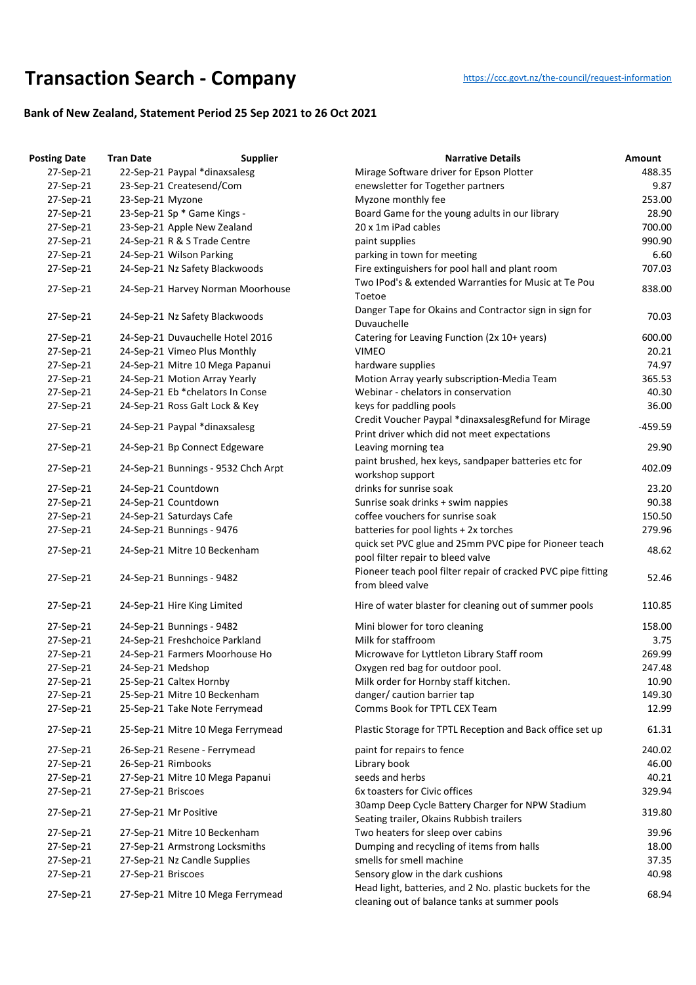## **Transaction Search - Company** https://ccc.govt.nz/the-council/request-information

## **Bank of New Zealand, Statement Period 25 Sep 2021 to 26 Oct 2021**

| <b>Posting Date</b> | <b>Tran Date</b>   | <b>Supplier</b>                     | <b>Narrative Details</b>                                                                                  | Amount    |
|---------------------|--------------------|-------------------------------------|-----------------------------------------------------------------------------------------------------------|-----------|
| 27-Sep-21           |                    | 22-Sep-21 Paypal *dinaxsalesg       | Mirage Software driver for Epson Plotter                                                                  | 488.35    |
| 27-Sep-21           |                    | 23-Sep-21 Createsend/Com            | enewsletter for Together partners                                                                         | 9.87      |
| 27-Sep-21           | 23-Sep-21 Myzone   |                                     | Myzone monthly fee                                                                                        | 253.00    |
| 27-Sep-21           |                    | 23-Sep-21 Sp * Game Kings -         | Board Game for the young adults in our library                                                            | 28.90     |
| 27-Sep-21           |                    | 23-Sep-21 Apple New Zealand         | 20 x 1m iPad cables                                                                                       | 700.00    |
| 27-Sep-21           |                    | 24-Sep-21 R & S Trade Centre        | paint supplies                                                                                            | 990.90    |
| 27-Sep-21           |                    | 24-Sep-21 Wilson Parking            | parking in town for meeting                                                                               | 6.60      |
| 27-Sep-21           |                    | 24-Sep-21 Nz Safety Blackwoods      | Fire extinguishers for pool hall and plant room                                                           | 707.03    |
|                     |                    |                                     | Two IPod's & extended Warranties for Music at Te Pou                                                      |           |
| 27-Sep-21           |                    | 24-Sep-21 Harvey Norman Moorhouse   | Toetoe                                                                                                    | 838.00    |
| 27-Sep-21           |                    | 24-Sep-21 Nz Safety Blackwoods      | Danger Tape for Okains and Contractor sign in sign for<br>Duvauchelle                                     | 70.03     |
| 27-Sep-21           |                    | 24-Sep-21 Duvauchelle Hotel 2016    | Catering for Leaving Function (2x 10+ years)                                                              | 600.00    |
| 27-Sep-21           |                    | 24-Sep-21 Vimeo Plus Monthly        | <b>VIMEO</b>                                                                                              | 20.21     |
| 27-Sep-21           |                    | 24-Sep-21 Mitre 10 Mega Papanui     | hardware supplies                                                                                         | 74.97     |
| 27-Sep-21           |                    | 24-Sep-21 Motion Array Yearly       | Motion Array yearly subscription-Media Team                                                               | 365.53    |
| 27-Sep-21           |                    | 24-Sep-21 Eb *chelators In Conse    | Webinar - chelators in conservation                                                                       | 40.30     |
| 27-Sep-21           |                    | 24-Sep-21 Ross Galt Lock & Key      | keys for paddling pools                                                                                   | 36.00     |
|                     |                    |                                     | Credit Voucher Paypal *dinaxsalesgRefund for Mirage                                                       |           |
| 27-Sep-21           |                    | 24-Sep-21 Paypal *dinaxsalesg       | Print driver which did not meet expectations                                                              | $-459.59$ |
| 27-Sep-21           |                    | 24-Sep-21 Bp Connect Edgeware       | Leaving morning tea                                                                                       | 29.90     |
|                     |                    |                                     | paint brushed, hex keys, sandpaper batteries etc for                                                      |           |
| 27-Sep-21           |                    | 24-Sep-21 Bunnings - 9532 Chch Arpt | workshop support                                                                                          | 402.09    |
| 27-Sep-21           |                    | 24-Sep-21 Countdown                 | drinks for sunrise soak                                                                                   | 23.20     |
|                     |                    |                                     |                                                                                                           | 90.38     |
| 27-Sep-21           |                    | 24-Sep-21 Countdown                 | Sunrise soak drinks + swim nappies                                                                        |           |
| 27-Sep-21           |                    | 24-Sep-21 Saturdays Cafe            | coffee vouchers for sunrise soak                                                                          | 150.50    |
| 27-Sep-21           |                    | 24-Sep-21 Bunnings - 9476           | batteries for pool lights + 2x torches                                                                    | 279.96    |
| 27-Sep-21           |                    | 24-Sep-21 Mitre 10 Beckenham        | quick set PVC glue and 25mm PVC pipe for Pioneer teach                                                    | 48.62     |
|                     |                    |                                     | pool filter repair to bleed valve                                                                         |           |
| 27-Sep-21           |                    | 24-Sep-21 Bunnings - 9482           | Pioneer teach pool filter repair of cracked PVC pipe fitting<br>from bleed valve                          | 52.46     |
| 27-Sep-21           |                    | 24-Sep-21 Hire King Limited         | Hire of water blaster for cleaning out of summer pools                                                    | 110.85    |
| 27-Sep-21           |                    | 24-Sep-21 Bunnings - 9482           | Mini blower for toro cleaning                                                                             | 158.00    |
| 27-Sep-21           |                    | 24-Sep-21 Freshchoice Parkland      | Milk for staffroom                                                                                        | 3.75      |
| 27-Sep-21           |                    | 24-Sep-21 Farmers Moorhouse Ho      | Microwave for Lyttleton Library Staff room                                                                | 269.99    |
| 27-Sep-21           | 24-Sep-21 Medshop  |                                     | Oxygen red bag for outdoor pool.                                                                          | 247.48    |
| 27-Sep-21           |                    | 25-Sep-21 Caltex Hornby             | Milk order for Hornby staff kitchen.                                                                      | 10.90     |
| 27-Sep-21           |                    | 25-Sep-21 Mitre 10 Beckenham        | danger/ caution barrier tap                                                                               | 149.30    |
| 27-Sep-21           |                    | 25-Sep-21 Take Note Ferrymead       | Comms Book for TPTL CEX Team                                                                              | 12.99     |
| 27-Sep-21           |                    | 25-Sep-21 Mitre 10 Mega Ferrymead   | Plastic Storage for TPTL Reception and Back office set up                                                 | 61.31     |
| 27-Sep-21           |                    | 26-Sep-21 Resene - Ferrymead        | paint for repairs to fence                                                                                | 240.02    |
| 27-Sep-21           | 26-Sep-21 Rimbooks |                                     | Library book                                                                                              | 46.00     |
| 27-Sep-21           |                    | 27-Sep-21 Mitre 10 Mega Papanui     | seeds and herbs                                                                                           | 40.21     |
| 27-Sep-21           | 27-Sep-21 Briscoes |                                     | 6x toasters for Civic offices                                                                             | 329.94    |
| 27-Sep-21           |                    | 27-Sep-21 Mr Positive               | 30amp Deep Cycle Battery Charger for NPW Stadium                                                          | 319.80    |
|                     |                    |                                     | Seating trailer, Okains Rubbish trailers                                                                  |           |
| 27-Sep-21           |                    | 27-Sep-21 Mitre 10 Beckenham        | Two heaters for sleep over cabins                                                                         | 39.96     |
| 27-Sep-21           |                    | 27-Sep-21 Armstrong Locksmiths      | Dumping and recycling of items from halls                                                                 | 18.00     |
| 27-Sep-21           |                    | 27-Sep-21 Nz Candle Supplies        | smells for smell machine                                                                                  | 37.35     |
| 27-Sep-21           | 27-Sep-21 Briscoes |                                     | Sensory glow in the dark cushions                                                                         | 40.98     |
| 27-Sep-21           |                    | 27-Sep-21 Mitre 10 Mega Ferrymead   | Head light, batteries, and 2 No. plastic buckets for the<br>cleaning out of balance tanks at summer pools | 68.94     |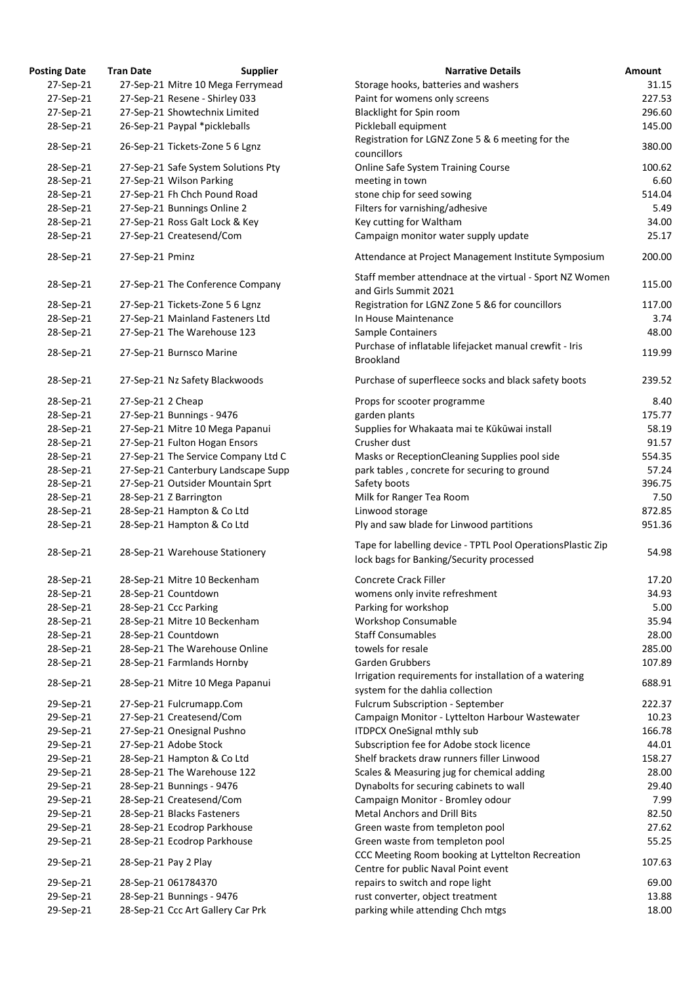| <b>osting Date</b> | <b>Tran Date</b>  | <b>Supplier</b>                     | <b>Narrative Details</b>                                                                         |
|--------------------|-------------------|-------------------------------------|--------------------------------------------------------------------------------------------------|
| 27-Sep-21          |                   | 27-Sep-21 Mitre 10 Mega Ferrymead   | Storage hooks, batteries and washers                                                             |
| 27-Sep-21          |                   | 27-Sep-21 Resene - Shirley 033      | Paint for womens only screens                                                                    |
| 27-Sep-21          |                   | 27-Sep-21 Showtechnix Limited       | Blacklight for Spin room                                                                         |
| 28-Sep-21          |                   | 26-Sep-21 Paypal *pickleballs       | Pickleball equipment                                                                             |
| 28-Sep-21          |                   | 26-Sep-21 Tickets-Zone 5 6 Lgnz     | Registration for LGNZ Zone 5 & 6 meeting for the<br>councillors                                  |
| 28-Sep-21          |                   | 27-Sep-21 Safe System Solutions Pty | Online Safe System Training Course                                                               |
| 28-Sep-21          |                   | 27-Sep-21 Wilson Parking            | meeting in town                                                                                  |
| 28-Sep-21          |                   | 27-Sep-21 Fh Chch Pound Road        | stone chip for seed sowing                                                                       |
| 28-Sep-21          |                   | 27-Sep-21 Bunnings Online 2         | Filters for varnishing/adhesive                                                                  |
| 28-Sep-21          |                   | 27-Sep-21 Ross Galt Lock & Key      | Key cutting for Waltham                                                                          |
| 28-Sep-21          |                   | 27-Sep-21 Createsend/Com            | Campaign monitor water supply update                                                             |
| 28-Sep-21          | 27-Sep-21 Pminz   |                                     | Attendance at Project Management Institute Sympc                                                 |
|                    |                   |                                     | Staff member attendnace at the virtual - Sport NZ W                                              |
| 28-Sep-21          |                   | 27-Sep-21 The Conference Company    | and Girls Summit 2021                                                                            |
| 28-Sep-21          |                   | 27-Sep-21 Tickets-Zone 5 6 Lgnz     | Registration for LGNZ Zone 5 &6 for councillors                                                  |
| 28-Sep-21          |                   | 27-Sep-21 Mainland Fasteners Ltd    | In House Maintenance                                                                             |
| 28-Sep-21          |                   | 27-Sep-21 The Warehouse 123         | Sample Containers                                                                                |
| 28-Sep-21          |                   | 27-Sep-21 Burnsco Marine            | Purchase of inflatable lifejacket manual crewfit - Iris<br><b>Brookland</b>                      |
| 28-Sep-21          |                   | 27-Sep-21 Nz Safety Blackwoods      | Purchase of superfleece socks and black safety boot                                              |
| 28-Sep-21          | 27-Sep-21 2 Cheap |                                     | Props for scooter programme                                                                      |
| 28-Sep-21          |                   | 27-Sep-21 Bunnings - 9476           | garden plants                                                                                    |
| 28-Sep-21          |                   | 27-Sep-21 Mitre 10 Mega Papanui     | Supplies for Whakaata mai te Kūkūwai install                                                     |
| 28-Sep-21          |                   | 27-Sep-21 Fulton Hogan Ensors       | Crusher dust                                                                                     |
| 28-Sep-21          |                   | 27-Sep-21 The Service Company Ltd C | Masks or ReceptionCleaning Supplies pool side                                                    |
| 28-Sep-21          |                   | 27-Sep-21 Canterbury Landscape Supp | park tables, concrete for securing to ground                                                     |
| 28-Sep-21          |                   | 27-Sep-21 Outsider Mountain Sprt    | Safety boots                                                                                     |
| 28-Sep-21          |                   | 28-Sep-21 Z Barrington              | Milk for Ranger Tea Room                                                                         |
| 28-Sep-21          |                   | 28-Sep-21 Hampton & Co Ltd          | Linwood storage                                                                                  |
|                    |                   |                                     | Ply and saw blade for Linwood partitions                                                         |
| 28-Sep-21          |                   | 28-Sep-21 Hampton & Co Ltd          |                                                                                                  |
| 28-Sep-21          |                   | 28-Sep-21 Warehouse Stationery      | Tape for labelling device - TPTL Pool OperationsPlas<br>lock bags for Banking/Security processed |
| 28-Sep-21          |                   | 28-Sep-21 Mitre 10 Beckenham        | Concrete Crack Filler                                                                            |
| 28-Sep-21          |                   | 28-Sep-21 Countdown                 | womens only invite refreshment                                                                   |
| 28-Sep-21          |                   | 28-Sep-21 Ccc Parking               | Parking for workshop                                                                             |
| 28-Sep-21          |                   | 28-Sep-21 Mitre 10 Beckenham        | Workshop Consumable                                                                              |
| 28-Sep-21          |                   | 28-Sep-21 Countdown                 | <b>Staff Consumables</b>                                                                         |
|                    |                   |                                     | towels for resale                                                                                |
| 28-Sep-21          |                   | 28-Sep-21 The Warehouse Online      |                                                                                                  |
| 28-Sep-21          |                   | 28-Sep-21 Farmlands Hornby          | Garden Grubbers                                                                                  |
| 28-Sep-21          |                   | 28-Sep-21 Mitre 10 Mega Papanui     | Irrigation requirements for installation of a watering<br>system for the dahlia collection       |
| 29-Sep-21          |                   | 27-Sep-21 Fulcrumapp.Com            | Fulcrum Subscription - September                                                                 |
| 29-Sep-21          |                   | 27-Sep-21 Createsend/Com            | Campaign Monitor - Lyttelton Harbour Wastewater                                                  |
| 29-Sep-21          |                   | 27-Sep-21 Onesignal Pushno          | <b>ITDPCX OneSignal mthly sub</b>                                                                |
| 29-Sep-21          |                   | 27-Sep-21 Adobe Stock               | Subscription fee for Adobe stock licence                                                         |
| 29-Sep-21          |                   | 28-Sep-21 Hampton & Co Ltd          | Shelf brackets draw runners filler Linwood                                                       |
| 29-Sep-21          |                   | 28-Sep-21 The Warehouse 122         | Scales & Measuring jug for chemical adding                                                       |
| 29-Sep-21          |                   | 28-Sep-21 Bunnings - 9476           | Dynabolts for securing cabinets to wall                                                          |
| 29-Sep-21          |                   | 28-Sep-21 Createsend/Com            | Campaign Monitor - Bromley odour                                                                 |
| 29-Sep-21          |                   | 28-Sep-21 Blacks Fasteners          | <b>Metal Anchors and Drill Bits</b>                                                              |
| 29-Sep-21          |                   | 28-Sep-21 Ecodrop Parkhouse         | Green waste from templeton pool                                                                  |
| 29-Sep-21          |                   | 28-Sep-21 Ecodrop Parkhouse         | Green waste from templeton pool                                                                  |
| 29-Sep-21          |                   | 28-Sep-21 Pay 2 Play                | CCC Meeting Room booking at Lyttelton Recreation                                                 |
| 29-Sep-21          |                   | 28-Sep-21 061784370                 | Centre for public Naval Point event<br>repairs to switch and rope light                          |
| 29-Sep-21          |                   | 28-Sep-21 Bunnings - 9476           | rust converter, object treatment                                                                 |
| 29-Sep-21          |                   | 28-Sep-21 Ccc Art Gallery Car Prk   | parking while attending Chch mtgs                                                                |
|                    |                   |                                     |                                                                                                  |

| <b>Posting Date</b>    | <b>Tran Date</b>  | <b>Supplier</b>                                             | <b>Narrative Details</b>                                                                                | Amount           |
|------------------------|-------------------|-------------------------------------------------------------|---------------------------------------------------------------------------------------------------------|------------------|
| 27-Sep-21              |                   | 27-Sep-21 Mitre 10 Mega Ferrymead                           | Storage hooks, batteries and washers                                                                    | 31.15            |
| 27-Sep-21              |                   | 27-Sep-21 Resene - Shirley 033                              | Paint for womens only screens                                                                           | 227.53           |
| 27-Sep-21              |                   | 27-Sep-21 Showtechnix Limited                               | Blacklight for Spin room                                                                                | 296.60           |
| 28-Sep-21              |                   | 26-Sep-21 Paypal *pickleballs                               | Pickleball equipment                                                                                    | 145.00           |
| 28-Sep-21              |                   | 26-Sep-21 Tickets-Zone 5 6 Lgnz                             | Registration for LGNZ Zone 5 & 6 meeting for the<br>councillors                                         | 380.00           |
| 28-Sep-21              |                   | 27-Sep-21 Safe System Solutions Pty                         | Online Safe System Training Course                                                                      | 100.62           |
| 28-Sep-21              |                   | 27-Sep-21 Wilson Parking                                    | meeting in town                                                                                         | 6.60             |
| 28-Sep-21              |                   | 27-Sep-21 Fh Chch Pound Road                                | stone chip for seed sowing                                                                              | 514.04           |
| 28-Sep-21              |                   | 27-Sep-21 Bunnings Online 2                                 | Filters for varnishing/adhesive                                                                         | 5.49             |
| 28-Sep-21              |                   | 27-Sep-21 Ross Galt Lock & Key                              | Key cutting for Waltham                                                                                 | 34.00            |
| 28-Sep-21              |                   | 27-Sep-21 Createsend/Com                                    | Campaign monitor water supply update                                                                    | 25.17            |
| 28-Sep-21              | 27-Sep-21 Pminz   |                                                             | Attendance at Project Management Institute Symposium                                                    | 200.00           |
| 28-Sep-21              |                   | 27-Sep-21 The Conference Company                            | Staff member attendnace at the virtual - Sport NZ Women                                                 | 115.00           |
|                        |                   |                                                             | and Girls Summit 2021                                                                                   |                  |
| 28-Sep-21              |                   | 27-Sep-21 Tickets-Zone 5 6 Lgnz                             | Registration for LGNZ Zone 5 &6 for councillors                                                         | 117.00           |
| 28-Sep-21              |                   | 27-Sep-21 Mainland Fasteners Ltd                            | In House Maintenance                                                                                    | 3.74             |
| 28-Sep-21              |                   | 27-Sep-21 The Warehouse 123                                 | Sample Containers                                                                                       | 48.00            |
| 28-Sep-21              |                   | 27-Sep-21 Burnsco Marine                                    | Purchase of inflatable lifejacket manual crewfit - Iris<br><b>Brookland</b>                             | 119.99           |
| 28-Sep-21              |                   | 27-Sep-21 Nz Safety Blackwoods                              | Purchase of superfleece socks and black safety boots                                                    | 239.52           |
| 28-Sep-21              | 27-Sep-21 2 Cheap |                                                             | Props for scooter programme                                                                             | 8.40             |
| 28-Sep-21              |                   | 27-Sep-21 Bunnings - 9476                                   | garden plants                                                                                           | 175.77           |
| 28-Sep-21              |                   | 27-Sep-21 Mitre 10 Mega Papanui                             | Supplies for Whakaata mai te Kūkūwai install                                                            | 58.19            |
| 28-Sep-21              |                   | 27-Sep-21 Fulton Hogan Ensors                               | Crusher dust                                                                                            | 91.57            |
| 28-Sep-21              |                   | 27-Sep-21 The Service Company Ltd C                         | Masks or ReceptionCleaning Supplies pool side                                                           | 554.35           |
| 28-Sep-21              |                   | 27-Sep-21 Canterbury Landscape Supp                         | park tables, concrete for securing to ground                                                            | 57.24            |
| 28-Sep-21              |                   | 27-Sep-21 Outsider Mountain Sprt                            | Safety boots                                                                                            | 396.75           |
| 28-Sep-21              |                   | 28-Sep-21 Z Barrington                                      | Milk for Ranger Tea Room                                                                                | 7.50             |
| 28-Sep-21              |                   | 28-Sep-21 Hampton & Co Ltd                                  | Linwood storage                                                                                         | 872.85           |
| 28-Sep-21              |                   | 28-Sep-21 Hampton & Co Ltd                                  | Ply and saw blade for Linwood partitions                                                                | 951.36           |
|                        |                   |                                                             |                                                                                                         |                  |
| 28-Sep-21              |                   | 28-Sep-21 Warehouse Stationery                              | Tape for labelling device - TPTL Pool OperationsPlastic Zip<br>lock bags for Banking/Security processed | 54.98            |
| 28-Sep-21              |                   | 28-Sep-21 Mitre 10 Beckenham                                | <b>Concrete Crack Filler</b>                                                                            | 17.20            |
| 28-Sep-21              |                   | 28-Sep-21 Countdown                                         | womens only invite refreshment                                                                          | 34.93            |
| 28-Sep-21              |                   | 28-Sep-21 Ccc Parking                                       | Parking for workshop                                                                                    | 5.00             |
| 28-Sep-21              |                   | 28-Sep-21 Mitre 10 Beckenham                                | Workshop Consumable                                                                                     | 35.94            |
| 28-Sep-21              |                   | 28-Sep-21 Countdown                                         | <b>Staff Consumables</b>                                                                                | 28.00            |
| 28-Sep-21              |                   | 28-Sep-21 The Warehouse Online                              | towels for resale                                                                                       | 285.00           |
| 28-Sep-21              |                   | 28-Sep-21 Farmlands Hornby                                  | Garden Grubbers                                                                                         | 107.89           |
|                        |                   |                                                             | Irrigation requirements for installation of a watering                                                  |                  |
| 28-Sep-21<br>29-Sep-21 |                   | 28-Sep-21 Mitre 10 Mega Papanui<br>27-Sep-21 Fulcrumapp.Com | system for the dahlia collection<br>Fulcrum Subscription - September                                    | 688.91<br>222.37 |
| 29-Sep-21              |                   | 27-Sep-21 Createsend/Com                                    | Campaign Monitor - Lyttelton Harbour Wastewater                                                         | 10.23            |
| 29-Sep-21              |                   | 27-Sep-21 Onesignal Pushno                                  | ITDPCX OneSignal mthly sub                                                                              | 166.78           |
| 29-Sep-21              |                   | 27-Sep-21 Adobe Stock                                       | Subscription fee for Adobe stock licence                                                                | 44.01            |
| 29-Sep-21              |                   | 28-Sep-21 Hampton & Co Ltd                                  | Shelf brackets draw runners filler Linwood                                                              | 158.27           |
| 29-Sep-21              |                   | 28-Sep-21 The Warehouse 122                                 | Scales & Measuring jug for chemical adding                                                              | 28.00            |
|                        |                   | 28-Sep-21 Bunnings - 9476                                   | Dynabolts for securing cabinets to wall                                                                 | 29.40            |
| 29-Sep-21              |                   |                                                             |                                                                                                         |                  |
| 29-Sep-21              |                   | 28-Sep-21 Createsend/Com                                    | Campaign Monitor - Bromley odour                                                                        | 7.99             |
| 29-Sep-21              |                   | 28-Sep-21 Blacks Fasteners                                  | <b>Metal Anchors and Drill Bits</b>                                                                     | 82.50            |
| 29-Sep-21              |                   | 28-Sep-21 Ecodrop Parkhouse                                 | Green waste from templeton pool                                                                         | 27.62            |
| 29-Sep-21              |                   | 28-Sep-21 Ecodrop Parkhouse                                 | Green waste from templeton pool                                                                         | 55.25            |
| 29-Sep-21              |                   | 28-Sep-21 Pay 2 Play                                        | CCC Meeting Room booking at Lyttelton Recreation<br>Centre for public Naval Point event                 | 107.63           |
| 29-Sep-21              |                   | 28-Sep-21 061784370                                         | repairs to switch and rope light                                                                        | 69.00            |
| 29-Sep-21              |                   | 28-Sep-21 Bunnings - 9476                                   | rust converter, object treatment                                                                        | 13.88            |
| 29-Sep-21              |                   | 28-Sep-21 Ccc Art Gallery Car Prk                           | parking while attending Chch mtgs                                                                       | 18.00            |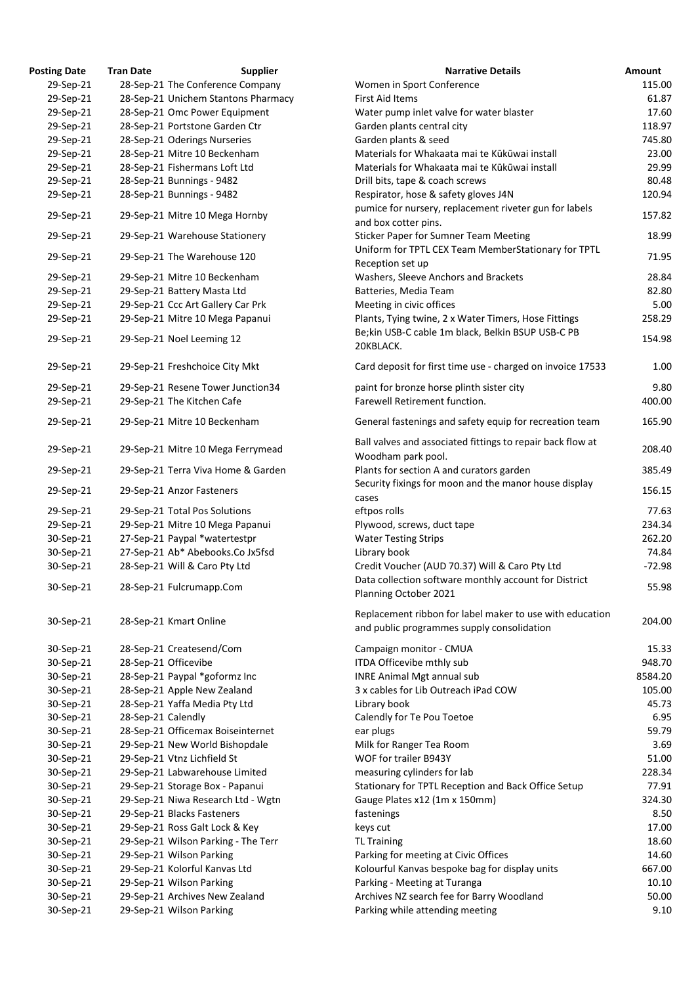| <b>Posting Date</b> | <b>Tran Date</b>   | <b>Supplier</b>                     | <b>Narrative Details</b>                                                                          |
|---------------------|--------------------|-------------------------------------|---------------------------------------------------------------------------------------------------|
| 29-Sep-21           |                    | 28-Sep-21 The Conference Company    | Women in Sport Conference                                                                         |
| 29-Sep-21           |                    | 28-Sep-21 Unichem Stantons Pharmacy | <b>First Aid Items</b>                                                                            |
| 29-Sep-21           |                    | 28-Sep-21 Omc Power Equipment       | Water pump inlet valve for water blaster                                                          |
| 29-Sep-21           |                    | 28-Sep-21 Portstone Garden Ctr      | Garden plants central city                                                                        |
| 29-Sep-21           |                    | 28-Sep-21 Oderings Nurseries        | Garden plants & seed                                                                              |
| 29-Sep-21           |                    | 28-Sep-21 Mitre 10 Beckenham        | Materials for Whakaata mai te Kūkūwai install                                                     |
| 29-Sep-21           |                    | 28-Sep-21 Fishermans Loft Ltd       | Materials for Whakaata mai te Kūkūwai install                                                     |
| 29-Sep-21           |                    | 28-Sep-21 Bunnings - 9482           | Drill bits, tape & coach screws                                                                   |
| 29-Sep-21           |                    | 28-Sep-21 Bunnings - 9482           | Respirator, hose & safety gloves J4N                                                              |
|                     |                    |                                     | pumice for nursery, replacement riveter gun for labels                                            |
| 29-Sep-21           |                    | 29-Sep-21 Mitre 10 Mega Hornby      | and box cotter pins.                                                                              |
| 29-Sep-21           |                    | 29-Sep-21 Warehouse Stationery      | <b>Sticker Paper for Sumner Team Meeting</b>                                                      |
|                     |                    |                                     | Uniform for TPTL CEX Team MemberStationary for TPTL                                               |
| 29-Sep-21           |                    | 29-Sep-21 The Warehouse 120         |                                                                                                   |
|                     |                    |                                     | Reception set up                                                                                  |
| 29-Sep-21           |                    | 29-Sep-21 Mitre 10 Beckenham        | Washers, Sleeve Anchors and Brackets                                                              |
| 29-Sep-21           |                    | 29-Sep-21 Battery Masta Ltd         | Batteries, Media Team                                                                             |
| 29-Sep-21           |                    | 29-Sep-21 Ccc Art Gallery Car Prk   | Meeting in civic offices                                                                          |
| 29-Sep-21           |                    | 29-Sep-21 Mitre 10 Mega Papanui     | Plants, Tying twine, 2 x Water Timers, Hose Fittings                                              |
| 29-Sep-21           |                    | 29-Sep-21 Noel Leeming 12           | Be;kin USB-C cable 1m black, Belkin BSUP USB-C PB<br>20KBLACK.                                    |
| 29-Sep-21           |                    | 29-Sep-21 Freshchoice City Mkt      | Card deposit for first time use - charged on invoice 17533                                        |
| 29-Sep-21           |                    | 29-Sep-21 Resene Tower Junction34   | paint for bronze horse plinth sister city                                                         |
| 29-Sep-21           |                    | 29-Sep-21 The Kitchen Cafe          | Farewell Retirement function.                                                                     |
|                     |                    |                                     |                                                                                                   |
| 29-Sep-21           |                    | 29-Sep-21 Mitre 10 Beckenham        | General fastenings and safety equip for recreation team                                           |
| 29-Sep-21           |                    | 29-Sep-21 Mitre 10 Mega Ferrymead   | Ball valves and associated fittings to repair back flow at<br>Woodham park pool.                  |
| 29-Sep-21           |                    | 29-Sep-21 Terra Viva Home & Garden  | Plants for section A and curators garden<br>Security fixings for moon and the manor house display |
| 29-Sep-21           |                    | 29-Sep-21 Anzor Fasteners           | cases                                                                                             |
| 29-Sep-21           |                    | 29-Sep-21 Total Pos Solutions       | eftpos rolls                                                                                      |
| 29-Sep-21           |                    | 29-Sep-21 Mitre 10 Mega Papanui     | Plywood, screws, duct tape                                                                        |
| 30-Sep-21           |                    | 27-Sep-21 Paypal *watertestpr       | <b>Water Testing Strips</b>                                                                       |
| 30-Sep-21           |                    | 27-Sep-21 Ab* Abebooks.Co Jx5fsd    | Library book                                                                                      |
| 30-Sep-21           |                    | 28-Sep-21 Will & Caro Pty Ltd       | Credit Voucher (AUD 70.37) Will & Caro Pty Ltd                                                    |
|                     |                    |                                     | Data collection software monthly account for District                                             |
| 30-Sep-21           |                    | 28-Sep-21 Fulcrumapp.Com            | Planning October 2021                                                                             |
|                     |                    |                                     | Replacement ribbon for label maker to use with education                                          |
| 30-Sep-21           |                    | 28-Sep-21 Kmart Online              | and public programmes supply consolidation                                                        |
|                     |                    |                                     |                                                                                                   |
| 30-Sep-21           |                    | 28-Sep-21 Createsend/Com            | Campaign monitor - CMUA                                                                           |
| 30-Sep-21           |                    | 28-Sep-21 Officevibe                | ITDA Officevibe mthly sub                                                                         |
| 30-Sep-21           |                    | 28-Sep-21 Paypal *goformz Inc       | <b>INRE Animal Mgt annual sub</b>                                                                 |
| 30-Sep-21           |                    | 28-Sep-21 Apple New Zealand         | 3 x cables for Lib Outreach iPad COW                                                              |
| 30-Sep-21           |                    | 28-Sep-21 Yaffa Media Pty Ltd       | Library book                                                                                      |
| 30-Sep-21           | 28-Sep-21 Calendly |                                     | Calendly for Te Pou Toetoe                                                                        |
| 30-Sep-21           |                    | 28-Sep-21 Officemax Boiseinternet   | ear plugs                                                                                         |
| 30-Sep-21           |                    | 29-Sep-21 New World Bishopdale      | Milk for Ranger Tea Room                                                                          |
| 30-Sep-21           |                    | 29-Sep-21 Vtnz Lichfield St         | WOF for trailer B943Y                                                                             |
| 30-Sep-21           |                    | 29-Sep-21 Labwarehouse Limited      | measuring cylinders for lab                                                                       |
| 30-Sep-21           |                    | 29-Sep-21 Storage Box - Papanui     | Stationary for TPTL Reception and Back Office Setup                                               |
| 30-Sep-21           |                    | 29-Sep-21 Niwa Research Ltd - Wgtn  | Gauge Plates x12 (1m x 150mm)                                                                     |
| 30-Sep-21           |                    | 29-Sep-21 Blacks Fasteners          | fastenings                                                                                        |
| 30-Sep-21           |                    | 29-Sep-21 Ross Galt Lock & Key      | keys cut                                                                                          |
| 30-Sep-21           |                    | 29-Sep-21 Wilson Parking - The Terr | <b>TL Training</b>                                                                                |
| 30-Sep-21           |                    | 29-Sep-21 Wilson Parking            | Parking for meeting at Civic Offices                                                              |
| 30-Sep-21           |                    | 29-Sep-21 Kolorful Kanvas Ltd       | Kolourful Kanvas bespoke bag for display units                                                    |
| 30-Sep-21           |                    | 29-Sep-21 Wilson Parking            | Parking - Meeting at Turanga                                                                      |
| 30-Sep-21           |                    | 29-Sep-21 Archives New Zealand      | Archives NZ search fee for Barry Woodland                                                         |
| 30-Sep-21           |                    | 29-Sep-21 Wilson Parking            | Parking while attending meeting                                                                   |

| <b>Posting Date</b> | <b>Tran Date</b>   | <b>Supplier</b>                     | <b>Narrative Details</b>                                                         | <b>Amount</b> |
|---------------------|--------------------|-------------------------------------|----------------------------------------------------------------------------------|---------------|
| 29-Sep-21           |                    | 28-Sep-21 The Conference Company    | Women in Sport Conference                                                        | 115.00        |
| 29-Sep-21           |                    | 28-Sep-21 Unichem Stantons Pharmacy | <b>First Aid Items</b>                                                           | 61.87         |
| 29-Sep-21           |                    | 28-Sep-21 Omc Power Equipment       | Water pump inlet valve for water blaster                                         | 17.60         |
| 29-Sep-21           |                    | 28-Sep-21 Portstone Garden Ctr      | Garden plants central city                                                       | 118.97        |
| 29-Sep-21           |                    | 28-Sep-21 Oderings Nurseries        | Garden plants & seed                                                             | 745.80        |
| 29-Sep-21           |                    | 28-Sep-21 Mitre 10 Beckenham        | Materials for Whakaata mai te Kūkūwai install                                    | 23.00         |
| 29-Sep-21           |                    | 28-Sep-21 Fishermans Loft Ltd       | Materials for Whakaata mai te Kūkūwai install                                    | 29.99         |
| 29-Sep-21           |                    | 28-Sep-21 Bunnings - 9482           | Drill bits, tape & coach screws                                                  | 80.48         |
| 29-Sep-21           |                    | 28-Sep-21 Bunnings - 9482           | Respirator, hose & safety gloves J4N                                             | 120.94        |
|                     |                    |                                     | pumice for nursery, replacement riveter gun for labels                           |               |
| 29-Sep-21           |                    | 29-Sep-21 Mitre 10 Mega Hornby      | and box cotter pins.                                                             | 157.82        |
| 29-Sep-21           |                    | 29-Sep-21 Warehouse Stationery      | <b>Sticker Paper for Sumner Team Meeting</b>                                     | 18.99         |
|                     |                    |                                     | Uniform for TPTL CEX Team MemberStationary for TPTL                              |               |
| 29-Sep-21           |                    | 29-Sep-21 The Warehouse 120         | Reception set up                                                                 | 71.95         |
| 29-Sep-21           |                    | 29-Sep-21 Mitre 10 Beckenham        | Washers, Sleeve Anchors and Brackets                                             | 28.84         |
| 29-Sep-21           |                    | 29-Sep-21 Battery Masta Ltd         | Batteries, Media Team                                                            | 82.80         |
| 29-Sep-21           |                    | 29-Sep-21 Ccc Art Gallery Car Prk   | Meeting in civic offices                                                         | 5.00          |
| 29-Sep-21           |                    | 29-Sep-21 Mitre 10 Mega Papanui     | Plants, Tying twine, 2 x Water Timers, Hose Fittings                             | 258.29        |
|                     |                    |                                     | Be;kin USB-C cable 1m black, Belkin BSUP USB-C PB                                |               |
| 29-Sep-21           |                    | 29-Sep-21 Noel Leeming 12           |                                                                                  | 154.98        |
|                     |                    |                                     | 20KBLACK.                                                                        |               |
| 29-Sep-21           |                    | 29-Sep-21 Freshchoice City Mkt      | Card deposit for first time use - charged on invoice 17533                       | 1.00          |
| 29-Sep-21           |                    | 29-Sep-21 Resene Tower Junction34   | paint for bronze horse plinth sister city                                        | 9.80          |
| 29-Sep-21           |                    | 29-Sep-21 The Kitchen Cafe          | Farewell Retirement function.                                                    | 400.00        |
| 29-Sep-21           |                    | 29-Sep-21 Mitre 10 Beckenham        | General fastenings and safety equip for recreation team                          | 165.90        |
|                     |                    |                                     |                                                                                  |               |
| 29-Sep-21           |                    | 29-Sep-21 Mitre 10 Mega Ferrymead   | Ball valves and associated fittings to repair back flow at<br>Woodham park pool. | 208.40        |
| 29-Sep-21           |                    | 29-Sep-21 Terra Viva Home & Garden  | Plants for section A and curators garden                                         | 385.49        |
|                     |                    |                                     | Security fixings for moon and the manor house display                            |               |
| 29-Sep-21           |                    | 29-Sep-21 Anzor Fasteners           | cases                                                                            | 156.15        |
| 29-Sep-21           |                    | 29-Sep-21 Total Pos Solutions       | eftpos rolls                                                                     | 77.63         |
| 29-Sep-21           |                    | 29-Sep-21 Mitre 10 Mega Papanui     | Plywood, screws, duct tape                                                       | 234.34        |
| 30-Sep-21           |                    | 27-Sep-21 Paypal *watertestpr       | <b>Water Testing Strips</b>                                                      | 262.20        |
| 30-Sep-21           |                    | 27-Sep-21 Ab* Abebooks.Co Jx5fsd    | Library book                                                                     | 74.84         |
| 30-Sep-21           |                    | 28-Sep-21 Will & Caro Pty Ltd       | Credit Voucher (AUD 70.37) Will & Caro Pty Ltd                                   | $-72.98$      |
|                     |                    |                                     | Data collection software monthly account for District                            |               |
| 30-Sep-21           |                    | 28-Sep-21 Fulcrumapp.Com            | Planning October 2021                                                            | 55.98         |
|                     |                    |                                     |                                                                                  |               |
| 30-Sep-21           |                    | 28-Sep-21 Kmart Online              | Replacement ribbon for label maker to use with education                         | 204.00        |
|                     |                    |                                     | and public programmes supply consolidation                                       |               |
| 30-Sep-21           |                    | 28-Sep-21 Createsend/Com            | Campaign monitor - CMUA                                                          | 15.33         |
| 30-Sep-21           |                    | 28-Sep-21 Officevibe                | ITDA Officevibe mthly sub                                                        | 948.70        |
| 30-Sep-21           |                    | 28-Sep-21 Paypal *goformz Inc       | <b>INRE Animal Mgt annual sub</b>                                                | 8584.20       |
| 30-Sep-21           |                    | 28-Sep-21 Apple New Zealand         | 3 x cables for Lib Outreach iPad COW                                             | 105.00        |
| 30-Sep-21           |                    | 28-Sep-21 Yaffa Media Pty Ltd       | Library book                                                                     | 45.73         |
| 30-Sep-21           | 28-Sep-21 Calendly |                                     | Calendly for Te Pou Toetoe                                                       | 6.95          |
| 30-Sep-21           |                    | 28-Sep-21 Officemax Boiseinternet   | ear plugs                                                                        | 59.79         |
|                     |                    |                                     |                                                                                  |               |
| 30-Sep-21           |                    | 29-Sep-21 New World Bishopdale      | Milk for Ranger Tea Room<br>WOF for trailer B943Y                                | 3.69          |
| 30-Sep-21           |                    | 29-Sep-21 Vtnz Lichfield St         |                                                                                  | 51.00         |
| 30-Sep-21           |                    | 29-Sep-21 Labwarehouse Limited      | measuring cylinders for lab                                                      | 228.34        |
| 30-Sep-21           |                    | 29-Sep-21 Storage Box - Papanui     | Stationary for TPTL Reception and Back Office Setup                              | 77.91         |
| 30-Sep-21           |                    | 29-Sep-21 Niwa Research Ltd - Wgtn  | Gauge Plates x12 (1m x 150mm)                                                    | 324.30        |
| 30-Sep-21           |                    | 29-Sep-21 Blacks Fasteners          | fastenings                                                                       | 8.50          |
| 30-Sep-21           |                    | 29-Sep-21 Ross Galt Lock & Key      | keys cut                                                                         | 17.00         |
| 30-Sep-21           |                    | 29-Sep-21 Wilson Parking - The Terr | <b>TL Training</b>                                                               | 18.60         |
| 30-Sep-21           |                    | 29-Sep-21 Wilson Parking            | Parking for meeting at Civic Offices                                             | 14.60         |
| 30-Sep-21           |                    | 29-Sep-21 Kolorful Kanvas Ltd       | Kolourful Kanvas bespoke bag for display units                                   | 667.00        |
| 30-Sep-21           |                    | 29-Sep-21 Wilson Parking            | Parking - Meeting at Turanga                                                     | 10.10         |
| 30-Sep-21           |                    | 29-Sep-21 Archives New Zealand      | Archives NZ search fee for Barry Woodland                                        | 50.00         |
| 30-Sep-21           |                    | 29-Sep-21 Wilson Parking            | Parking while attending meeting                                                  | 9.10          |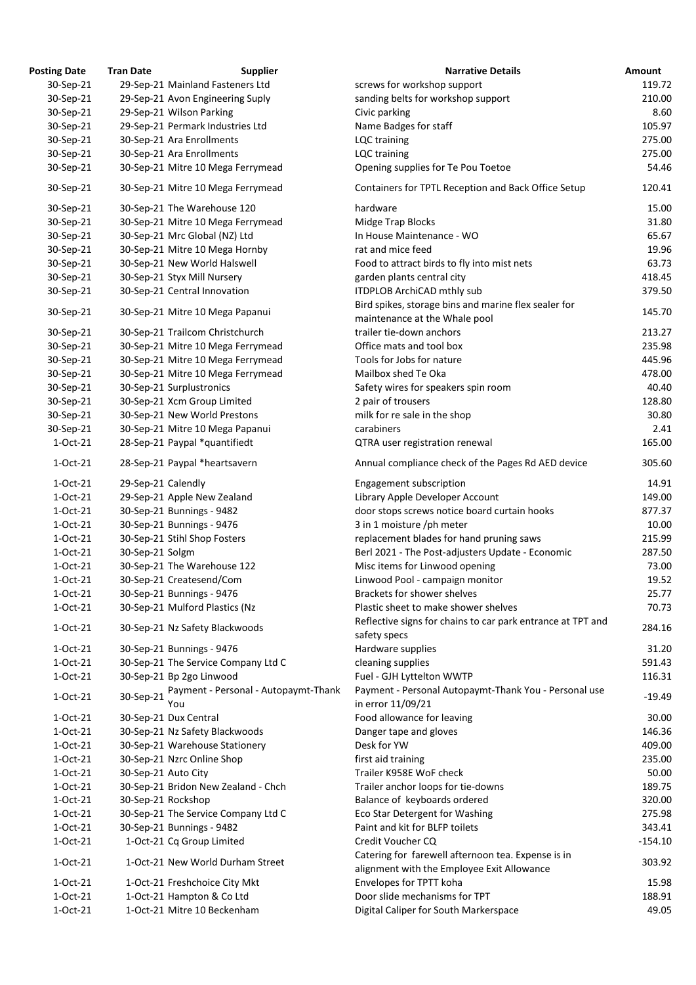| <b>Posting Date</b> | <b>Tran Date</b>    | <b>Supplier</b>                      | <b>Narrative Details</b>                                                                         |
|---------------------|---------------------|--------------------------------------|--------------------------------------------------------------------------------------------------|
| 30-Sep-21           |                     | 29-Sep-21 Mainland Fasteners Ltd     | screws for workshop support                                                                      |
| 30-Sep-21           |                     | 29-Sep-21 Avon Engineering Suply     | sanding belts for workshop support                                                               |
| 30-Sep-21           |                     | 29-Sep-21 Wilson Parking             | Civic parking                                                                                    |
| 30-Sep-21           |                     | 29-Sep-21 Permark Industries Ltd     | Name Badges for staff                                                                            |
| 30-Sep-21           |                     | 30-Sep-21 Ara Enrollments            | LQC training                                                                                     |
| 30-Sep-21           |                     | 30-Sep-21 Ara Enrollments            | LQC training                                                                                     |
| 30-Sep-21           |                     | 30-Sep-21 Mitre 10 Mega Ferrymead    | Opening supplies for Te Pou Toetoe                                                               |
| 30-Sep-21           |                     | 30-Sep-21 Mitre 10 Mega Ferrymead    | Containers for TPTL Reception and Back Office Setup                                              |
| 30-Sep-21           |                     | 30-Sep-21 The Warehouse 120          | hardware                                                                                         |
| 30-Sep-21           |                     | 30-Sep-21 Mitre 10 Mega Ferrymead    | Midge Trap Blocks                                                                                |
| 30-Sep-21           |                     | 30-Sep-21 Mrc Global (NZ) Ltd        | In House Maintenance - WO                                                                        |
| 30-Sep-21           |                     | 30-Sep-21 Mitre 10 Mega Hornby       | rat and mice feed                                                                                |
| 30-Sep-21           |                     | 30-Sep-21 New World Halswell         | Food to attract birds to fly into mist nets                                                      |
| 30-Sep-21           |                     | 30-Sep-21 Styx Mill Nursery          | garden plants central city                                                                       |
| 30-Sep-21           |                     | 30-Sep-21 Central Innovation         | ITDPLOB ArchiCAD mthly sub                                                                       |
| 30-Sep-21           |                     | 30-Sep-21 Mitre 10 Mega Papanui      | Bird spikes, storage bins and marine flex sealer for<br>maintenance at the Whale pool            |
| 30-Sep-21           |                     | 30-Sep-21 Trailcom Christchurch      | trailer tie-down anchors                                                                         |
| 30-Sep-21           |                     | 30-Sep-21 Mitre 10 Mega Ferrymead    | Office mats and tool box                                                                         |
| 30-Sep-21           |                     | 30-Sep-21 Mitre 10 Mega Ferrymead    | Tools for Jobs for nature                                                                        |
| 30-Sep-21           |                     | 30-Sep-21 Mitre 10 Mega Ferrymead    | Mailbox shed Te Oka                                                                              |
| 30-Sep-21           |                     | 30-Sep-21 Surplustronics             | Safety wires for speakers spin room                                                              |
| 30-Sep-21           |                     | 30-Sep-21 Xcm Group Limited          | 2 pair of trousers                                                                               |
| 30-Sep-21           |                     | 30-Sep-21 New World Prestons         | milk for re sale in the shop                                                                     |
| 30-Sep-21           |                     | 30-Sep-21 Mitre 10 Mega Papanui      | carabiners                                                                                       |
| 1-Oct-21            |                     | 28-Sep-21 Paypal *quantifiedt        | QTRA user registration renewal                                                                   |
| 1-Oct-21            |                     | 28-Sep-21 Paypal *heartsavern        | Annual compliance check of the Pages Rd AED device                                               |
| 1-Oct-21            | 29-Sep-21 Calendly  |                                      | Engagement subscription                                                                          |
| 1-Oct-21            |                     | 29-Sep-21 Apple New Zealand          | Library Apple Developer Account                                                                  |
| 1-Oct-21            |                     | 30-Sep-21 Bunnings - 9482            | door stops screws notice board curtain hooks                                                     |
| 1-Oct-21            |                     | 30-Sep-21 Bunnings - 9476            | 3 in 1 moisture /ph meter                                                                        |
| 1-Oct-21            |                     | 30-Sep-21 Stihl Shop Fosters         | replacement blades for hand pruning saws                                                         |
| 1-Oct-21            | 30-Sep-21 Solgm     |                                      | Berl 2021 - The Post-adjusters Update - Economic                                                 |
| 1-Oct-21            |                     | 30-Sep-21 The Warehouse 122          | Misc items for Linwood opening                                                                   |
| $1-Oct-21$          |                     | 30-Sep-21 Createsend/Com             | Linwood Pool - campaign monitor                                                                  |
| 1-Oct-21            |                     | 30-Sep-21 Bunnings - 9476            | Brackets for shower shelves                                                                      |
| 1-Oct-21            |                     | 30-Sep-21 Mulford Plastics (Nz       | Plastic sheet to make shower shelves                                                             |
| $1-Oct-21$          |                     | 30-Sep-21 Nz Safety Blackwoods       | Reflective signs for chains to car park entrance at TPT and<br>safety specs                      |
| $1-Oct-21$          |                     | 30-Sep-21 Bunnings - 9476            | Hardware supplies                                                                                |
| $1-Oct-21$          |                     | 30-Sep-21 The Service Company Ltd C  | cleaning supplies                                                                                |
| $1-Oct-21$          |                     | 30-Sep-21 Bp 2go Linwood             | Fuel - GJH Lyttelton WWTP                                                                        |
|                     |                     | Payment - Personal - Autopaymt-Thank | Payment - Personal Autopaymt-Thank You - Personal use                                            |
| $1-Oct-21$          | 30-Sep-21           | You                                  | in error 11/09/21                                                                                |
| 1-Oct-21            |                     | 30-Sep-21 Dux Central                | Food allowance for leaving                                                                       |
| $1-Oct-21$          |                     | 30-Sep-21 Nz Safety Blackwoods       | Danger tape and gloves                                                                           |
| 1-Oct-21            |                     | 30-Sep-21 Warehouse Stationery       | Desk for YW                                                                                      |
| $1-Oct-21$          |                     | 30-Sep-21 Nzrc Online Shop           | first aid training                                                                               |
| 1-Oct-21            | 30-Sep-21 Auto City |                                      | Trailer K958E WoF check                                                                          |
| 1-Oct-21            |                     | 30-Sep-21 Bridon New Zealand - Chch  | Trailer anchor loops for tie-downs                                                               |
| 1-Oct-21            |                     | 30-Sep-21 Rockshop                   | Balance of keyboards ordered                                                                     |
| 1-Oct-21            |                     | 30-Sep-21 The Service Company Ltd C  | Eco Star Detergent for Washing                                                                   |
| 1-Oct-21            |                     | 30-Sep-21 Bunnings - 9482            | Paint and kit for BLFP toilets                                                                   |
| 1-Oct-21            |                     | 1-Oct-21 Cq Group Limited            | Credit Voucher CQ                                                                                |
| $1-Oct-21$          |                     | 1-Oct-21 New World Durham Street     | Catering for farewell afternoon tea. Expense is in<br>alignment with the Employee Exit Allowance |
| $1-Oct-21$          |                     | 1-Oct-21 Freshchoice City Mkt        | Envelopes for TPTT koha                                                                          |
| 1-Oct-21            |                     | 1-Oct-21 Hampton & Co Ltd            | Door slide mechanisms for TPT                                                                    |
| 1-Oct-21            |                     | 1-Oct-21 Mitre 10 Beckenham          | Digital Caliper for South Markerspace                                                            |
|                     |                     |                                      |                                                                                                  |

| <b>Posting Date</b> | <b>Tran Date</b>    | <b>Supplier</b>                             | <b>Narrative Details</b>                                                   | Amount    |
|---------------------|---------------------|---------------------------------------------|----------------------------------------------------------------------------|-----------|
| 30-Sep-21           |                     | 29-Sep-21 Mainland Fasteners Ltd            | screws for workshop support                                                | 119.72    |
| 30-Sep-21           |                     | 29-Sep-21 Avon Engineering Suply            | sanding belts for workshop support                                         | 210.00    |
| 30-Sep-21           |                     | 29-Sep-21 Wilson Parking                    | Civic parking                                                              | 8.60      |
| 30-Sep-21           |                     | 29-Sep-21 Permark Industries Ltd            | Name Badges for staff                                                      | 105.97    |
| 30-Sep-21           |                     | 30-Sep-21 Ara Enrollments                   | LQC training                                                               | 275.00    |
| 30-Sep-21           |                     | 30-Sep-21 Ara Enrollments                   | LQC training                                                               | 275.00    |
| 30-Sep-21           |                     | 30-Sep-21 Mitre 10 Mega Ferrymead           | Opening supplies for Te Pou Toetoe                                         | 54.46     |
| 30-Sep-21           |                     | 30-Sep-21 Mitre 10 Mega Ferrymead           | Containers for TPTL Reception and Back Office Setup                        | 120.41    |
| 30-Sep-21           |                     | 30-Sep-21 The Warehouse 120                 | hardware                                                                   | 15.00     |
| 30-Sep-21           |                     | 30-Sep-21 Mitre 10 Mega Ferrymead           | Midge Trap Blocks                                                          | 31.80     |
| 30-Sep-21           |                     | 30-Sep-21 Mrc Global (NZ) Ltd               | In House Maintenance - WO                                                  | 65.67     |
| 30-Sep-21           |                     | 30-Sep-21 Mitre 10 Mega Hornby              | rat and mice feed                                                          | 19.96     |
| 30-Sep-21           |                     | 30-Sep-21 New World Halswell                | Food to attract birds to fly into mist nets                                | 63.73     |
| 30-Sep-21           |                     | 30-Sep-21 Styx Mill Nursery                 | garden plants central city                                                 | 418.45    |
| 30-Sep-21           |                     | 30-Sep-21 Central Innovation                | ITDPLOB ArchiCAD mthly sub                                                 | 379.50    |
| 30-Sep-21           |                     | 30-Sep-21 Mitre 10 Mega Papanui             | Bird spikes, storage bins and marine flex sealer for                       | 145.70    |
|                     |                     |                                             | maintenance at the Whale pool                                              |           |
| 30-Sep-21           |                     | 30-Sep-21 Trailcom Christchurch             | trailer tie-down anchors                                                   | 213.27    |
| 30-Sep-21           |                     | 30-Sep-21 Mitre 10 Mega Ferrymead           | Office mats and tool box                                                   | 235.98    |
| 30-Sep-21           |                     | 30-Sep-21 Mitre 10 Mega Ferrymead           | Tools for Jobs for nature                                                  | 445.96    |
| 30-Sep-21           |                     | 30-Sep-21 Mitre 10 Mega Ferrymead           | Mailbox shed Te Oka                                                        | 478.00    |
| 30-Sep-21           |                     | 30-Sep-21 Surplustronics                    | Safety wires for speakers spin room                                        | 40.40     |
| 30-Sep-21           |                     | 30-Sep-21 Xcm Group Limited                 | 2 pair of trousers                                                         | 128.80    |
| 30-Sep-21           |                     | 30-Sep-21 New World Prestons                | milk for re sale in the shop                                               | 30.80     |
| 30-Sep-21           |                     | 30-Sep-21 Mitre 10 Mega Papanui             | carabiners                                                                 | 2.41      |
| 1-Oct-21            |                     | 28-Sep-21 Paypal *quantifiedt               | QTRA user registration renewal                                             | 165.00    |
| 1-Oct-21            |                     | 28-Sep-21 Paypal *heartsavern               | Annual compliance check of the Pages Rd AED device                         | 305.60    |
| 1-Oct-21            | 29-Sep-21 Calendly  |                                             | Engagement subscription                                                    | 14.91     |
| 1-Oct-21            |                     | 29-Sep-21 Apple New Zealand                 | Library Apple Developer Account                                            | 149.00    |
| 1-Oct-21            |                     | 30-Sep-21 Bunnings - 9482                   | door stops screws notice board curtain hooks                               | 877.37    |
| 1-Oct-21            |                     | 30-Sep-21 Bunnings - 9476                   | 3 in 1 moisture /ph meter                                                  | 10.00     |
| 1-Oct-21            |                     | 30-Sep-21 Stihl Shop Fosters                | replacement blades for hand pruning saws                                   | 215.99    |
| 1-Oct-21            | 30-Sep-21 Solgm     |                                             | Berl 2021 - The Post-adjusters Update - Economic                           | 287.50    |
| 1-Oct-21            |                     | 30-Sep-21 The Warehouse 122                 | Misc items for Linwood opening                                             | 73.00     |
| 1-Oct-21            |                     | 30-Sep-21 Createsend/Com                    | Linwood Pool - campaign monitor                                            | 19.52     |
| 1-Oct-21            |                     | 30-Sep-21 Bunnings - 9476                   | Brackets for shower shelves                                                | 25.77     |
| 1-Oct-21            |                     | 30-Sep-21 Mulford Plastics (Nz              | Plastic sheet to make shower shelves                                       | 70.73     |
| 1-Oct-21            |                     | 30-Sep-21 Nz Safety Blackwoods              | Reflective signs for chains to car park entrance at TPT and                | 284.16    |
|                     |                     |                                             | safety specs                                                               |           |
| $1-Oct-21$          |                     | 30-Sep-21 Bunnings - 9476                   | Hardware supplies                                                          | 31.20     |
| 1-Oct-21            |                     | 30-Sep-21 The Service Company Ltd C         | cleaning supplies                                                          | 591.43    |
| 1-Oct-21            |                     | 30-Sep-21 Bp 2go Linwood                    | Fuel - GJH Lyttelton WWTP                                                  | 116.31    |
| $1-Oct-21$          | 30-Sep-21           | Payment - Personal - Autopaymt-Thank<br>You | Payment - Personal Autopaymt-Thank You - Personal use<br>in error 11/09/21 | -19.49    |
| 1-Oct-21            |                     | 30-Sep-21 Dux Central                       | Food allowance for leaving                                                 | 30.00     |
| 1-Oct-21            |                     | 30-Sep-21 Nz Safety Blackwoods              | Danger tape and gloves                                                     | 146.36    |
| 1-Oct-21            |                     | 30-Sep-21 Warehouse Stationery              | Desk for YW                                                                | 409.00    |
| 1-Oct-21            |                     | 30-Sep-21 Nzrc Online Shop                  | first aid training                                                         | 235.00    |
| 1-Oct-21            | 30-Sep-21 Auto City |                                             | Trailer K958E WoF check                                                    | 50.00     |
| 1-Oct-21            |                     | 30-Sep-21 Bridon New Zealand - Chch         | Trailer anchor loops for tie-downs                                         | 189.75    |
| 1-Oct-21            | 30-Sep-21 Rockshop  |                                             | Balance of keyboards ordered                                               | 320.00    |
| 1-Oct-21            |                     | 30-Sep-21 The Service Company Ltd C         | Eco Star Detergent for Washing                                             | 275.98    |
| 1-Oct-21            |                     | 30-Sep-21 Bunnings - 9482                   | Paint and kit for BLFP toilets                                             | 343.41    |
| 1-Oct-21            |                     | 1-Oct-21 Cq Group Limited                   | Credit Voucher CQ                                                          | $-154.10$ |
|                     |                     |                                             | Catering for farewell afternoon tea. Expense is in                         |           |
| 1-Oct-21            |                     | 1-Oct-21 New World Durham Street            | alignment with the Employee Exit Allowance                                 | 303.92    |
| 1-Oct-21            |                     | 1-Oct-21 Freshchoice City Mkt               | Envelopes for TPTT koha                                                    | 15.98     |
| 1-Oct-21            |                     | 1-Oct-21 Hampton & Co Ltd                   | Door slide mechanisms for TPT                                              | 188.91    |
| 1-Oct-21            |                     | 1-Oct-21 Mitre 10 Beckenham                 | Digital Caliper for South Markerspace                                      | 49.05     |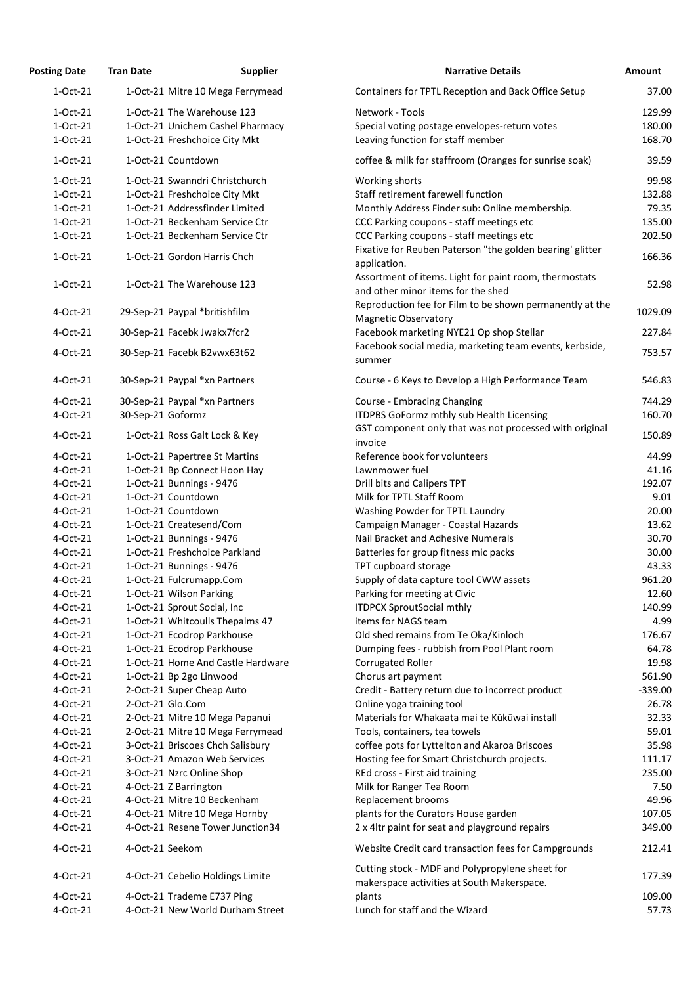| <b>Posting Date</b>  | <b>Tran Date</b>  | <b>Supplier</b>                                                 | <b>Narrative Details</b>                                                                            | Amount    |
|----------------------|-------------------|-----------------------------------------------------------------|-----------------------------------------------------------------------------------------------------|-----------|
| 1-Oct-21             |                   | 1-Oct-21 Mitre 10 Mega Ferrymead                                | Containers for TPTL Reception and Back Office Setup                                                 | 37.00     |
| 1-Oct-21             |                   | 1-Oct-21 The Warehouse 123                                      | Network - Tools                                                                                     | 129.99    |
| 1-Oct-21             |                   | 1-Oct-21 Unichem Cashel Pharmacy                                | Special voting postage envelopes-return votes                                                       | 180.00    |
| $1-Oct-21$           |                   | 1-Oct-21 Freshchoice City Mkt                                   | Leaving function for staff member                                                                   | 168.70    |
| 1-Oct-21             |                   | 1-Oct-21 Countdown                                              | coffee & milk for staffroom (Oranges for sunrise soak)                                              | 39.59     |
|                      |                   |                                                                 |                                                                                                     | 99.98     |
| 1-Oct-21<br>1-Oct-21 |                   | 1-Oct-21 Swanndri Christchurch<br>1-Oct-21 Freshchoice City Mkt | Working shorts<br>Staff retirement farewell function                                                | 132.88    |
| 1-Oct-21             |                   | 1-Oct-21 Addressfinder Limited                                  | Monthly Address Finder sub: Online membership.                                                      | 79.35     |
| 1-Oct-21             |                   | 1-Oct-21 Beckenham Service Ctr                                  | CCC Parking coupons - staff meetings etc                                                            | 135.00    |
| 1-Oct-21             |                   | 1-Oct-21 Beckenham Service Ctr                                  | CCC Parking coupons - staff meetings etc                                                            | 202.50    |
|                      |                   |                                                                 | Fixative for Reuben Paterson "the golden bearing' glitter                                           |           |
| 1-Oct-21             |                   | 1-Oct-21 Gordon Harris Chch                                     | application.                                                                                        | 166.36    |
| 1-Oct-21             |                   | 1-Oct-21 The Warehouse 123                                      | Assortment of items. Light for paint room, thermostats<br>and other minor items for the shed        | 52.98     |
| 4-Oct-21             |                   | 29-Sep-21 Paypal *britishfilm                                   | Reproduction fee for Film to be shown permanently at the                                            | 1029.09   |
|                      |                   |                                                                 | <b>Magnetic Observatory</b>                                                                         | 227.84    |
| 4-Oct-21             |                   | 30-Sep-21 Facebk Jwakx7fcr2                                     | Facebook marketing NYE21 Op shop Stellar<br>Facebook social media, marketing team events, kerbside, |           |
| 4-Oct-21             |                   | 30-Sep-21 Facebk B2vwx63t62                                     | summer                                                                                              | 753.57    |
| 4-Oct-21             |                   | 30-Sep-21 Paypal *xn Partners                                   | Course - 6 Keys to Develop a High Performance Team                                                  | 546.83    |
| 4-Oct-21             |                   | 30-Sep-21 Paypal *xn Partners                                   | Course - Embracing Changing                                                                         | 744.29    |
| 4-Oct-21             | 30-Sep-21 Goformz |                                                                 | ITDPBS GoFormz mthly sub Health Licensing                                                           | 160.70    |
| 4-Oct-21             |                   | 1-Oct-21 Ross Galt Lock & Key                                   | GST component only that was not processed with original<br>invoice                                  | 150.89    |
| 4-Oct-21             |                   | 1-Oct-21 Papertree St Martins                                   | Reference book for volunteers                                                                       | 44.99     |
| 4-Oct-21             |                   | 1-Oct-21 Bp Connect Hoon Hay                                    | Lawnmower fuel                                                                                      | 41.16     |
| 4-Oct-21             |                   | 1-Oct-21 Bunnings - 9476                                        | Drill bits and Calipers TPT                                                                         | 192.07    |
| 4-Oct-21             |                   | 1-Oct-21 Countdown                                              | Milk for TPTL Staff Room                                                                            | 9.01      |
| 4-Oct-21             |                   | 1-Oct-21 Countdown                                              | Washing Powder for TPTL Laundry                                                                     | 20.00     |
| $4$ -Oct-21          |                   | 1-Oct-21 Createsend/Com                                         | Campaign Manager - Coastal Hazards                                                                  | 13.62     |
| $4$ -Oct-21          |                   | 1-Oct-21 Bunnings - 9476                                        | Nail Bracket and Adhesive Numerals                                                                  | 30.70     |
| 4-Oct-21             |                   | 1-Oct-21 Freshchoice Parkland                                   | Batteries for group fitness mic packs                                                               | 30.00     |
| 4-Oct-21             |                   | 1-Oct-21 Bunnings - 9476                                        | TPT cupboard storage                                                                                | 43.33     |
| 4-Oct-21             |                   | 1-Oct-21 Fulcrumapp.Com                                         | Supply of data capture tool CWW assets                                                              | 961.20    |
| 4-Oct-21             |                   | 1-Oct-21 Wilson Parking                                         | Parking for meeting at Civic                                                                        | 12.60     |
| 4-Oct-21             |                   | 1-Oct-21 Sprout Social, Inc                                     | <b>ITDPCX SproutSocial mthly</b>                                                                    | 140.99    |
| 4-Oct-21             |                   | 1-Oct-21 Whitcoulls Thepalms 47                                 | items for NAGS team                                                                                 | 4.99      |
| 4-Oct-21             |                   | 1-Oct-21 Ecodrop Parkhouse                                      | Old shed remains from Te Oka/Kinloch                                                                | 176.67    |
| 4-Oct-21             |                   | 1-Oct-21 Ecodrop Parkhouse                                      | Dumping fees - rubbish from Pool Plant room                                                         | 64.78     |
| 4-Oct-21             |                   | 1-Oct-21 Home And Castle Hardware                               | <b>Corrugated Roller</b>                                                                            | 19.98     |
| 4-Oct-21             |                   | 1-Oct-21 Bp 2go Linwood                                         | Chorus art payment                                                                                  | 561.90    |
| 4-Oct-21             |                   | 2-Oct-21 Super Cheap Auto                                       | Credit - Battery return due to incorrect product                                                    | $-339.00$ |
| 4-Oct-21             |                   | 2-Oct-21 Glo.Com                                                | Online yoga training tool                                                                           | 26.78     |
| 4-Oct-21             |                   | 2-Oct-21 Mitre 10 Mega Papanui                                  | Materials for Whakaata mai te Kūkūwai install                                                       | 32.33     |
| 4-Oct-21             |                   | 2-Oct-21 Mitre 10 Mega Ferrymead                                | Tools, containers, tea towels                                                                       | 59.01     |
| 4-Oct-21             |                   | 3-Oct-21 Briscoes Chch Salisbury                                | coffee pots for Lyttelton and Akaroa Briscoes                                                       | 35.98     |
| 4-Oct-21             |                   | 3-Oct-21 Amazon Web Services                                    | Hosting fee for Smart Christchurch projects.                                                        | 111.17    |
| 4-Oct-21             |                   | 3-Oct-21 Nzrc Online Shop                                       | REd cross - First aid training                                                                      | 235.00    |
| 4-Oct-21             |                   | 4-Oct-21 Z Barrington                                           | Milk for Ranger Tea Room                                                                            | 7.50      |
| 4-Oct-21             |                   | 4-Oct-21 Mitre 10 Beckenham                                     | Replacement brooms                                                                                  | 49.96     |
| 4-Oct-21             |                   | 4-Oct-21 Mitre 10 Mega Hornby                                   | plants for the Curators House garden                                                                | 107.05    |
| 4-Oct-21             |                   | 4-Oct-21 Resene Tower Junction34                                | 2 x 4ltr paint for seat and playground repairs                                                      | 349.00    |
| 4-Oct-21             | 4-Oct-21 Seekom   |                                                                 | Website Credit card transaction fees for Campgrounds                                                | 212.41    |
| 4-Oct-21             |                   | 4-Oct-21 Cebelio Holdings Limite                                | Cutting stock - MDF and Polypropylene sheet for                                                     | 177.39    |
|                      |                   |                                                                 | makerspace activities at South Makerspace.                                                          |           |
| 4-Oct-21             |                   | 4-Oct-21 Trademe E737 Ping                                      | plants                                                                                              | 109.00    |
| 4-Oct-21             |                   | 4-Oct-21 New World Durham Street                                | Lunch for staff and the Wizard                                                                      | 57.73     |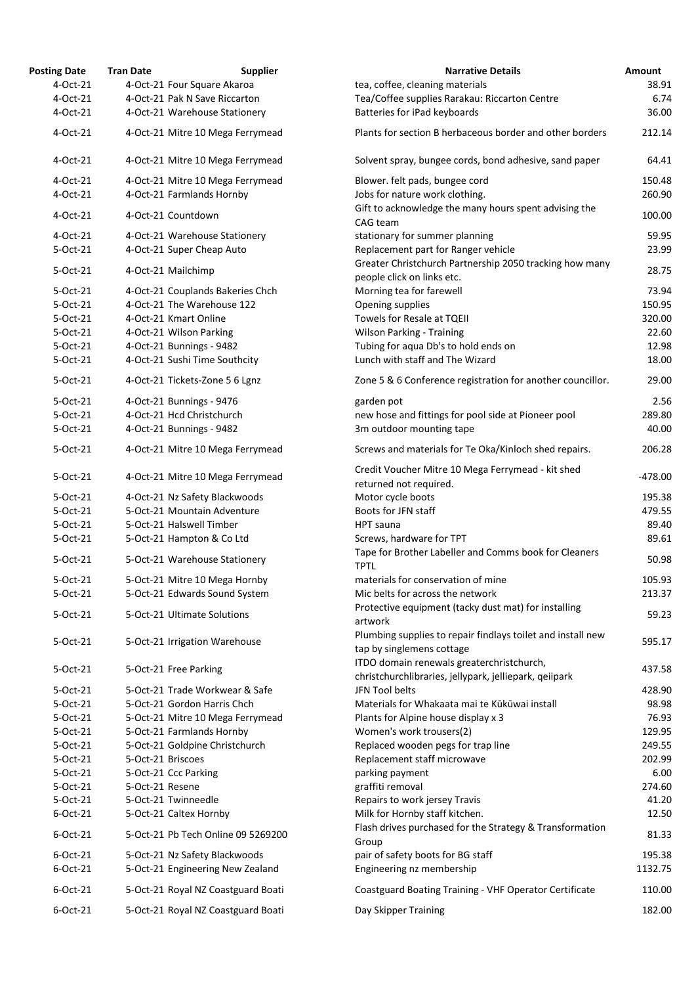| <b>Posting Date</b>  | <b>Tran Date</b>  | <b>Supplier</b>                    | <b>Narrative Details</b>                                                                            | Amount           |
|----------------------|-------------------|------------------------------------|-----------------------------------------------------------------------------------------------------|------------------|
| 4-Oct-21             |                   | 4-Oct-21 Four Square Akaroa        | tea, coffee, cleaning materials                                                                     | 38.91            |
| 4-Oct-21             |                   | 4-Oct-21 Pak N Save Riccarton      | Tea/Coffee supplies Rarakau: Riccarton Centre                                                       | 6.74             |
| 4-Oct-21             |                   | 4-Oct-21 Warehouse Stationery      | Batteries for iPad keyboards                                                                        | 36.00            |
| 4-Oct-21             |                   | 4-Oct-21 Mitre 10 Mega Ferrymead   | Plants for section B herbaceous border and other borders                                            | 212.14           |
| 4-Oct-21             |                   | 4-Oct-21 Mitre 10 Mega Ferrymead   | Solvent spray, bungee cords, bond adhesive, sand paper                                              | 64.41            |
| 4-Oct-21             |                   | 4-Oct-21 Mitre 10 Mega Ferrymead   | Blower. felt pads, bungee cord                                                                      | 150.48           |
| 4-Oct-21             |                   | 4-Oct-21 Farmlands Hornby          | Jobs for nature work clothing.                                                                      | 260.90           |
| 4-Oct-21             |                   | 4-Oct-21 Countdown                 | Gift to acknowledge the many hours spent advising the                                               | 100.00           |
|                      |                   |                                    | CAG team                                                                                            |                  |
| 4-Oct-21             |                   | 4-Oct-21 Warehouse Stationery      | stationary for summer planning                                                                      | 59.95            |
| 5-Oct-21             |                   | 4-Oct-21 Super Cheap Auto          | Replacement part for Ranger vehicle                                                                 | 23.99            |
| 5-Oct-21             |                   | 4-Oct-21 Mailchimp                 | Greater Christchurch Partnership 2050 tracking how many<br>people click on links etc.               | 28.75            |
| 5-Oct-21             |                   | 4-Oct-21 Couplands Bakeries Chch   | Morning tea for farewell                                                                            | 73.94            |
| 5-Oct-21             |                   | 4-Oct-21 The Warehouse 122         | Opening supplies                                                                                    | 150.95           |
| 5-Oct-21             |                   | 4-Oct-21 Kmart Online              | Towels for Resale at TQEII                                                                          | 320.00           |
| 5-Oct-21             |                   | 4-Oct-21 Wilson Parking            | <b>Wilson Parking - Training</b>                                                                    | 22.60            |
| 5-Oct-21             |                   | 4-Oct-21 Bunnings - 9482           | Tubing for aqua Db's to hold ends on                                                                | 12.98            |
| 5-Oct-21             |                   | 4-Oct-21 Sushi Time Southcity      | Lunch with staff and The Wizard                                                                     | 18.00            |
| 5-Oct-21             |                   | 4-Oct-21 Tickets-Zone 5 6 Lgnz     | Zone 5 & 6 Conference registration for another councillor.                                          | 29.00            |
| 5-Oct-21             |                   | 4-Oct-21 Bunnings - 9476           | garden pot                                                                                          | 2.56             |
| 5-Oct-21             |                   | 4-Oct-21 Hcd Christchurch          | new hose and fittings for pool side at Pioneer pool                                                 | 289.80           |
| 5-Oct-21             |                   | 4-Oct-21 Bunnings - 9482           | 3m outdoor mounting tape                                                                            | 40.00            |
| 5-Oct-21             |                   | 4-Oct-21 Mitre 10 Mega Ferrymead   | Screws and materials for Te Oka/Kinloch shed repairs.                                               | 206.28           |
| 5-Oct-21             |                   | 4-Oct-21 Mitre 10 Mega Ferrymead   | Credit Voucher Mitre 10 Mega Ferrymead - kit shed<br>returned not required.                         | $-478.00$        |
| 5-Oct-21             |                   | 4-Oct-21 Nz Safety Blackwoods      | Motor cycle boots                                                                                   | 195.38           |
| 5-Oct-21             |                   | 5-Oct-21 Mountain Adventure        | Boots for JFN staff                                                                                 | 479.55           |
| 5-Oct-21             |                   | 5-Oct-21 Halswell Timber           | <b>HPT</b> sauna                                                                                    | 89.40            |
| 5-Oct-21             |                   | 5-Oct-21 Hampton & Co Ltd          | Screws, hardware for TPT                                                                            | 89.61            |
| 5-Oct-21             |                   | 5-Oct-21 Warehouse Stationery      | Tape for Brother Labeller and Comms book for Cleaners<br><b>TPTL</b>                                | 50.98            |
| 5-Oct-21             |                   |                                    | materials for conservation of mine                                                                  | 105.93           |
|                      |                   | 5-Oct-21 Mitre 10 Mega Hornby      |                                                                                                     |                  |
| 5-Oct-21             |                   | 5-Oct-21 Edwards Sound System      | Mic belts for across the network                                                                    | 213.37           |
| 5-Oct-21             |                   | 5-Oct-21 Ultimate Solutions        | Protective equipment (tacky dust mat) for installing<br>artwork                                     | 59.23            |
| 5-Oct-21             |                   | 5-Oct-21 Irrigation Warehouse      | Plumbing supplies to repair findlays toilet and install new                                         | 595.17           |
|                      |                   |                                    | tap by singlemens cottage                                                                           |                  |
| 5-Oct-21             |                   | 5-Oct-21 Free Parking              | ITDO domain renewals greaterchristchurch,<br>christchurchlibraries, jellypark, jelliepark, qeiipark | 437.58           |
| 5-Oct-21             |                   | 5-Oct-21 Trade Workwear & Safe     | JFN Tool belts                                                                                      | 428.90           |
| 5-Oct-21             |                   | 5-Oct-21 Gordon Harris Chch        | Materials for Whakaata mai te Kūkūwai install                                                       | 98.98            |
| 5-Oct-21             |                   | 5-Oct-21 Mitre 10 Mega Ferrymead   | Plants for Alpine house display x 3                                                                 | 76.93            |
| 5-Oct-21             |                   |                                    |                                                                                                     | 129.95           |
|                      |                   | 5-Oct-21 Farmlands Hornby          | Women's work trousers(2)                                                                            |                  |
| 5-Oct-21             | 5-Oct-21 Briscoes | 5-Oct-21 Goldpine Christchurch     | Replaced wooden pegs for trap line                                                                  | 249.55<br>202.99 |
| 5-Oct-21<br>5-Oct-21 |                   |                                    | Replacement staff microwave                                                                         |                  |
|                      |                   | 5-Oct-21 Ccc Parking               | parking payment<br>graffiti removal                                                                 | 6.00<br>274.60   |
| 5-Oct-21<br>5-Oct-21 | 5-Oct-21 Resene   | 5-Oct-21 Twinneedle                |                                                                                                     |                  |
|                      |                   |                                    | Repairs to work jersey Travis                                                                       | 41.20<br>12.50   |
| 6-Oct-21             |                   | 5-Oct-21 Caltex Hornby             | Milk for Hornby staff kitchen.                                                                      |                  |
| 6-Oct-21             |                   | 5-Oct-21 Pb Tech Online 09 5269200 | Flash drives purchased for the Strategy & Transformation<br>Group                                   | 81.33            |
| 6-Oct-21             |                   | 5-Oct-21 Nz Safety Blackwoods      | pair of safety boots for BG staff                                                                   | 195.38           |
| 6-Oct-21             |                   | 5-Oct-21 Engineering New Zealand   | Engineering nz membership                                                                           | 1132.75          |
| 6-Oct-21             |                   | 5-Oct-21 Royal NZ Coastguard Boati | Coastguard Boating Training - VHF Operator Certificate                                              | 110.00           |
| 6-Oct-21             |                   | 5-Oct-21 Royal NZ Coastguard Boati | Day Skipper Training                                                                                | 182.00           |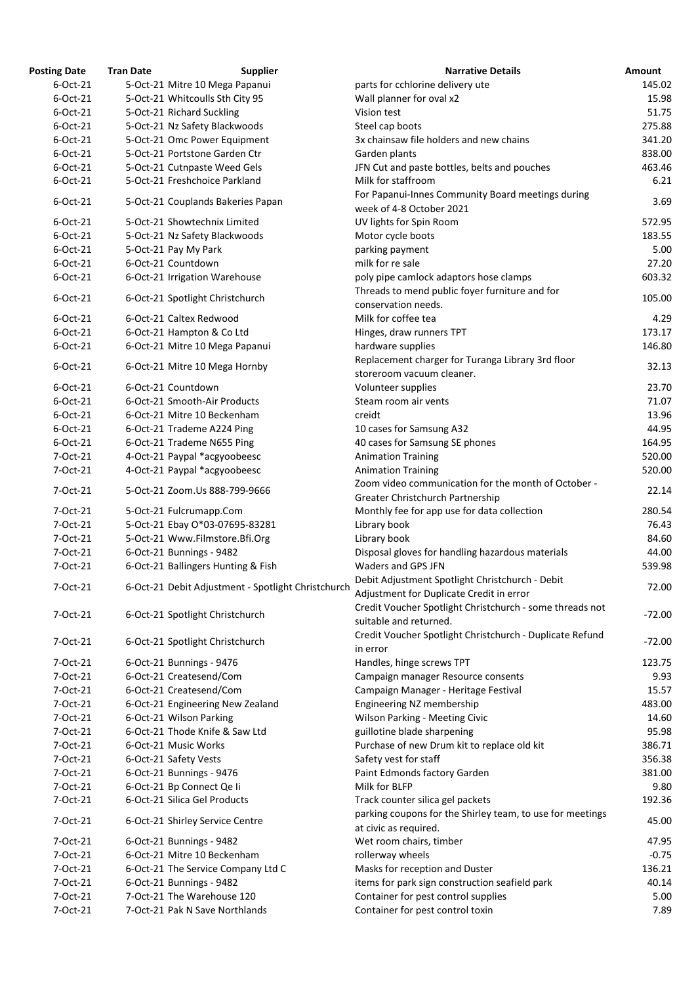| <b>Posting Date</b> | <b>Tran Date</b> | <b>Supplier</b>                                           | <b>Narrative Details</b>                                                           | Amount   |
|---------------------|------------------|-----------------------------------------------------------|------------------------------------------------------------------------------------|----------|
| 6-Oct-21            |                  | 5-Oct-21 Mitre 10 Mega Papanui                            | parts for cchlorine delivery ute                                                   | 145.02   |
| 6-Oct-21            |                  | 5-Oct-21 Whitcoulls Sth City 95                           | Wall planner for oval x2                                                           | 15.98    |
| 6-Oct-21            |                  | 5-Oct-21 Richard Suckling                                 | Vision test                                                                        | 51.75    |
| 6-Oct-21            |                  | 5-Oct-21 Nz Safety Blackwoods                             | Steel cap boots                                                                    | 275.88   |
| 6-Oct-21            |                  | 5-Oct-21 Omc Power Equipment                              | 3x chainsaw file holders and new chains                                            | 341.20   |
| 6-Oct-21            |                  | 5-Oct-21 Portstone Garden Ctr                             | Garden plants                                                                      | 838.00   |
| 6-Oct-21            |                  | 5-Oct-21 Cutnpaste Weed Gels                              | JFN Cut and paste bottles, belts and pouches                                       | 463.46   |
| 6-Oct-21            |                  | 5-Oct-21 Freshchoice Parkland                             | Milk for staffroom                                                                 | 6.21     |
|                     |                  |                                                           | For Papanui-Innes Community Board meetings during                                  |          |
| 6-Oct-21            |                  | 5-Oct-21 Couplands Bakeries Papan                         | week of 4-8 October 2021                                                           | 3.69     |
| 6-Oct-21            |                  | 5-Oct-21 Showtechnix Limited                              | UV lights for Spin Room                                                            | 572.95   |
| 6-Oct-21            |                  | 5-Oct-21 Nz Safety Blackwoods                             | Motor cycle boots                                                                  | 183.55   |
| 6-Oct-21            |                  | 5-Oct-21 Pay My Park                                      | parking payment                                                                    | 5.00     |
| 6-Oct-21            |                  | 6-Oct-21 Countdown                                        | milk for re sale                                                                   | 27.20    |
| 6-Oct-21            |                  | 6-Oct-21 Irrigation Warehouse                             | poly pipe camlock adaptors hose clamps                                             | 603.32   |
|                     |                  |                                                           | Threads to mend public foyer furniture and for                                     |          |
| 6-Oct-21            |                  | 6-Oct-21 Spotlight Christchurch                           | conservation needs.                                                                | 105.00   |
| 6-Oct-21            |                  | 6-Oct-21 Caltex Redwood                                   | Milk for coffee tea                                                                | 4.29     |
| 6-Oct-21            |                  | 6-Oct-21 Hampton & Co Ltd                                 | Hinges, draw runners TPT                                                           | 173.17   |
| 6-Oct-21            |                  | 6-Oct-21 Mitre 10 Mega Papanui                            | hardware supplies                                                                  | 146.80   |
|                     |                  |                                                           | Replacement charger for Turanga Library 3rd floor                                  |          |
| 6-Oct-21            |                  | 6-Oct-21 Mitre 10 Mega Hornby                             | storeroom vacuum cleaner.                                                          | 32.13    |
| 6-Oct-21            |                  | 6-Oct-21 Countdown                                        | Volunteer supplies                                                                 | 23.70    |
| 6-Oct-21            |                  | 6-Oct-21 Smooth-Air Products                              | Steam room air vents                                                               | 71.07    |
| 6-Oct-21            |                  | 6-Oct-21 Mitre 10 Beckenham                               | creidt                                                                             | 13.96    |
| 6-Oct-21            |                  | 6-Oct-21 Trademe A224 Ping                                | 10 cases for Samsung A32                                                           | 44.95    |
| 6-Oct-21            |                  | 6-Oct-21 Trademe N655 Ping                                | 40 cases for Samsung SE phones                                                     | 164.95   |
| 7-Oct-21            |                  | 4-Oct-21 Paypal *acgyoobeesc                              |                                                                                    | 520.00   |
|                     |                  | 4-Oct-21 Paypal *acgyoobeesc                              | <b>Animation Training</b>                                                          | 520.00   |
| 7-Oct-21            |                  |                                                           | <b>Animation Training</b><br>Zoom video communication for the month of October -   |          |
| 7-Oct-21            |                  | 5-Oct-21 Zoom.Us 888-799-9666                             | Greater Christchurch Partnership                                                   | 22.14    |
| 7-Oct-21            |                  |                                                           |                                                                                    | 280.54   |
| 7-Oct-21            |                  | 5-Oct-21 Fulcrumapp.Com<br>5-Oct-21 Ebay O*03-07695-83281 | Monthly fee for app use for data collection                                        | 76.43    |
|                     |                  |                                                           | Library book                                                                       |          |
| 7-Oct-21            |                  | 5-Oct-21 Www.Filmstore.Bfi.Org                            | Library book                                                                       | 84.60    |
| 7-Oct-21            |                  | 6-Oct-21 Bunnings - 9482                                  | Disposal gloves for handling hazardous materials                                   | 44.00    |
| 7-Oct-21            |                  | 6-Oct-21 Ballingers Hunting & Fish                        | Waders and GPS JFN                                                                 | 539.98   |
| 7-Oct-21            |                  | 6-Oct-21 Debit Adjustment - Spotlight Christchurch        | Debit Adjustment Spotlight Christchurch - Debit                                    | 72.00    |
|                     |                  |                                                           | Adjustment for Duplicate Credit in error                                           |          |
| 7-Oct-21            |                  | 6-Oct-21 Spotlight Christchurch                           | Credit Voucher Spotlight Christchurch - some threads not                           | -72.00   |
|                     |                  |                                                           | suitable and returned.                                                             |          |
| 7-Oct-21            |                  | 6-Oct-21 Spotlight Christchurch                           | Credit Voucher Spotlight Christchurch - Duplicate Refund                           | $-72.00$ |
|                     |                  |                                                           | in error                                                                           |          |
| 7-Oct-21            |                  | 6-Oct-21 Bunnings - 9476                                  | Handles, hinge screws TPT                                                          | 123.75   |
| 7-Oct-21            |                  | 6-Oct-21 Createsend/Com                                   | Campaign manager Resource consents                                                 | 9.93     |
| 7-Oct-21            |                  | 6-Oct-21 Createsend/Com                                   | Campaign Manager - Heritage Festival                                               | 15.57    |
| 7-Oct-21            |                  | 6-Oct-21 Engineering New Zealand                          | Engineering NZ membership                                                          | 483.00   |
| 7-Oct-21            |                  | 6-Oct-21 Wilson Parking                                   | Wilson Parking - Meeting Civic                                                     | 14.60    |
| 7-Oct-21            |                  | 6-Oct-21 Thode Knife & Saw Ltd                            | guillotine blade sharpening                                                        | 95.98    |
| 7-Oct-21            |                  | 6-Oct-21 Music Works                                      | Purchase of new Drum kit to replace old kit                                        | 386.71   |
| 7-Oct-21            |                  | 6-Oct-21 Safety Vests                                     | Safety vest for staff                                                              | 356.38   |
| 7-Oct-21            |                  | 6-Oct-21 Bunnings - 9476                                  | Paint Edmonds factory Garden                                                       | 381.00   |
| 7-Oct-21            |                  | 6-Oct-21 Bp Connect Qe li                                 | Milk for BLFP                                                                      | 9.80     |
| 7-Oct-21            |                  | 6-Oct-21 Silica Gel Products                              | Track counter silica gel packets                                                   | 192.36   |
| 7-Oct-21            |                  | 6-Oct-21 Shirley Service Centre                           | parking coupons for the Shirley team, to use for meetings<br>at civic as required. | 45.00    |
| 7-Oct-21            |                  | 6-Oct-21 Bunnings - 9482                                  | Wet room chairs, timber                                                            | 47.95    |
| 7-Oct-21            |                  | 6-Oct-21 Mitre 10 Beckenham                               | rollerway wheels                                                                   | $-0.75$  |
| 7-Oct-21            |                  | 6-Oct-21 The Service Company Ltd C                        | Masks for reception and Duster                                                     | 136.21   |
| 7-Oct-21            |                  | 6-Oct-21 Bunnings - 9482                                  | items for park sign construction seafield park                                     | 40.14    |
| 7-Oct-21            |                  | 7-Oct-21 The Warehouse 120                                | Container for pest control supplies                                                | 5.00     |
|                     |                  |                                                           |                                                                                    |          |
| 7-Oct-21            |                  | 7-Oct-21 Pak N Save Northlands                            | Container for pest control toxin                                                   | 7.89     |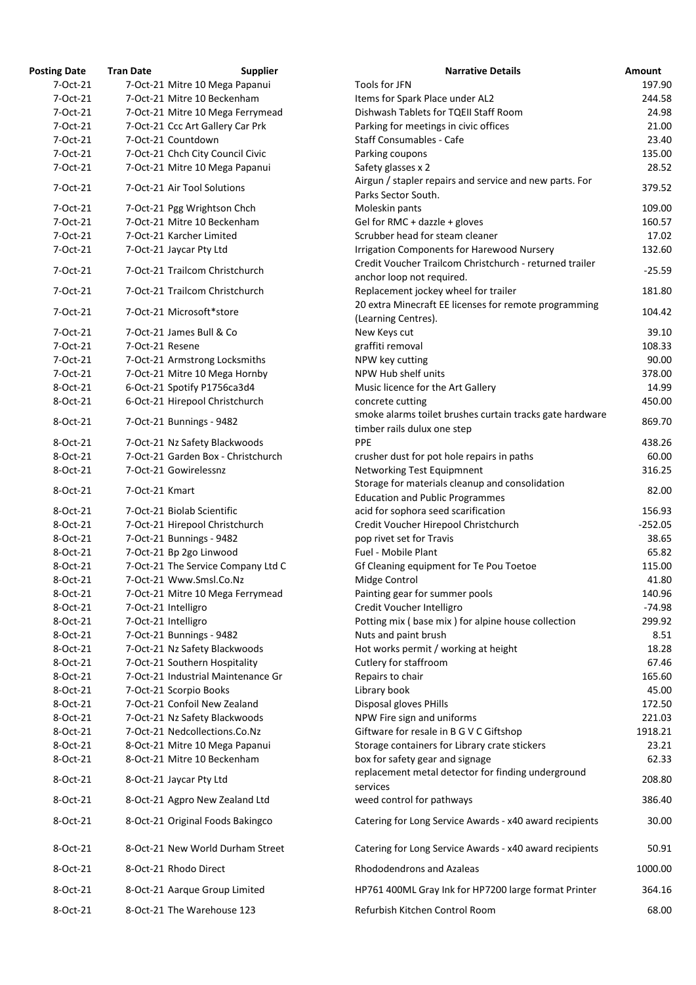| Posting Date | <b>Tran Date</b> | <b>Supplier</b>                    | <b>Narrative Details</b>                                                               |
|--------------|------------------|------------------------------------|----------------------------------------------------------------------------------------|
| 7-Oct-21     |                  | 7-Oct-21 Mitre 10 Mega Papanui     | Tools for JFN                                                                          |
| 7-Oct-21     |                  | 7-Oct-21 Mitre 10 Beckenham        | Items for Spark Place under AL2                                                        |
| 7-Oct-21     |                  | 7-Oct-21 Mitre 10 Mega Ferrymead   | Dishwash Tablets for TQEII Staff Room                                                  |
| 7-Oct-21     |                  | 7-Oct-21 Ccc Art Gallery Car Prk   | Parking for meetings in civic offices                                                  |
| 7-Oct-21     |                  | 7-Oct-21 Countdown                 | <b>Staff Consumables - Cafe</b>                                                        |
| 7-Oct-21     |                  | 7-Oct-21 Chch City Council Civic   | Parking coupons                                                                        |
| 7-Oct-21     |                  | 7-Oct-21 Mitre 10 Mega Papanui     | Safety glasses x 2                                                                     |
| 7-Oct-21     |                  | 7-Oct-21 Air Tool Solutions        | Airgun / stapler repairs and service and new parts. For<br>Parks Sector South.         |
| 7-Oct-21     |                  | 7-Oct-21 Pgg Wrightson Chch        | Moleskin pants                                                                         |
| 7-Oct-21     |                  | 7-Oct-21 Mitre 10 Beckenham        | Gel for RMC + dazzle + gloves                                                          |
| 7-Oct-21     |                  | 7-Oct-21 Karcher Limited           | Scrubber head for steam cleaner                                                        |
| 7-Oct-21     |                  | 7-Oct-21 Jaycar Pty Ltd            | <b>Irrigation Components for Harewood Nursery</b>                                      |
| 7-Oct-21     |                  | 7-Oct-21 Trailcom Christchurch     | Credit Voucher Trailcom Christchurch - returned trailer                                |
| 7-Oct-21     |                  | 7-Oct-21 Trailcom Christchurch     | anchor loop not required.<br>Replacement jockey wheel for trailer                      |
| 7-Oct-21     |                  | 7-Oct-21 Microsoft*store           | 20 extra Minecraft EE licenses for remote programming                                  |
| 7-Oct-21     |                  | 7-Oct-21 James Bull & Co           | (Learning Centres).<br>New Keys cut                                                    |
| 7-Oct-21     | 7-Oct-21 Resene  |                                    | graffiti removal                                                                       |
|              |                  |                                    |                                                                                        |
| 7-Oct-21     |                  | 7-Oct-21 Armstrong Locksmiths      | NPW key cutting                                                                        |
| 7-Oct-21     |                  | 7-Oct-21 Mitre 10 Mega Hornby      | NPW Hub shelf units                                                                    |
| 8-Oct-21     |                  | 6-Oct-21 Spotify P1756ca3d4        | Music licence for the Art Gallery                                                      |
| 8-Oct-21     |                  | 6-Oct-21 Hirepool Christchurch     | concrete cutting                                                                       |
| 8-Oct-21     |                  | 7-Oct-21 Bunnings - 9482           | smoke alarms toilet brushes curtain tracks gate hardwar<br>timber rails dulux one step |
| 8-Oct-21     |                  | 7-Oct-21 Nz Safety Blackwoods      | PPE                                                                                    |
| 8-Oct-21     |                  | 7-Oct-21 Garden Box - Christchurch | crusher dust for pot hole repairs in paths                                             |
| 8-Oct-21     |                  | 7-Oct-21 Gowirelessnz              | Networking Test Equipmnent<br>Storage for materials cleanup and consolidation          |
| 8-Oct-21     | 7-Oct-21 Kmart   |                                    | <b>Education and Public Programmes</b>                                                 |
| 8-Oct-21     |                  | 7-Oct-21 Biolab Scientific         | acid for sophora seed scarification                                                    |
| 8-Oct-21     |                  | 7-Oct-21 Hirepool Christchurch     | Credit Voucher Hirepool Christchurch                                                   |
| 8-Oct-21     |                  | 7-Oct-21 Bunnings - 9482           | pop rivet set for Travis                                                               |
| 8-Oct-21     |                  | 7-Oct-21 Bp 2go Linwood            | Fuel - Mobile Plant                                                                    |
| 8-Oct-21     |                  | 7-Oct-21 The Service Company Ltd C | Gf Cleaning equipment for Te Pou Toetoe                                                |
| 8-Oct-21     |                  | 7-Oct-21 Www.Smsl.Co.Nz            | Midge Control                                                                          |
| 8-Oct-21     |                  | 7-Oct-21 Mitre 10 Mega Ferrymead   | Painting gear for summer pools                                                         |
| 8-Oct-21     |                  | 7-Oct-21 Intelligro                | Credit Voucher Intelligro                                                              |
| 8-Oct-21     |                  | 7-Oct-21 Intelligro                | Potting mix (base mix) for alpine house collection                                     |
| 8-Oct-21     |                  | 7-Oct-21 Bunnings - 9482           | Nuts and paint brush                                                                   |
| 8-Oct-21     |                  | 7-Oct-21 Nz Safety Blackwoods      | Hot works permit / working at height                                                   |
| 8-Oct-21     |                  | 7-Oct-21 Southern Hospitality      | Cutlery for staffroom                                                                  |
| 8-Oct-21     |                  | 7-Oct-21 Industrial Maintenance Gr | Repairs to chair                                                                       |
| 8-Oct-21     |                  | 7-Oct-21 Scorpio Books             | Library book                                                                           |
| 8-Oct-21     |                  | 7-Oct-21 Confoil New Zealand       | Disposal gloves PHills                                                                 |
| 8-Oct-21     |                  | 7-Oct-21 Nz Safety Blackwoods      | NPW Fire sign and uniforms                                                             |
| 8-Oct-21     |                  | 7-Oct-21 Nedcollections.Co.Nz      | Giftware for resale in B G V C Giftshop                                                |
| 8-Oct-21     |                  | 8-Oct-21 Mitre 10 Mega Papanui     | Storage containers for Library crate stickers                                          |
| 8-Oct-21     |                  | 8-Oct-21 Mitre 10 Beckenham        | box for safety gear and signage<br>replacement metal detector for finding underground  |
| 8-Oct-21     |                  | 8-Oct-21 Jaycar Pty Ltd            | services                                                                               |
| 8-Oct-21     |                  | 8-Oct-21 Agpro New Zealand Ltd     | weed control for pathways                                                              |
| 8-Oct-21     |                  | 8-Oct-21 Original Foods Bakingco   | Catering for Long Service Awards - x40 award recipients                                |
| 8-Oct-21     |                  | 8-Oct-21 New World Durham Street   | Catering for Long Service Awards - x40 award recipients                                |
| 8-Oct-21     |                  | 8-Oct-21 Rhodo Direct              | <b>Rhododendrons and Azaleas</b>                                                       |
| 8-Oct-21     |                  | 8-Oct-21 Aarque Group Limited      | HP761 400ML Gray Ink for HP7200 large format Printer                                   |
| 8-Oct-21     |                  | 8-Oct-21 The Warehouse 123         | Refurbish Kitchen Control Room                                                         |

| <b>Posting Date</b> | <b>Tran Date</b> | <b>Supplier</b>                                                     | <b>Narrative Details</b>                                                                      | Amount    |
|---------------------|------------------|---------------------------------------------------------------------|-----------------------------------------------------------------------------------------------|-----------|
| 7-Oct-21            |                  | 7-Oct-21 Mitre 10 Mega Papanui                                      | Tools for JFN                                                                                 | 197.90    |
| 7-Oct-21            |                  | 7-Oct-21 Mitre 10 Beckenham                                         | Items for Spark Place under AL2                                                               | 244.58    |
| 7-Oct-21            |                  | 7-Oct-21 Mitre 10 Mega Ferrymead                                    | Dishwash Tablets for TQEII Staff Room                                                         | 24.98     |
| 7-Oct-21            |                  | 7-Oct-21 Ccc Art Gallery Car Prk                                    | Parking for meetings in civic offices                                                         | 21.00     |
| 7-Oct-21            |                  | 7-Oct-21 Countdown                                                  | <b>Staff Consumables - Cafe</b>                                                               | 23.40     |
| 7-Oct-21            |                  | 7-Oct-21 Chch City Council Civic                                    | Parking coupons                                                                               | 135.00    |
| 7-Oct-21            |                  | 7-Oct-21 Mitre 10 Mega Papanui                                      | Safety glasses x 2                                                                            | 28.52     |
| 7-Oct-21            |                  | 7-Oct-21 Air Tool Solutions                                         | Airgun / stapler repairs and service and new parts. For<br>Parks Sector South.                | 379.52    |
| 7-Oct-21            |                  | 7-Oct-21 Pgg Wrightson Chch                                         | Moleskin pants                                                                                | 109.00    |
| 7-Oct-21            |                  | 7-Oct-21 Mitre 10 Beckenham                                         | Gel for RMC + dazzle + gloves                                                                 | 160.57    |
| 7-Oct-21            |                  | 7-Oct-21 Karcher Limited                                            | Scrubber head for steam cleaner                                                               | 17.02     |
| 7-Oct-21            |                  | 7-Oct-21 Jaycar Pty Ltd                                             | <b>Irrigation Components for Harewood Nursery</b>                                             | 132.60    |
| 7-Oct-21            |                  | 7-Oct-21 Trailcom Christchurch                                      | Credit Voucher Trailcom Christchurch - returned trailer                                       | $-25.59$  |
|                     |                  |                                                                     | anchor loop not required.                                                                     |           |
| 7-Oct-21            |                  | 7-Oct-21 Trailcom Christchurch                                      | Replacement jockey wheel for trailer<br>20 extra Minecraft EE licenses for remote programming | 181.80    |
| 7-Oct-21            |                  | 7-Oct-21 Microsoft*store                                            | (Learning Centres).                                                                           | 104.42    |
| 7-Oct-21            |                  | 7-Oct-21 James Bull & Co                                            | New Keys cut                                                                                  | 39.10     |
| 7-Oct-21            | 7-Oct-21 Resene  |                                                                     | graffiti removal                                                                              | 108.33    |
| 7-Oct-21            |                  | 7-Oct-21 Armstrong Locksmiths                                       | NPW key cutting                                                                               | 90.00     |
| 7-Oct-21            |                  | 7-Oct-21 Mitre 10 Mega Hornby                                       | NPW Hub shelf units                                                                           | 378.00    |
| 8-Oct-21            |                  | 6-Oct-21 Spotify P1756ca3d4                                         | Music licence for the Art Gallery                                                             | 14.99     |
| 8-Oct-21            |                  | 6-Oct-21 Hirepool Christchurch                                      | concrete cutting                                                                              | 450.00    |
| 8-Oct-21            |                  | 7-Oct-21 Bunnings - 9482                                            | smoke alarms toilet brushes curtain tracks gate hardware<br>timber rails dulux one step       | 869.70    |
| 8-Oct-21            |                  |                                                                     | <b>PPE</b>                                                                                    | 438.26    |
| 8-Oct-21            |                  | 7-Oct-21 Nz Safety Blackwoods<br>7-Oct-21 Garden Box - Christchurch |                                                                                               | 60.00     |
|                     |                  |                                                                     | crusher dust for pot hole repairs in paths                                                    |           |
| 8-Oct-21            |                  | 7-Oct-21 Gowirelessnz                                               | Networking Test Equipmnent<br>Storage for materials cleanup and consolidation                 | 316.25    |
| 8-Oct-21            | 7-Oct-21 Kmart   |                                                                     | <b>Education and Public Programmes</b>                                                        | 82.00     |
| 8-Oct-21            |                  | 7-Oct-21 Biolab Scientific                                          | acid for sophora seed scarification                                                           | 156.93    |
| 8-Oct-21            |                  | 7-Oct-21 Hirepool Christchurch                                      | Credit Voucher Hirepool Christchurch                                                          | $-252.05$ |
| 8-Oct-21            |                  | 7-Oct-21 Bunnings - 9482                                            | pop rivet set for Travis                                                                      | 38.65     |
| 8-Oct-21            |                  | 7-Oct-21 Bp 2go Linwood                                             | Fuel - Mobile Plant                                                                           | 65.82     |
| 8-Oct-21            |                  | 7-Oct-21 The Service Company Ltd C                                  | Gf Cleaning equipment for Te Pou Toetoe                                                       | 115.00    |
| 8-Oct-21            |                  | 7-Oct-21 Www.Smsl.Co.Nz                                             | Midge Control                                                                                 | 41.80     |
| 8-Oct-21            |                  | 7-Oct-21 Mitre 10 Mega Ferrymead                                    | Painting gear for summer pools                                                                | 140.96    |
| 8-Oct-21            |                  | 7-Oct-21 Intelligro                                                 | Credit Voucher Intelligro                                                                     | $-74.98$  |
| 8-Oct-21            |                  | 7-Oct-21 Intelligro                                                 | Potting mix (base mix) for alpine house collection                                            | 299.92    |
| 8-Oct-21            |                  | 7-Oct-21 Bunnings - 9482                                            | Nuts and paint brush                                                                          | 8.51      |
| 8-Oct-21            |                  | 7-Oct-21 Nz Safety Blackwoods                                       | Hot works permit / working at height                                                          | 18.28     |
| 8-Oct-21            |                  | 7-Oct-21 Southern Hospitality                                       | Cutlery for staffroom                                                                         | 67.46     |
| 8-Oct-21            |                  | 7-Oct-21 Industrial Maintenance Gr                                  | Repairs to chair                                                                              | 165.60    |
| 8-Oct-21            |                  | 7-Oct-21 Scorpio Books                                              | Library book                                                                                  | 45.00     |
| 8-Oct-21            |                  | 7-Oct-21 Confoil New Zealand                                        | Disposal gloves PHills                                                                        | 172.50    |
| 8-Oct-21            |                  | 7-Oct-21 Nz Safety Blackwoods                                       | NPW Fire sign and uniforms                                                                    | 221.03    |
| 8-Oct-21            |                  | 7-Oct-21 Nedcollections.Co.Nz                                       | Giftware for resale in B G V C Giftshop                                                       | 1918.21   |
| 8-Oct-21            |                  | 8-Oct-21 Mitre 10 Mega Papanui                                      | Storage containers for Library crate stickers                                                 | 23.21     |
| 8-Oct-21            |                  | 8-Oct-21 Mitre 10 Beckenham                                         | box for safety gear and signage                                                               | 62.33     |
| 8-Oct-21            |                  | 8-Oct-21 Jaycar Pty Ltd                                             | replacement metal detector for finding underground                                            | 208.80    |
| 8-Oct-21            |                  | 8-Oct-21 Agpro New Zealand Ltd                                      | services<br>weed control for pathways                                                         | 386.40    |
|                     |                  |                                                                     |                                                                                               |           |
| 8-Oct-21            |                  | 8-Oct-21 Original Foods Bakingco                                    | Catering for Long Service Awards - x40 award recipients                                       | 30.00     |
| 8-Oct-21            |                  | 8-Oct-21 New World Durham Street                                    | Catering for Long Service Awards - x40 award recipients                                       | 50.91     |
| 8-Oct-21            |                  | 8-Oct-21 Rhodo Direct                                               | Rhododendrons and Azaleas                                                                     | 1000.00   |
| 8-Oct-21            |                  | 8-Oct-21 Aarque Group Limited                                       | HP761 400ML Gray Ink for HP7200 large format Printer                                          | 364.16    |
| 8-Oct-21            |                  | 8-Oct-21 The Warehouse 123                                          | Refurbish Kitchen Control Room                                                                | 68.00     |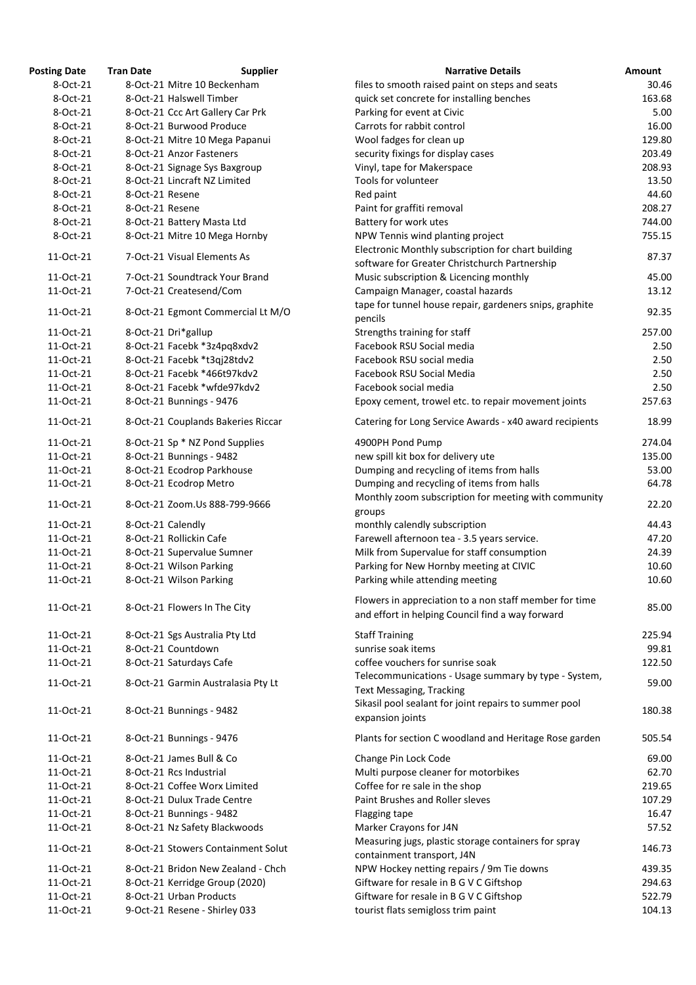| <b>Posting Date</b> | <b>Tran Date</b> | <b>Supplier</b>                    | <b>Narrative Details</b>                                                                                   | Amount |
|---------------------|------------------|------------------------------------|------------------------------------------------------------------------------------------------------------|--------|
| 8-Oct-21            |                  | 8-Oct-21 Mitre 10 Beckenham        | files to smooth raised paint on steps and seats                                                            | 30.46  |
| 8-Oct-21            |                  | 8-Oct-21 Halswell Timber           | quick set concrete for installing benches                                                                  | 163.68 |
| 8-Oct-21            |                  | 8-Oct-21 Ccc Art Gallery Car Prk   | Parking for event at Civic                                                                                 | 5.00   |
| 8-Oct-21            |                  | 8-Oct-21 Burwood Produce           | Carrots for rabbit control                                                                                 | 16.00  |
| 8-Oct-21            |                  | 8-Oct-21 Mitre 10 Mega Papanui     | Wool fadges for clean up                                                                                   | 129.80 |
| 8-Oct-21            |                  | 8-Oct-21 Anzor Fasteners           | security fixings for display cases                                                                         | 203.49 |
| 8-Oct-21            |                  | 8-Oct-21 Signage Sys Baxgroup      | Vinyl, tape for Makerspace                                                                                 | 208.93 |
| 8-Oct-21            |                  | 8-Oct-21 Lincraft NZ Limited       | Tools for volunteer                                                                                        | 13.50  |
| 8-Oct-21            | 8-Oct-21 Resene  |                                    | Red paint                                                                                                  | 44.60  |
| 8-Oct-21            | 8-Oct-21 Resene  |                                    | Paint for graffiti removal                                                                                 | 208.27 |
| 8-Oct-21            |                  | 8-Oct-21 Battery Masta Ltd         | Battery for work utes                                                                                      | 744.00 |
| 8-Oct-21            |                  | 8-Oct-21 Mitre 10 Mega Hornby      | NPW Tennis wind planting project                                                                           | 755.15 |
| 11-Oct-21           |                  | 7-Oct-21 Visual Elements As        | Electronic Monthly subscription for chart building<br>software for Greater Christchurch Partnership        | 87.37  |
| 11-Oct-21           |                  | 7-Oct-21 Soundtrack Your Brand     | Music subscription & Licencing monthly                                                                     | 45.00  |
| 11-Oct-21           |                  | 7-Oct-21 Createsend/Com            | Campaign Manager, coastal hazards                                                                          | 13.12  |
|                     |                  |                                    |                                                                                                            |        |
| 11-Oct-21           |                  | 8-Oct-21 Egmont Commercial Lt M/O  | tape for tunnel house repair, gardeners snips, graphite<br>pencils                                         | 92.35  |
| 11-Oct-21           |                  | 8-Oct-21 Dri*gallup                | Strengths training for staff                                                                               | 257.00 |
| 11-Oct-21           |                  | 8-Oct-21 Facebk *3z4pq8xdv2        | Facebook RSU Social media                                                                                  | 2.50   |
| 11-Oct-21           |                  | 8-Oct-21 Facebk *t3qj28tdv2        | Facebook RSU social media                                                                                  | 2.50   |
| 11-Oct-21           |                  | 8-Oct-21 Facebk *466t97kdv2        | Facebook RSU Social Media                                                                                  | 2.50   |
| 11-Oct-21           |                  | 8-Oct-21 Facebk *wfde97kdv2        | Facebook social media                                                                                      | 2.50   |
| 11-Oct-21           |                  | 8-Oct-21 Bunnings - 9476           | Epoxy cement, trowel etc. to repair movement joints                                                        | 257.63 |
| 11-Oct-21           |                  | 8-Oct-21 Couplands Bakeries Riccar | Catering for Long Service Awards - x40 award recipients                                                    | 18.99  |
| 11-Oct-21           |                  | 8-Oct-21 Sp * NZ Pond Supplies     | 4900PH Pond Pump                                                                                           | 274.04 |
| 11-Oct-21           |                  | 8-Oct-21 Bunnings - 9482           | new spill kit box for delivery ute                                                                         | 135.00 |
| 11-Oct-21           |                  | 8-Oct-21 Ecodrop Parkhouse         | Dumping and recycling of items from halls                                                                  | 53.00  |
| 11-Oct-21           |                  | 8-Oct-21 Ecodrop Metro             | Dumping and recycling of items from halls                                                                  | 64.78  |
| 11-Oct-21           |                  | 8-Oct-21 Zoom.Us 888-799-9666      | Monthly zoom subscription for meeting with community<br>groups                                             | 22.20  |
| 11-Oct-21           |                  | 8-Oct-21 Calendly                  | monthly calendly subscription                                                                              | 44.43  |
| 11-Oct-21           |                  | 8-Oct-21 Rollickin Cafe            | Farewell afternoon tea - 3.5 years service.                                                                | 47.20  |
| 11-Oct-21           |                  | 8-Oct-21 Supervalue Sumner         | Milk from Supervalue for staff consumption                                                                 | 24.39  |
| 11-Oct-21           |                  | 8-Oct-21 Wilson Parking            | Parking for New Hornby meeting at CIVIC                                                                    | 10.60  |
| 11-Oct-21           |                  | 8-Oct-21 Wilson Parking            | Parking while attending meeting                                                                            | 10.60  |
| 11-Oct-21           |                  | 8-Oct-21 Flowers In The City       | Flowers in appreciation to a non staff member for time<br>and effort in helping Council find a way forward | 85.00  |
| 11-Oct-21           |                  | 8-Oct-21 Sgs Australia Pty Ltd     | <b>Staff Training</b>                                                                                      | 225.94 |
| 11-Oct-21           |                  | 8-Oct-21 Countdown                 | sunrise soak items                                                                                         | 99.81  |
| 11-Oct-21           |                  | 8-Oct-21 Saturdays Cafe            | coffee vouchers for sunrise soak                                                                           | 122.50 |
| 11-Oct-21           |                  | 8-Oct-21 Garmin Australasia Pty Lt | Telecommunications - Usage summary by type - System,<br><b>Text Messaging, Tracking</b>                    | 59.00  |
| 11-Oct-21           |                  | 8-Oct-21 Bunnings - 9482           | Sikasil pool sealant for joint repairs to summer pool<br>expansion joints                                  | 180.38 |
| 11-Oct-21           |                  | 8-Oct-21 Bunnings - 9476           | Plants for section C woodland and Heritage Rose garden                                                     | 505.54 |
| 11-Oct-21           |                  | 8-Oct-21 James Bull & Co           | Change Pin Lock Code                                                                                       | 69.00  |
| 11-Oct-21           |                  | 8-Oct-21 Rcs Industrial            | Multi purpose cleaner for motorbikes                                                                       | 62.70  |
| 11-Oct-21           |                  | 8-Oct-21 Coffee Worx Limited       | Coffee for re sale in the shop                                                                             | 219.65 |
| 11-Oct-21           |                  | 8-Oct-21 Dulux Trade Centre        | Paint Brushes and Roller sleves                                                                            | 107.29 |
| 11-Oct-21           |                  | 8-Oct-21 Bunnings - 9482           | Flagging tape                                                                                              | 16.47  |
| 11-Oct-21           |                  | 8-Oct-21 Nz Safety Blackwoods      | Marker Crayons for J4N                                                                                     | 57.52  |
| 11-Oct-21           |                  | 8-Oct-21 Stowers Containment Solut | Measuring jugs, plastic storage containers for spray                                                       | 146.73 |
|                     |                  |                                    | containment transport, J4N                                                                                 |        |
| 11-Oct-21           |                  | 8-Oct-21 Bridon New Zealand - Chch | NPW Hockey netting repairs / 9m Tie downs                                                                  | 439.35 |
| 11-Oct-21           |                  | 8-Oct-21 Kerridge Group (2020)     | Giftware for resale in B G V C Giftshop                                                                    | 294.63 |
| 11-Oct-21           |                  | 8-Oct-21 Urban Products            | Giftware for resale in B G V C Giftshop                                                                    | 522.79 |
| 11-Oct-21           |                  | 9-Oct-21 Resene - Shirley 033      | tourist flats semigloss trim paint                                                                         | 104.13 |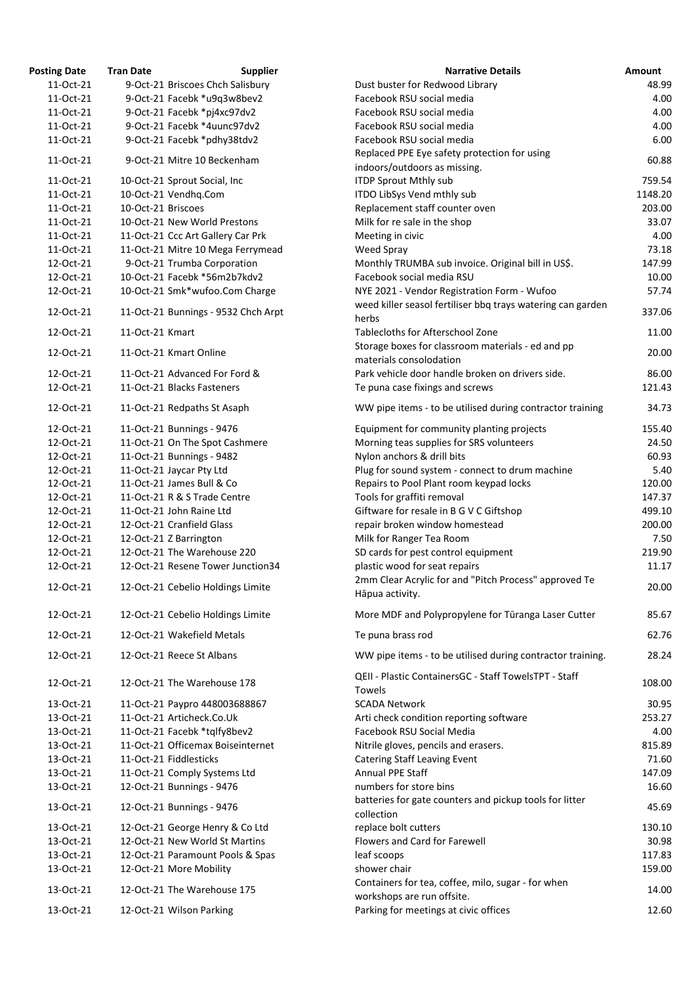| <b>Posting Date</b> | <b>Tran Date</b>   | <b>Supplier</b>                     | <b>Narrative Details</b>                                                                                                   | <b>Amount</b> |
|---------------------|--------------------|-------------------------------------|----------------------------------------------------------------------------------------------------------------------------|---------------|
| 11-Oct-21           |                    | 9-Oct-21 Briscoes Chch Salisbury    | Dust buster for Redwood Library                                                                                            | 48.99         |
| 11-Oct-21           |                    | 9-Oct-21 Facebk *u9q3w8bev2         | Facebook RSU social media                                                                                                  | 4.00          |
| 11-Oct-21           |                    | 9-Oct-21 Facebk *pj4xc97dv2         | Facebook RSU social media                                                                                                  | 4.00          |
| 11-Oct-21           |                    | 9-Oct-21 Facebk *4uunc97dv2         | Facebook RSU social media                                                                                                  | 4.00          |
| 11-Oct-21           |                    | 9-Oct-21 Facebk *pdhy38tdv2         | Facebook RSU social media                                                                                                  | 6.00          |
| 11-Oct-21           |                    | 9-Oct-21 Mitre 10 Beckenham         | Replaced PPE Eye safety protection for using                                                                               | 60.88         |
|                     |                    |                                     | indoors/outdoors as missing.                                                                                               |               |
| 11-Oct-21           |                    | 10-Oct-21 Sprout Social, Inc        | <b>ITDP Sprout Mthly sub</b>                                                                                               | 759.54        |
| 11-Oct-21           |                    | 10-Oct-21 Vendhq.Com                | ITDO LibSys Vend mthly sub                                                                                                 | 1148.20       |
| 11-Oct-21           | 10-Oct-21 Briscoes |                                     | Replacement staff counter oven                                                                                             | 203.00        |
| 11-Oct-21           |                    | 10-Oct-21 New World Prestons        | Milk for re sale in the shop                                                                                               | 33.07         |
| 11-Oct-21           |                    | 11-Oct-21 Ccc Art Gallery Car Prk   | Meeting in civic                                                                                                           | 4.00          |
| 11-Oct-21           |                    | 11-Oct-21 Mitre 10 Mega Ferrymead   | Weed Spray                                                                                                                 | 73.18         |
| 12-Oct-21           |                    | 9-Oct-21 Trumba Corporation         | Monthly TRUMBA sub invoice. Original bill in US\$.                                                                         | 147.99        |
| 12-Oct-21           |                    | 10-Oct-21 Facebk *56m2b7kdv2        | Facebook social media RSU                                                                                                  | 10.00         |
| 12-Oct-21           |                    | 10-Oct-21 Smk*wufoo.Com Charge      | NYE 2021 - Vendor Registration Form - Wufoo                                                                                | 57.74         |
| 12-Oct-21           |                    | 11-Oct-21 Bunnings - 9532 Chch Arpt | weed killer seasol fertiliser bbq trays watering can garden<br>herbs                                                       | 337.06        |
| 12-Oct-21           | 11-Oct-21 Kmart    |                                     | Tablecloths for Afterschool Zone                                                                                           | 11.00         |
|                     |                    | 11-Oct-21 Kmart Online              | Storage boxes for classroom materials - ed and pp                                                                          | 20.00         |
| 12-Oct-21           |                    |                                     | materials consolodation                                                                                                    |               |
| 12-Oct-21           |                    | 11-Oct-21 Advanced For Ford &       | Park vehicle door handle broken on drivers side.                                                                           | 86.00         |
| 12-Oct-21           |                    | 11-Oct-21 Blacks Fasteners          | Te puna case fixings and screws                                                                                            | 121.43        |
| 12-Oct-21           |                    | 11-Oct-21 Redpaths St Asaph         | WW pipe items - to be utilised during contractor training                                                                  | 34.73         |
| 12-Oct-21           |                    | 11-Oct-21 Bunnings - 9476           | Equipment for community planting projects                                                                                  | 155.40        |
| 12-Oct-21           |                    | 11-Oct-21 On The Spot Cashmere      | Morning teas supplies for SRS volunteers                                                                                   | 24.50         |
| 12-Oct-21           |                    | 11-Oct-21 Bunnings - 9482           | Nylon anchors & drill bits                                                                                                 | 60.93         |
| 12-Oct-21           |                    | 11-Oct-21 Jaycar Pty Ltd            | Plug for sound system - connect to drum machine                                                                            | 5.40          |
| 12-Oct-21           |                    | 11-Oct-21 James Bull & Co           | Repairs to Pool Plant room keypad locks                                                                                    | 120.00        |
| 12-Oct-21           |                    | 11-Oct-21 R & S Trade Centre        | Tools for graffiti removal                                                                                                 | 147.37        |
| 12-Oct-21           |                    | 11-Oct-21 John Raine Ltd            | Giftware for resale in B G V C Giftshop                                                                                    | 499.10        |
| 12-Oct-21           |                    | 12-Oct-21 Cranfield Glass           | repair broken window homestead                                                                                             | 200.00        |
| 12-Oct-21           |                    | 12-Oct-21 Z Barrington              | Milk for Ranger Tea Room                                                                                                   | 7.50          |
| 12-Oct-21           |                    | 12-Oct-21 The Warehouse 220         | SD cards for pest control equipment                                                                                        | 219.90        |
| 12-Oct-21           |                    | 12-Oct-21 Resene Tower Junction34   | plastic wood for seat repairs                                                                                              | 11.17         |
|                     |                    |                                     | 2mm Clear Acrylic for and "Pitch Process" approved Te                                                                      |               |
| 12-Oct-21           |                    | 12-Oct-21 Cebelio Holdings Limite   | Hāpua activity.                                                                                                            | 20.00         |
| 12-Oct-21           |                    | 12-Oct-21 Cebelio Holdings Limite   | More MDF and Polypropylene for Tūranga Laser Cutter                                                                        | 85.67         |
| 12-Oct-21           |                    | 12-Oct-21 Wakefield Metals          | Te puna brass rod                                                                                                          | 62.76         |
| 12-Oct-21           |                    | 12-Oct-21 Reece St Albans           | WW pipe items - to be utilised during contractor training.<br><b>QEII - Plastic ContainersGC - Staff TowelsTPT - Staff</b> | 28.24         |
| 12-Oct-21           |                    | 12-Oct-21 The Warehouse 178         | Towels                                                                                                                     | 108.00        |
| 13-Oct-21           |                    | 11-Oct-21 Paypro 448003688867       | <b>SCADA Network</b>                                                                                                       | 30.95         |
| 13-Oct-21           |                    | 11-Oct-21 Articheck.Co.Uk           | Arti check condition reporting software                                                                                    | 253.27        |
| 13-Oct-21           |                    | 11-Oct-21 Facebk *tqlfy8bev2        | Facebook RSU Social Media                                                                                                  | 4.00          |
| 13-Oct-21           |                    | 11-Oct-21 Officemax Boiseinternet   | Nitrile gloves, pencils and erasers.                                                                                       | 815.89        |
| 13-Oct-21           |                    | 11-Oct-21 Fiddlesticks              | <b>Catering Staff Leaving Event</b>                                                                                        | 71.60         |
| 13-Oct-21           |                    | 11-Oct-21 Comply Systems Ltd        | Annual PPE Staff                                                                                                           | 147.09        |
| 13-Oct-21           |                    | 12-Oct-21 Bunnings - 9476           | numbers for store bins                                                                                                     | 16.60         |
| 13-Oct-21           |                    | 12-Oct-21 Bunnings - 9476           | batteries for gate counters and pickup tools for litter<br>collection                                                      | 45.69         |
| 13-Oct-21           |                    | 12-Oct-21 George Henry & Co Ltd     | replace bolt cutters                                                                                                       | 130.10        |
| 13-Oct-21           |                    | 12-Oct-21 New World St Martins      | Flowers and Card for Farewell                                                                                              | 30.98         |
| 13-Oct-21           |                    | 12-Oct-21 Paramount Pools & Spas    | leaf scoops                                                                                                                | 117.83        |
| 13-Oct-21           |                    | 12-Oct-21 More Mobility             | shower chair                                                                                                               | 159.00        |
| 13-Oct-21           |                    | 12-Oct-21 The Warehouse 175         | Containers for tea, coffee, milo, sugar - for when<br>workshops are run offsite.                                           | 14.00         |
| 13-Oct-21           |                    | 12-Oct-21 Wilson Parking            | Parking for meetings at civic offices                                                                                      | 12.60         |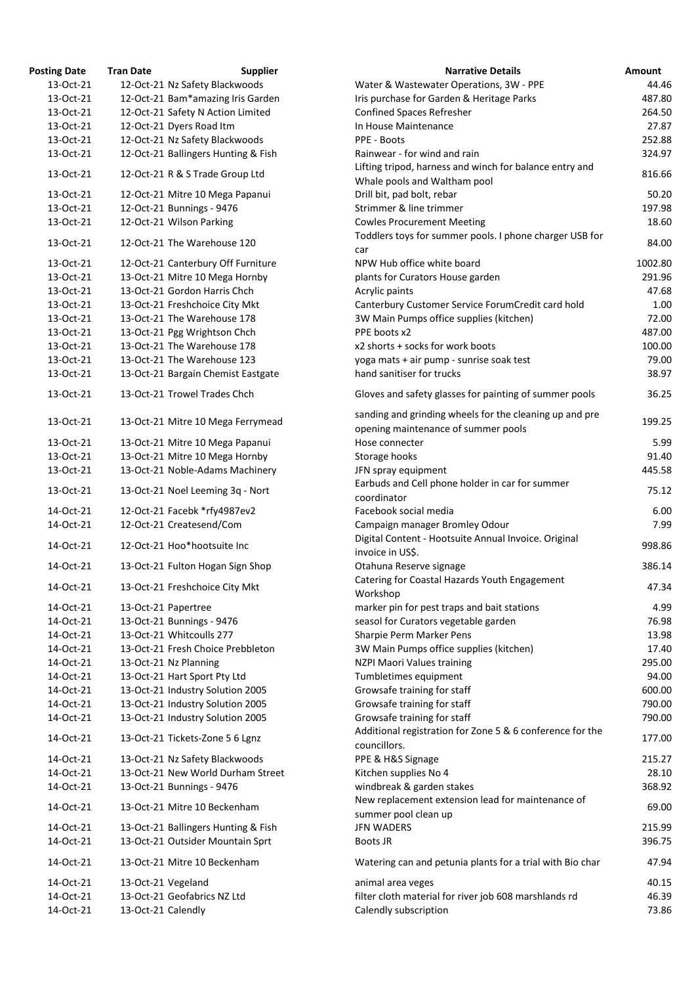| <b>osting Date</b>     | <b>Tran Date</b>    | <b>Supplier</b>                                                   | <b>Narrative Details</b>                                                                     |
|------------------------|---------------------|-------------------------------------------------------------------|----------------------------------------------------------------------------------------------|
| 13-Oct-21              |                     | 12-Oct-21 Nz Safety Blackwoods                                    | Water & Wastewater Operations, 3W - PPE                                                      |
| 13-Oct-21              |                     | 12-Oct-21 Bam*amazing Iris Garden                                 | Iris purchase for Garden & Heritage Parks                                                    |
| 13-Oct-21              |                     | 12-Oct-21 Safety N Action Limited                                 | <b>Confined Spaces Refresher</b>                                                             |
| 13-Oct-21              |                     | 12-Oct-21 Dyers Road Itm                                          | In House Maintenance                                                                         |
| 13-Oct-21              |                     | 12-Oct-21 Nz Safety Blackwoods                                    | PPE - Boots                                                                                  |
| 13-Oct-21              |                     | 12-Oct-21 Ballingers Hunting & Fish                               | Rainwear - for wind and rain                                                                 |
| 13-Oct-21              |                     | 12-Oct-21 R & S Trade Group Ltd                                   | Lifting tripod, harness and winch for balance entry an                                       |
|                        |                     |                                                                   | Whale pools and Waltham pool                                                                 |
| 13-Oct-21              |                     | 12-Oct-21 Mitre 10 Mega Papanui                                   | Drill bit, pad bolt, rebar                                                                   |
| 13-Oct-21              |                     | 12-Oct-21 Bunnings - 9476                                         | Strimmer & line trimmer                                                                      |
| 13-Oct-21              |                     | 12-Oct-21 Wilson Parking                                          | <b>Cowles Procurement Meeting</b>                                                            |
| 13-Oct-21              |                     | 12-Oct-21 The Warehouse 120                                       | Toddlers toys for summer pools. I phone charger USB<br>car                                   |
| 13-Oct-21              |                     | 12-Oct-21 Canterbury Off Furniture                                | NPW Hub office white board                                                                   |
| 13-Oct-21              |                     | 13-Oct-21 Mitre 10 Mega Hornby                                    | plants for Curators House garden                                                             |
| 13-Oct-21              |                     | 13-Oct-21 Gordon Harris Chch                                      | Acrylic paints                                                                               |
| 13-Oct-21              |                     | 13-Oct-21 Freshchoice City Mkt                                    | Canterbury Customer Service ForumCredit card hold                                            |
| 13-Oct-21              |                     | 13-Oct-21 The Warehouse 178                                       | 3W Main Pumps office supplies (kitchen)                                                      |
| 13-Oct-21              |                     | 13-Oct-21 Pgg Wrightson Chch                                      | PPE boots x2                                                                                 |
| 13-Oct-21              |                     | 13-Oct-21 The Warehouse 178                                       | x2 shorts + socks for work boots                                                             |
| 13-Oct-21              |                     | 13-Oct-21 The Warehouse 123                                       | yoga mats + air pump - sunrise soak test                                                     |
| 13-Oct-21              |                     | 13-Oct-21 Bargain Chemist Eastgate                                | hand sanitiser for trucks                                                                    |
| 13-Oct-21              |                     | 13-Oct-21 Trowel Trades Chch                                      | Gloves and safety glasses for painting of summer poc                                         |
| 13-Oct-21              |                     | 13-Oct-21 Mitre 10 Mega Ferrymead                                 | sanding and grinding wheels for the cleaning up and p<br>opening maintenance of summer pools |
| 13-Oct-21              |                     | 13-Oct-21 Mitre 10 Mega Papanui                                   | Hose connecter                                                                               |
| 13-Oct-21              |                     | 13-Oct-21 Mitre 10 Mega Hornby                                    | Storage hooks                                                                                |
| 13-Oct-21              |                     | 13-Oct-21 Noble-Adams Machinery                                   | JFN spray equipment                                                                          |
| 13-Oct-21              |                     | 13-Oct-21 Noel Leeming 3q - Nort                                  | Earbuds and Cell phone holder in car for summer<br>coordinator                               |
| 14-Oct-21              |                     |                                                                   | Facebook social media                                                                        |
| 14-Oct-21              |                     | 12-Oct-21 Facebk *rfy4987ev2<br>12-Oct-21 Createsend/Com          |                                                                                              |
|                        |                     |                                                                   | Campaign manager Bromley Odour<br>Digital Content - Hootsuite Annual Invoice. Original       |
| 14-Oct-21              |                     | 12-Oct-21 Hoo*hootsuite Inc                                       | invoice in US\$.                                                                             |
| 14-Oct-21              |                     | 13-Oct-21 Fulton Hogan Sign Shop                                  | Otahuna Reserve signage                                                                      |
| 14-Oct-21              |                     | 13-Oct-21 Freshchoice City Mkt                                    | Catering for Coastal Hazards Youth Engagement<br>Workshop                                    |
| 14-Oct-21              | 13-Oct-21 Papertree |                                                                   | marker pin for pest traps and bait stations                                                  |
| 14-Oct-21              |                     | 13-Oct-21 Bunnings - 9476                                         | seasol for Curators vegetable garden                                                         |
| 14-Oct-21              |                     | 13-Oct-21 Whitcoulls 277                                          | Sharpie Perm Marker Pens                                                                     |
| 14-Oct-21              |                     | 13-Oct-21 Fresh Choice Prebbleton                                 | 3W Main Pumps office supplies (kitchen)                                                      |
| 14-Oct-21              |                     | 13-Oct-21 Nz Planning                                             | NZPI Maori Values training                                                                   |
| 14-Oct-21              |                     | 13-Oct-21 Hart Sport Pty Ltd                                      | Tumbletimes equipment                                                                        |
| 14-Oct-21              |                     | 13-Oct-21 Industry Solution 2005                                  | Growsafe training for staff                                                                  |
| 14-Oct-21              |                     | 13-Oct-21 Industry Solution 2005                                  | Growsafe training for staff                                                                  |
| 14-Oct-21              |                     | 13-Oct-21 Industry Solution 2005                                  | Growsafe training for staff<br>Additional registration for Zone 5 & 6 conference for         |
| 14-Oct-21<br>14-Oct-21 |                     | 13-Oct-21 Tickets-Zone 5 6 Lgnz<br>13-Oct-21 Nz Safety Blackwoods | councillors.<br>PPE & H&S Signage                                                            |
| 14-Oct-21              |                     | 13-Oct-21 New World Durham Street                                 | Kitchen supplies No 4                                                                        |
| 14-Oct-21              |                     | 13-Oct-21 Bunnings - 9476                                         | windbreak & garden stakes                                                                    |
| 14-Oct-21              |                     | 13-Oct-21 Mitre 10 Beckenham                                      | New replacement extension lead for maintenance of                                            |
|                        |                     |                                                                   | summer pool clean up                                                                         |
| 14-Oct-21              |                     | 13-Oct-21 Ballingers Hunting & Fish                               | <b>JFN WADERS</b>                                                                            |
| 14-Oct-21              |                     | 13-Oct-21 Outsider Mountain Sprt                                  | Boots JR                                                                                     |
| 14-Oct-21              |                     | 13-Oct-21 Mitre 10 Beckenham                                      | Watering can and petunia plants for a trial with Bio cl                                      |
| 14-Oct-21              | 13-Oct-21 Vegeland  |                                                                   | animal area veges                                                                            |
| 14-Oct-21              |                     | 13-Oct-21 Geofabrics NZ Ltd                                       | filter cloth material for river job 608 marshlands rd                                        |
| 14-Oct-21              | 13-Oct-21 Calendly  |                                                                   | Calendly subscription                                                                        |

| <b>Posting Date</b> | <b>Tran Date</b>   | <b>Supplier</b>                     | <b>Narrative Details</b>                                                                       | Amount  |
|---------------------|--------------------|-------------------------------------|------------------------------------------------------------------------------------------------|---------|
| 13-Oct-21           |                    | 12-Oct-21 Nz Safety Blackwoods      | Water & Wastewater Operations, 3W - PPE                                                        | 44.46   |
| 13-Oct-21           |                    | 12-Oct-21 Bam*amazing Iris Garden   | Iris purchase for Garden & Heritage Parks                                                      | 487.80  |
| 13-Oct-21           |                    | 12-Oct-21 Safety N Action Limited   | <b>Confined Spaces Refresher</b>                                                               | 264.50  |
| 13-Oct-21           |                    | 12-Oct-21 Dyers Road Itm            | In House Maintenance                                                                           | 27.87   |
| 13-Oct-21           |                    | 12-Oct-21 Nz Safety Blackwoods      | PPE - Boots                                                                                    | 252.88  |
| 13-Oct-21           |                    | 12-Oct-21 Ballingers Hunting & Fish | Rainwear - for wind and rain                                                                   | 324.97  |
|                     |                    |                                     | Lifting tripod, harness and winch for balance entry and                                        |         |
| 13-Oct-21           |                    | 12-Oct-21 R & S Trade Group Ltd     | Whale pools and Waltham pool                                                                   | 816.66  |
| 13-Oct-21           |                    | 12-Oct-21 Mitre 10 Mega Papanui     | Drill bit, pad bolt, rebar                                                                     | 50.20   |
| 13-Oct-21           |                    | 12-Oct-21 Bunnings - 9476           | Strimmer & line trimmer                                                                        | 197.98  |
| 13-Oct-21           |                    | 12-Oct-21 Wilson Parking            | <b>Cowles Procurement Meeting</b>                                                              | 18.60   |
|                     |                    |                                     | Toddlers toys for summer pools. I phone charger USB for                                        |         |
| 13-Oct-21           |                    | 12-Oct-21 The Warehouse 120         | car                                                                                            | 84.00   |
| 13-Oct-21           |                    | 12-Oct-21 Canterbury Off Furniture  | NPW Hub office white board                                                                     | 1002.80 |
| 13-Oct-21           |                    | 13-Oct-21 Mitre 10 Mega Hornby      | plants for Curators House garden                                                               | 291.96  |
| 13-Oct-21           |                    | 13-Oct-21 Gordon Harris Chch        |                                                                                                | 47.68   |
|                     |                    |                                     | Acrylic paints                                                                                 |         |
| 13-Oct-21           |                    | 13-Oct-21 Freshchoice City Mkt      | Canterbury Customer Service ForumCredit card hold                                              | 1.00    |
| 13-Oct-21           |                    | 13-Oct-21 The Warehouse 178         | 3W Main Pumps office supplies (kitchen)                                                        | 72.00   |
| 13-Oct-21           |                    | 13-Oct-21 Pgg Wrightson Chch        | PPE boots x2                                                                                   | 487.00  |
| 13-Oct-21           |                    | 13-Oct-21 The Warehouse 178         | x2 shorts + socks for work boots                                                               | 100.00  |
| 13-Oct-21           |                    | 13-Oct-21 The Warehouse 123         | yoga mats + air pump - sunrise soak test                                                       | 79.00   |
| 13-Oct-21           |                    | 13-Oct-21 Bargain Chemist Eastgate  | hand sanitiser for trucks                                                                      | 38.97   |
| 13-Oct-21           |                    | 13-Oct-21 Trowel Trades Chch        | Gloves and safety glasses for painting of summer pools                                         | 36.25   |
| 13-Oct-21           |                    | 13-Oct-21 Mitre 10 Mega Ferrymead   | sanding and grinding wheels for the cleaning up and pre<br>opening maintenance of summer pools | 199.25  |
| 13-Oct-21           |                    | 13-Oct-21 Mitre 10 Mega Papanui     | Hose connecter                                                                                 | 5.99    |
| 13-Oct-21           |                    | 13-Oct-21 Mitre 10 Mega Hornby      | Storage hooks                                                                                  | 91.40   |
| 13-Oct-21           |                    | 13-Oct-21 Noble-Adams Machinery     | JFN spray equipment                                                                            | 445.58  |
| 13-Oct-21           |                    | 13-Oct-21 Noel Leeming 3q - Nort    | Earbuds and Cell phone holder in car for summer                                                | 75.12   |
|                     |                    |                                     | coordinator                                                                                    |         |
| 14-Oct-21           |                    | 12-Oct-21 Facebk *rfy4987ev2        | Facebook social media                                                                          | 6.00    |
| 14-Oct-21           |                    | 12-Oct-21 Createsend/Com            | Campaign manager Bromley Odour                                                                 | 7.99    |
| 14-Oct-21           |                    | 12-Oct-21 Hoo*hootsuite Inc         | Digital Content - Hootsuite Annual Invoice. Original<br>invoice in US\$.                       | 998.86  |
| 14-Oct-21           |                    | 13-Oct-21 Fulton Hogan Sign Shop    | Otahuna Reserve signage                                                                        | 386.14  |
| 14-Oct-21           |                    | 13-Oct-21 Freshchoice City Mkt      | Catering for Coastal Hazards Youth Engagement<br>Workshop                                      | 47.34   |
| 14-Oct-21           |                    | 13-Oct-21 Papertree                 | marker pin for pest traps and bait stations                                                    | 4.99    |
| 14-Oct-21           |                    | 13-Oct-21 Bunnings - 9476           | seasol for Curators vegetable garden                                                           | 76.98   |
| 14-Oct-21           |                    | 13-Oct-21 Whitcoulls 277            | Sharpie Perm Marker Pens                                                                       | 13.98   |
| 14-Oct-21           |                    | 13-Oct-21 Fresh Choice Prebbleton   | 3W Main Pumps office supplies (kitchen)                                                        | 17.40   |
|                     |                    |                                     |                                                                                                |         |
| 14-Oct-21           |                    | 13-Oct-21 Nz Planning               | NZPI Maori Values training                                                                     | 295.00  |
| 14-Oct-21           |                    | 13-Oct-21 Hart Sport Pty Ltd        | Tumbletimes equipment                                                                          | 94.00   |
| 14-Oct-21           |                    | 13-Oct-21 Industry Solution 2005    | Growsafe training for staff                                                                    | 600.00  |
| 14-Oct-21           |                    | 13-Oct-21 Industry Solution 2005    | Growsafe training for staff                                                                    | 790.00  |
| 14-Oct-21           |                    | 13-Oct-21 Industry Solution 2005    | Growsafe training for staff                                                                    | 790.00  |
| 14-Oct-21           |                    | 13-Oct-21 Tickets-Zone 5 6 Lgnz     | Additional registration for Zone 5 & 6 conference for the<br>councillors.                      | 177.00  |
| 14-Oct-21           |                    | 13-Oct-21 Nz Safety Blackwoods      | PPE & H&S Signage                                                                              | 215.27  |
| 14-Oct-21           |                    | 13-Oct-21 New World Durham Street   | Kitchen supplies No 4                                                                          | 28.10   |
| 14-Oct-21           |                    | 13-Oct-21 Bunnings - 9476           | windbreak & garden stakes                                                                      | 368.92  |
| 14-Oct-21           |                    | 13-Oct-21 Mitre 10 Beckenham        | New replacement extension lead for maintenance of                                              | 69.00   |
| 14-Oct-21           |                    |                                     | summer pool clean up<br><b>JFN WADERS</b>                                                      | 215.99  |
|                     |                    | 13-Oct-21 Ballingers Hunting & Fish |                                                                                                | 396.75  |
| 14-Oct-21           |                    | 13-Oct-21 Outsider Mountain Sprt    | Boots JR                                                                                       |         |
| 14-Oct-21           |                    | 13-Oct-21 Mitre 10 Beckenham        | Watering can and petunia plants for a trial with Bio char                                      | 47.94   |
| 14-Oct-21           | 13-Oct-21 Vegeland |                                     | animal area veges                                                                              | 40.15   |
| 14-Oct-21           |                    | 13-Oct-21 Geofabrics NZ Ltd         | filter cloth material for river job 608 marshlands rd                                          | 46.39   |
| 14-Oct-21           | 13-Oct-21 Calendly |                                     | Calendly subscription                                                                          | 73.86   |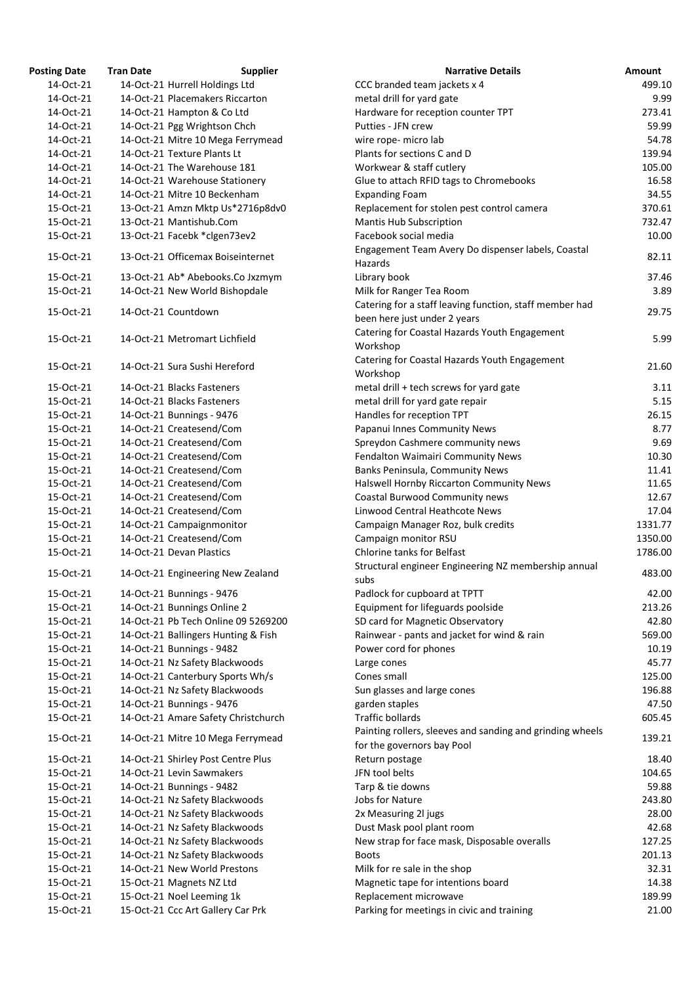| <b>Osting Date</b> | <b>Tran Date</b> | <b>Supplier</b>                     | <b>Narrative Details</b>                                                             |
|--------------------|------------------|-------------------------------------|--------------------------------------------------------------------------------------|
| 14-Oct-21          |                  | 14-Oct-21 Hurrell Holdings Ltd      | CCC branded team jackets x 4                                                         |
| 14-Oct-21          |                  | 14-Oct-21 Placemakers Riccarton     | metal drill for yard gate                                                            |
| 14-Oct-21          |                  | 14-Oct-21 Hampton & Co Ltd          | Hardware for reception counter TPT                                                   |
| 14-Oct-21          |                  | 14-Oct-21 Pgg Wrightson Chch        | Putties - JFN crew                                                                   |
| 14-Oct-21          |                  | 14-Oct-21 Mitre 10 Mega Ferrymead   | wire rope- micro lab                                                                 |
| 14-Oct-21          |                  | 14-Oct-21 Texture Plants Lt         | Plants for sections C and D                                                          |
| 14-Oct-21          |                  | 14-Oct-21 The Warehouse 181         | Workwear & staff cutlery                                                             |
| 14-Oct-21          |                  | 14-Oct-21 Warehouse Stationery      | Glue to attach RFID tags to Chromebooks                                              |
| 14-Oct-21          |                  | 14-Oct-21 Mitre 10 Beckenham        | <b>Expanding Foam</b>                                                                |
| 15-Oct-21          |                  | 13-Oct-21 Amzn Mktp Us*2716p8dv0    | Replacement for stolen pest control camera                                           |
| 15-Oct-21          |                  | 13-Oct-21 Mantishub.Com             | <b>Mantis Hub Subscription</b>                                                       |
| 15-Oct-21          |                  | 13-Oct-21 Facebk *clgen73ev2        | Facebook social media                                                                |
| 15-Oct-21          |                  | 13-Oct-21 Officemax Boiseinternet   | Engagement Team Avery Do dispenser labels, Coastal<br>Hazards                        |
| 15-Oct-21          |                  | 13-Oct-21 Ab* Abebooks.Co Jxzmym    | Library book                                                                         |
| 15-Oct-21          |                  | 14-Oct-21 New World Bishopdale      | Milk for Ranger Tea Room                                                             |
|                    |                  |                                     | Catering for a staff leaving function, staff member had                              |
| 15-Oct-21          |                  | 14-Oct-21 Countdown                 | been here just under 2 years                                                         |
|                    |                  |                                     | Catering for Coastal Hazards Youth Engagement                                        |
| 15-Oct-21          |                  | 14-Oct-21 Metromart Lichfield       | Workshop                                                                             |
|                    |                  |                                     | Catering for Coastal Hazards Youth Engagement                                        |
| 15-Oct-21          |                  | 14-Oct-21 Sura Sushi Hereford       | Workshop                                                                             |
|                    |                  | 14-Oct-21 Blacks Fasteners          | metal drill + tech screws for yard gate                                              |
| 15-Oct-21          |                  |                                     |                                                                                      |
| 15-Oct-21          |                  | 14-Oct-21 Blacks Fasteners          | metal drill for yard gate repair                                                     |
| 15-Oct-21          |                  | 14-Oct-21 Bunnings - 9476           | Handles for reception TPT                                                            |
| 15-Oct-21          |                  | 14-Oct-21 Createsend/Com            | Papanui Innes Community News                                                         |
| 15-Oct-21          |                  | 14-Oct-21 Createsend/Com            | Spreydon Cashmere community news                                                     |
| 15-Oct-21          |                  | 14-Oct-21 Createsend/Com            | Fendalton Waimairi Community News                                                    |
| 15-Oct-21          |                  | 14-Oct-21 Createsend/Com            | Banks Peninsula, Community News                                                      |
| 15-Oct-21          |                  | 14-Oct-21 Createsend/Com            | Halswell Hornby Riccarton Community News                                             |
| 15-Oct-21          |                  | 14-Oct-21 Createsend/Com            | Coastal Burwood Community news                                                       |
| 15-Oct-21          |                  | 14-Oct-21 Createsend/Com            | Linwood Central Heathcote News                                                       |
| 15-Oct-21          |                  | 14-Oct-21 Campaignmonitor           | Campaign Manager Roz, bulk credits                                                   |
| 15-Oct-21          |                  | 14-Oct-21 Createsend/Com            | Campaign monitor RSU                                                                 |
| 15-Oct-21          |                  | 14-Oct-21 Devan Plastics            | <b>Chlorine tanks for Belfast</b>                                                    |
| 15-Oct-21          |                  | 14-Oct-21 Engineering New Zealand   | Structural engineer Engineering NZ membership annual<br>subs                         |
| 15-Oct-21          |                  | 14-Oct-21 Bunnings - 9476           | Padlock for cupboard at TPTT                                                         |
| 15-Oct-21          |                  | 14-Oct-21 Bunnings Online 2         | Equipment for lifeguards poolside                                                    |
| 15-Oct-21          |                  | 14-Oct-21 Pb Tech Online 09 5269200 | SD card for Magnetic Observatory                                                     |
| 15-Oct-21          |                  | 14-Oct-21 Ballingers Hunting & Fish | Rainwear - pants and jacket for wind & rain                                          |
| 15-Oct-21          |                  | 14-Oct-21 Bunnings - 9482           | Power cord for phones                                                                |
| 15-Oct-21          |                  | 14-Oct-21 Nz Safety Blackwoods      | Large cones                                                                          |
| 15-Oct-21          |                  | 14-Oct-21 Canterbury Sports Wh/s    | Cones small                                                                          |
| 15-Oct-21          |                  | 14-Oct-21 Nz Safety Blackwoods      | Sun glasses and large cones                                                          |
| 15-Oct-21          |                  | 14-Oct-21 Bunnings - 9476           | garden staples                                                                       |
| 15-Oct-21          |                  | 14-Oct-21 Amare Safety Christchurch | <b>Traffic bollards</b><br>Painting rollers, sleeves and sanding and grinding wheels |
| 15-Oct-21          |                  | 14-Oct-21 Mitre 10 Mega Ferrymead   | for the governors bay Pool                                                           |
| 15-Oct-21          |                  | 14-Oct-21 Shirley Post Centre Plus  | Return postage                                                                       |
| 15-Oct-21          |                  | 14-Oct-21 Levin Sawmakers           | JFN tool belts                                                                       |
| 15-Oct-21          |                  | 14-Oct-21 Bunnings - 9482           | Tarp & tie downs                                                                     |
| 15-Oct-21          |                  | 14-Oct-21 Nz Safety Blackwoods      | Jobs for Nature                                                                      |
| 15-Oct-21          |                  | 14-Oct-21 Nz Safety Blackwoods      | 2x Measuring 2l jugs                                                                 |
| 15-Oct-21          |                  | 14-Oct-21 Nz Safety Blackwoods      | Dust Mask pool plant room                                                            |
| 15-Oct-21          |                  | 14-Oct-21 Nz Safety Blackwoods      | New strap for face mask, Disposable overalls                                         |
| 15-Oct-21          |                  | 14-Oct-21 Nz Safety Blackwoods      | Boots                                                                                |
| 15-Oct-21          |                  | 14-Oct-21 New World Prestons        | Milk for re sale in the shop                                                         |
| 15-Oct-21          |                  | 15-Oct-21 Magnets NZ Ltd            | Magnetic tape for intentions board                                                   |
| 15-Oct-21          |                  | 15-Oct-21 Noel Leeming 1k           | Replacement microwave                                                                |
| 15-Oct-21          |                  | 15-Oct-21 Ccc Art Gallery Car Prk   | Parking for meetings in civic and training                                           |
|                    |                  |                                     |                                                                                      |

| <b>Posting Date</b> | <b>Tran Date</b> | <b>Supplier</b>                     | <b>Narrative Details</b>                                     | Amount  |
|---------------------|------------------|-------------------------------------|--------------------------------------------------------------|---------|
| 14-Oct-21           |                  | 14-Oct-21 Hurrell Holdings Ltd      | CCC branded team jackets x 4                                 | 499.10  |
| 14-Oct-21           |                  | 14-Oct-21 Placemakers Riccarton     | metal drill for yard gate                                    | 9.99    |
| 14-Oct-21           |                  | 14-Oct-21 Hampton & Co Ltd          | Hardware for reception counter TPT                           | 273.41  |
| 14-Oct-21           |                  | 14-Oct-21 Pgg Wrightson Chch        | Putties - JFN crew                                           | 59.99   |
| 14-Oct-21           |                  | 14-Oct-21 Mitre 10 Mega Ferrymead   | wire rope- micro lab                                         | 54.78   |
| 14-Oct-21           |                  | 14-Oct-21 Texture Plants Lt         | Plants for sections C and D                                  | 139.94  |
| 14-Oct-21           |                  | 14-Oct-21 The Warehouse 181         | Workwear & staff cutlery                                     | 105.00  |
| 14-Oct-21           |                  | 14-Oct-21 Warehouse Stationery      | Glue to attach RFID tags to Chromebooks                      | 16.58   |
| 14-Oct-21           |                  | 14-Oct-21 Mitre 10 Beckenham        | <b>Expanding Foam</b>                                        | 34.55   |
| 15-Oct-21           |                  | 13-Oct-21 Amzn Mktp Us*2716p8dv0    | Replacement for stolen pest control camera                   | 370.61  |
| 15-Oct-21           |                  | 13-Oct-21 Mantishub.Com             | <b>Mantis Hub Subscription</b>                               | 732.47  |
| 15-Oct-21           |                  | 13-Oct-21 Facebk *clgen73ev2        | Facebook social media                                        | 10.00   |
|                     |                  |                                     | Engagement Team Avery Do dispenser labels, Coastal           |         |
| 15-Oct-21           |                  | 13-Oct-21 Officemax Boiseinternet   | Hazards                                                      | 82.11   |
| 15-Oct-21           |                  | 13-Oct-21 Ab* Abebooks.Co Jxzmym    | Library book                                                 | 37.46   |
| 15-Oct-21           |                  | 14-Oct-21 New World Bishopdale      | Milk for Ranger Tea Room                                     | 3.89    |
|                     |                  |                                     | Catering for a staff leaving function, staff member had      |         |
| 15-Oct-21           |                  | 14-Oct-21 Countdown                 | been here just under 2 years                                 | 29.75   |
|                     |                  |                                     | Catering for Coastal Hazards Youth Engagement                |         |
| 15-Oct-21           |                  | 14-Oct-21 Metromart Lichfield       | Workshop                                                     | 5.99    |
|                     |                  |                                     | Catering for Coastal Hazards Youth Engagement                |         |
| 15-Oct-21           |                  | 14-Oct-21 Sura Sushi Hereford       | Workshop                                                     | 21.60   |
| 15-Oct-21           |                  | 14-Oct-21 Blacks Fasteners          | metal drill + tech screws for yard gate                      | 3.11    |
| 15-Oct-21           |                  | 14-Oct-21 Blacks Fasteners          | metal drill for yard gate repair                             | 5.15    |
| 15-Oct-21           |                  | 14-Oct-21 Bunnings - 9476           | Handles for reception TPT                                    | 26.15   |
| 15-Oct-21           |                  | 14-Oct-21 Createsend/Com            | Papanui Innes Community News                                 | 8.77    |
| 15-Oct-21           |                  | 14-Oct-21 Createsend/Com            | Spreydon Cashmere community news                             | 9.69    |
| 15-Oct-21           |                  | 14-Oct-21 Createsend/Com            | Fendalton Waimairi Community News                            | 10.30   |
| 15-Oct-21           |                  | 14-Oct-21 Createsend/Com            | Banks Peninsula, Community News                              | 11.41   |
| 15-Oct-21           |                  | 14-Oct-21 Createsend/Com            | Halswell Hornby Riccarton Community News                     | 11.65   |
| 15-Oct-21           |                  | 14-Oct-21 Createsend/Com            | Coastal Burwood Community news                               | 12.67   |
| 15-Oct-21           |                  |                                     | Linwood Central Heathcote News                               | 17.04   |
|                     |                  | 14-Oct-21 Createsend/Com            |                                                              |         |
| 15-Oct-21           |                  | 14-Oct-21 Campaignmonitor           | Campaign Manager Roz, bulk credits                           | 1331.77 |
| 15-Oct-21           |                  | 14-Oct-21 Createsend/Com            | Campaign monitor RSU                                         | 1350.00 |
| 15-Oct-21           |                  | 14-Oct-21 Devan Plastics            | Chlorine tanks for Belfast                                   | 1786.00 |
| 15-Oct-21           |                  | 14-Oct-21 Engineering New Zealand   | Structural engineer Engineering NZ membership annual<br>subs | 483.00  |
| 15-Oct-21           |                  | 14-Oct-21 Bunnings - 9476           | Padlock for cupboard at TPTT                                 | 42.00   |
| 15-Oct-21           |                  | 14-Oct-21 Bunnings Online 2         | Equipment for lifeguards poolside                            | 213.26  |
| 15-Oct-21           |                  | 14-Oct-21 Pb Tech Online 09 5269200 | SD card for Magnetic Observatory                             | 42.80   |
| 15-Oct-21           |                  | 14-Oct-21 Ballingers Hunting & Fish | Rainwear - pants and jacket for wind & rain                  | 569.00  |
| 15-Oct-21           |                  | 14-Oct-21 Bunnings - 9482           | Power cord for phones                                        | 10.19   |
| 15-Oct-21           |                  | 14-Oct-21 Nz Safety Blackwoods      | Large cones                                                  | 45.77   |
| 15-Oct-21           |                  | 14-Oct-21 Canterbury Sports Wh/s    | Cones small                                                  | 125.00  |
| 15-Oct-21           |                  | 14-Oct-21 Nz Safety Blackwoods      | Sun glasses and large cones                                  | 196.88  |
| 15-Oct-21           |                  | 14-Oct-21 Bunnings - 9476           | garden staples                                               | 47.50   |
| 15-Oct-21           |                  | 14-Oct-21 Amare Safety Christchurch | <b>Traffic bollards</b>                                      | 605.45  |
|                     |                  |                                     | Painting rollers, sleeves and sanding and grinding wheels    |         |
| 15-Oct-21           |                  | 14-Oct-21 Mitre 10 Mega Ferrymead   | for the governors bay Pool                                   | 139.21  |
| 15-Oct-21           |                  | 14-Oct-21 Shirley Post Centre Plus  | Return postage                                               | 18.40   |
| 15-Oct-21           |                  | 14-Oct-21 Levin Sawmakers           | JFN tool belts                                               | 104.65  |
| 15-Oct-21           |                  | 14-Oct-21 Bunnings - 9482           | Tarp & tie downs                                             | 59.88   |
| 15-Oct-21           |                  | 14-Oct-21 Nz Safety Blackwoods      | Jobs for Nature                                              | 243.80  |
| 15-Oct-21           |                  | 14-Oct-21 Nz Safety Blackwoods      | 2x Measuring 2l jugs                                         | 28.00   |
| 15-Oct-21           |                  | 14-Oct-21 Nz Safety Blackwoods      | Dust Mask pool plant room                                    | 42.68   |
| 15-Oct-21           |                  | 14-Oct-21 Nz Safety Blackwoods      | New strap for face mask, Disposable overalls                 | 127.25  |
| 15-Oct-21           |                  | 14-Oct-21 Nz Safety Blackwoods      | <b>Boots</b>                                                 | 201.13  |
| 15-Oct-21           |                  | 14-Oct-21 New World Prestons        | Milk for re sale in the shop                                 | 32.31   |
| 15-Oct-21           |                  | 15-Oct-21 Magnets NZ Ltd            | Magnetic tape for intentions board                           | 14.38   |
| 15-Oct-21           |                  | 15-Oct-21 Noel Leeming 1k           | Replacement microwave                                        | 189.99  |
| 15-Oct-21           |                  | 15-Oct-21 Ccc Art Gallery Car Prk   | Parking for meetings in civic and training                   | 21.00   |
|                     |                  |                                     |                                                              |         |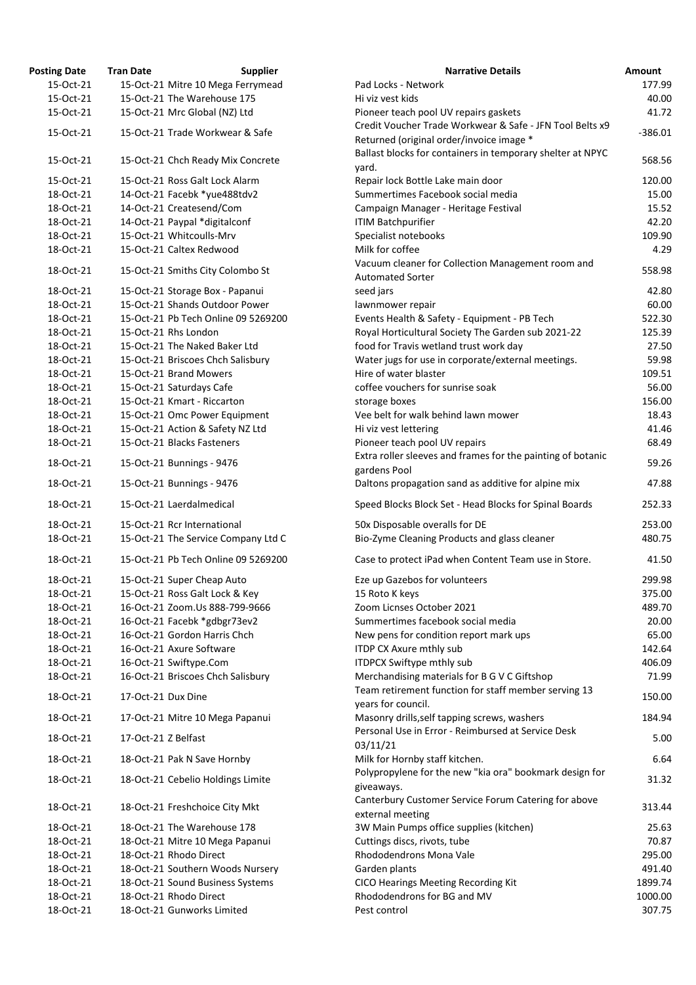| osting Date | <b>Tran Date</b><br><b>Supplier</b> | <b>Narrative Details</b>                                                                           |
|-------------|-------------------------------------|----------------------------------------------------------------------------------------------------|
| 15-Oct-21   | 15-Oct-21 Mitre 10 Mega Ferrymead   | Pad Locks - Network                                                                                |
| 15-Oct-21   | 15-Oct-21 The Warehouse 175         | Hi viz vest kids                                                                                   |
| 15-Oct-21   | 15-Oct-21 Mrc Global (NZ) Ltd       | Pioneer teach pool UV repairs gaskets<br>Credit Voucher Trade Workwear & Safe - JFN Tool Belts     |
| 15-Oct-21   | 15-Oct-21 Trade Workwear & Safe     | Returned (original order/invoice image *                                                           |
| 15-Oct-21   | 15-Oct-21 Chch Ready Mix Concrete   | Ballast blocks for containers in temporary shelter at NF<br>yard.                                  |
| 15-Oct-21   | 15-Oct-21 Ross Galt Lock Alarm      | Repair lock Bottle Lake main door                                                                  |
| 18-Oct-21   | 14-Oct-21 Facebk *yue488tdv2        | Summertimes Facebook social media                                                                  |
| 18-Oct-21   | 14-Oct-21 Createsend/Com            | Campaign Manager - Heritage Festival                                                               |
| 18-Oct-21   | 14-Oct-21 Paypal *digitalconf       | <b>ITIM Batchpurifier</b>                                                                          |
| 18-Oct-21   | 15-Oct-21 Whitcoulls-Mrv            | Specialist notebooks                                                                               |
| 18-Oct-21   | 15-Oct-21 Caltex Redwood            | Milk for coffee                                                                                    |
| 18-Oct-21   | 15-Oct-21 Smiths City Colombo St    | Vacuum cleaner for Collection Management room and<br><b>Automated Sorter</b>                       |
| 18-Oct-21   | 15-Oct-21 Storage Box - Papanui     | seed jars                                                                                          |
| 18-Oct-21   | 15-Oct-21 Shands Outdoor Power      | lawnmower repair                                                                                   |
| 18-Oct-21   | 15-Oct-21 Pb Tech Online 09 5269200 | Events Health & Safety - Equipment - PB Tech                                                       |
| 18-Oct-21   | 15-Oct-21 Rhs London                | Royal Horticultural Society The Garden sub 2021-22                                                 |
| 18-Oct-21   | 15-Oct-21 The Naked Baker Ltd       | food for Travis wetland trust work day                                                             |
| 18-Oct-21   | 15-Oct-21 Briscoes Chch Salisbury   | Water jugs for use in corporate/external meetings.                                                 |
| 18-Oct-21   | 15-Oct-21 Brand Mowers              | Hire of water blaster                                                                              |
| 18-Oct-21   | 15-Oct-21 Saturdays Cafe            | coffee vouchers for sunrise soak                                                                   |
| 18-Oct-21   | 15-Oct-21 Kmart - Riccarton         | storage boxes                                                                                      |
| 18-Oct-21   | 15-Oct-21 Omc Power Equipment       | Vee belt for walk behind lawn mower                                                                |
| 18-Oct-21   | 15-Oct-21 Action & Safety NZ Ltd    | Hi viz vest lettering                                                                              |
| 18-Oct-21   | 15-Oct-21 Blacks Fasteners          | Pioneer teach pool UV repairs                                                                      |
| 18-Oct-21   | 15-Oct-21 Bunnings - 9476           | Extra roller sleeves and frames for the painting of bota<br>gardens Pool                           |
| 18-Oct-21   | 15-Oct-21 Bunnings - 9476           | Daltons propagation sand as additive for alpine mix                                                |
| 18-Oct-21   | 15-Oct-21 Laerdalmedical            | Speed Blocks Block Set - Head Blocks for Spinal Boards                                             |
| 18-Oct-21   | 15-Oct-21 Rcr International         | 50x Disposable overalls for DE                                                                     |
| 18-Oct-21   | 15-Oct-21 The Service Company Ltd C | Bio-Zyme Cleaning Products and glass cleaner                                                       |
| 18-Oct-21   | 15-Oct-21 Pb Tech Online 09 5269200 | Case to protect iPad when Content Team use in Store.                                               |
| 18-Oct-21   | 15-Oct-21 Super Cheap Auto          | Eze up Gazebos for volunteers                                                                      |
| 18-Oct-21   | 15-Oct-21 Ross Galt Lock & Key      | 15 Roto K keys                                                                                     |
| 18-Oct-21   | 16-Oct-21 Zoom.Us 888-799-9666      | Zoom Licnses October 2021                                                                          |
| 18-Oct-21   | 16-Oct-21 Facebk *gdbgr73ev2        | Summertimes facebook social media                                                                  |
| 18-Oct-21   | 16-Oct-21 Gordon Harris Chch        | New pens for condition report mark ups                                                             |
| 18-Oct-21   | 16-Oct-21 Axure Software            | ITDP CX Axure mthly sub                                                                            |
| 18-Oct-21   | 16-Oct-21 Swiftype.Com              | ITDPCX Swiftype mthly sub                                                                          |
| 18-Oct-21   | 16-Oct-21 Briscoes Chch Salisbury   | Merchandising materials for B G V C Giftshop                                                       |
| 18-Oct-21   | 17-Oct-21 Dux Dine                  | Team retirement function for staff member serving 13<br>years for council.                         |
| 18-Oct-21   | 17-Oct-21 Mitre 10 Mega Papanui     | Masonry drills, self tapping screws, washers<br>Personal Use in Error - Reimbursed at Service Desk |
| 18-Oct-21   | 17-Oct-21 Z Belfast                 | 03/11/21                                                                                           |
| 18-Oct-21   | 18-Oct-21 Pak N Save Hornby         | Milk for Hornby staff kitchen.<br>Polypropylene for the new "kia ora" bookmark design f            |
| 18-Oct-21   | 18-Oct-21 Cebelio Holdings Limite   | giveaways.                                                                                         |
| 18-Oct-21   | 18-Oct-21 Freshchoice City Mkt      | Canterbury Customer Service Forum Catering for above<br>external meeting                           |
| 18-Oct-21   | 18-Oct-21 The Warehouse 178         | 3W Main Pumps office supplies (kitchen)                                                            |
| 18-Oct-21   | 18-Oct-21 Mitre 10 Mega Papanui     | Cuttings discs, rivots, tube                                                                       |
| 18-Oct-21   | 18-Oct-21 Rhodo Direct              | Rhododendrons Mona Vale                                                                            |
| 18-Oct-21   | 18-Oct-21 Southern Woods Nursery    | Garden plants                                                                                      |
| 18-Oct-21   | 18-Oct-21 Sound Business Systems    | CICO Hearings Meeting Recording Kit                                                                |
| 18-Oct-21   | 18-Oct-21 Rhodo Direct              | Rhododendrons for BG and MV                                                                        |
| 18-Oct-21   | 18-Oct-21 Gunworks Limited          | Pest control                                                                                       |

| <b>Posting Date</b> | <b>Tran Date</b>    | <b>Supplier</b>                     | <b>Narrative Details</b>                                                                             | <b>Amount</b> |
|---------------------|---------------------|-------------------------------------|------------------------------------------------------------------------------------------------------|---------------|
| 15-Oct-21           |                     | 15-Oct-21 Mitre 10 Mega Ferrymead   | Pad Locks - Network                                                                                  | 177.99        |
| 15-Oct-21           |                     | 15-Oct-21 The Warehouse 175         | Hi viz vest kids                                                                                     | 40.00         |
| 15-Oct-21           |                     | 15-Oct-21 Mrc Global (NZ) Ltd       | Pioneer teach pool UV repairs gaskets                                                                | 41.72         |
| 15-Oct-21           |                     | 15-Oct-21 Trade Workwear & Safe     | Credit Voucher Trade Workwear & Safe - JFN Tool Belts x9<br>Returned (original order/invoice image * | $-386.01$     |
| 15-Oct-21           |                     | 15-Oct-21 Chch Ready Mix Concrete   | Ballast blocks for containers in temporary shelter at NPYC<br>yard.                                  | 568.56        |
| 15-Oct-21           |                     | 15-Oct-21 Ross Galt Lock Alarm      | Repair lock Bottle Lake main door                                                                    | 120.00        |
| 18-Oct-21           |                     | 14-Oct-21 Facebk *yue488tdv2        | Summertimes Facebook social media                                                                    | 15.00         |
| 18-Oct-21           |                     | 14-Oct-21 Createsend/Com            | Campaign Manager - Heritage Festival                                                                 | 15.52         |
| 18-Oct-21           |                     | 14-Oct-21 Paypal *digitalconf       | <b>ITIM Batchpurifier</b>                                                                            | 42.20         |
| 18-Oct-21           |                     | 15-Oct-21 Whitcoulls-Mrv            | Specialist notebooks                                                                                 | 109.90        |
| 18-Oct-21           |                     | 15-Oct-21 Caltex Redwood            | Milk for coffee                                                                                      | 4.29          |
| 18-Oct-21           |                     | 15-Oct-21 Smiths City Colombo St    | Vacuum cleaner for Collection Management room and<br><b>Automated Sorter</b>                         | 558.98        |
| 18-Oct-21           |                     | 15-Oct-21 Storage Box - Papanui     | seed jars                                                                                            | 42.80         |
| 18-Oct-21           |                     | 15-Oct-21 Shands Outdoor Power      | lawnmower repair                                                                                     | 60.00         |
| 18-Oct-21           |                     | 15-Oct-21 Pb Tech Online 09 5269200 | Events Health & Safety - Equipment - PB Tech                                                         | 522.30        |
| 18-Oct-21           |                     | 15-Oct-21 Rhs London                | Royal Horticultural Society The Garden sub 2021-22                                                   | 125.39        |
| 18-Oct-21           |                     | 15-Oct-21 The Naked Baker Ltd       | food for Travis wetland trust work day                                                               | 27.50         |
| 18-Oct-21           |                     | 15-Oct-21 Briscoes Chch Salisbury   | Water jugs for use in corporate/external meetings.                                                   | 59.98         |
| 18-Oct-21           |                     | 15-Oct-21 Brand Mowers              | Hire of water blaster                                                                                | 109.51        |
| 18-Oct-21           |                     | 15-Oct-21 Saturdays Cafe            | coffee vouchers for sunrise soak                                                                     | 56.00         |
| 18-Oct-21           |                     | 15-Oct-21 Kmart - Riccarton         | storage boxes                                                                                        | 156.00        |
| 18-Oct-21           |                     | 15-Oct-21 Omc Power Equipment       | Vee belt for walk behind lawn mower                                                                  | 18.43         |
| 18-Oct-21           |                     | 15-Oct-21 Action & Safety NZ Ltd    | Hi viz vest lettering                                                                                | 41.46         |
| 18-Oct-21           |                     | 15-Oct-21 Blacks Fasteners          | Pioneer teach pool UV repairs                                                                        | 68.49         |
| 18-Oct-21           |                     | 15-Oct-21 Bunnings - 9476           | Extra roller sleeves and frames for the painting of botanic                                          | 59.26         |
| 18-Oct-21           |                     | 15-Oct-21 Bunnings - 9476           | gardens Pool<br>Daltons propagation sand as additive for alpine mix                                  | 47.88         |
| 18-Oct-21           |                     | 15-Oct-21 Laerdalmedical            | Speed Blocks Block Set - Head Blocks for Spinal Boards                                               | 252.33        |
| 18-Oct-21           |                     | 15-Oct-21 Rcr International         | 50x Disposable overalls for DE                                                                       | 253.00        |
| 18-Oct-21           |                     | 15-Oct-21 The Service Company Ltd C | Bio-Zyme Cleaning Products and glass cleaner                                                         | 480.75        |
| 18-Oct-21           |                     | 15-Oct-21 Pb Tech Online 09 5269200 | Case to protect iPad when Content Team use in Store.                                                 | 41.50         |
| 18-Oct-21           |                     | 15-Oct-21 Super Cheap Auto          | Eze up Gazebos for volunteers                                                                        | 299.98        |
| 18-Oct-21           |                     | 15-Oct-21 Ross Galt Lock & Key      | 15 Roto K keys                                                                                       | 375.00        |
| 18-Oct-21           |                     | 16-Oct-21 Zoom.Us 888-799-9666      | Zoom Licnses October 2021                                                                            | 489.70        |
| 18-Oct-21           |                     | 16-Oct-21 Facebk *gdbgr73ev2        | Summertimes facebook social media                                                                    | 20.00         |
| 18-Oct-21           |                     | 16-Oct-21 Gordon Harris Chch        | New pens for condition report mark ups                                                               | 65.00         |
| 18-Oct-21           |                     | 16-Oct-21 Axure Software            | ITDP CX Axure mthly sub                                                                              | 142.64        |
| 18-Oct-21           |                     | 16-Oct-21 Swiftype.Com              | ITDPCX Swiftype mthly sub                                                                            | 406.09        |
| 18-Oct-21           |                     | 16-Oct-21 Briscoes Chch Salisbury   | Merchandising materials for B G V C Giftshop                                                         | 71.99         |
| 18-Oct-21           | 17-Oct-21 Dux Dine  |                                     | Team retirement function for staff member serving 13<br>years for council.                           | 150.00        |
| 18-Oct-21           |                     | 17-Oct-21 Mitre 10 Mega Papanui     | Masonry drills, self tapping screws, washers                                                         | 184.94        |
| 18-Oct-21           | 17-Oct-21 Z Belfast |                                     | Personal Use in Error - Reimbursed at Service Desk<br>03/11/21                                       | 5.00          |
| 18-Oct-21           |                     | 18-Oct-21 Pak N Save Hornby         | Milk for Hornby staff kitchen.                                                                       | 6.64          |
| 18-Oct-21           |                     | 18-Oct-21 Cebelio Holdings Limite   | Polypropylene for the new "kia ora" bookmark design for<br>giveaways.                                | 31.32         |
| 18-Oct-21           |                     | 18-Oct-21 Freshchoice City Mkt      | Canterbury Customer Service Forum Catering for above<br>external meeting                             | 313.44        |
| 18-Oct-21           |                     | 18-Oct-21 The Warehouse 178         | 3W Main Pumps office supplies (kitchen)                                                              | 25.63         |
| 18-Oct-21           |                     | 18-Oct-21 Mitre 10 Mega Papanui     | Cuttings discs, rivots, tube                                                                         | 70.87         |
| 18-Oct-21           |                     | 18-Oct-21 Rhodo Direct              | Rhododendrons Mona Vale                                                                              | 295.00        |
| 18-Oct-21           |                     | 18-Oct-21 Southern Woods Nursery    | Garden plants                                                                                        | 491.40        |
| 18-Oct-21           |                     | 18-Oct-21 Sound Business Systems    | CICO Hearings Meeting Recording Kit                                                                  | 1899.74       |
| 18-Oct-21           |                     | 18-Oct-21 Rhodo Direct              | Rhododendrons for BG and MV                                                                          | 1000.00       |
| 18-Oct-21           |                     | 18-Oct-21 Gunworks Limited          | Pest control                                                                                         | 307.75        |
|                     |                     |                                     |                                                                                                      |               |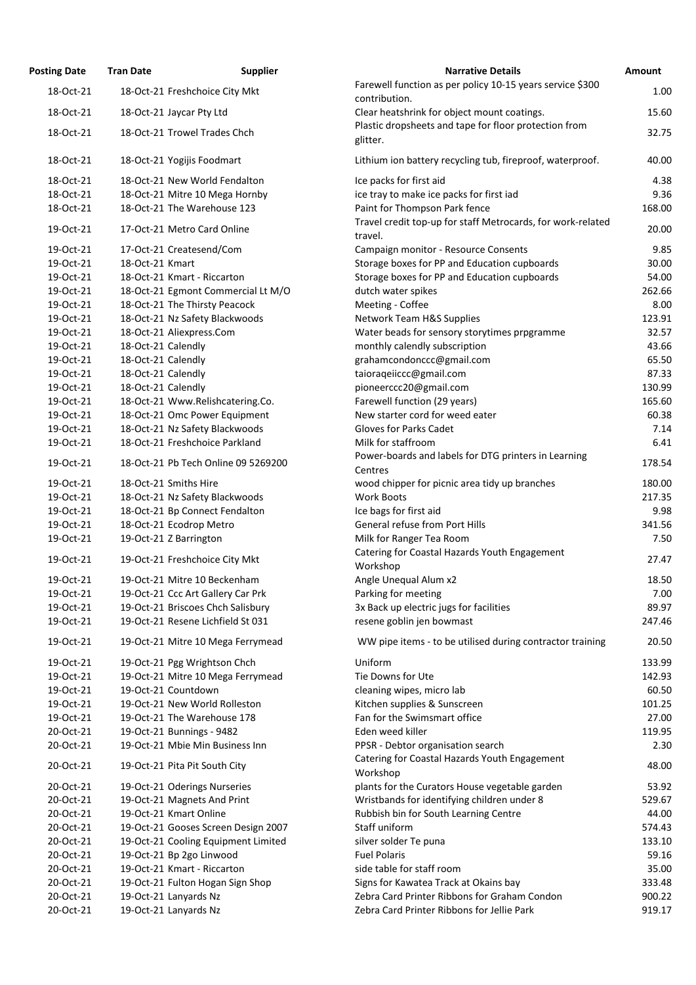| osting Date | <b>Tran Date</b>                  | <b>Supplier</b>                     | <b>Narrative Details</b>                                                                   |
|-------------|-----------------------------------|-------------------------------------|--------------------------------------------------------------------------------------------|
| 18-Oct-21   | 18-Oct-21 Freshchoice City Mkt    |                                     | Farewell function as per policy 10-15 years service \$300                                  |
| 18-Oct-21   | 18-Oct-21 Jaycar Pty Ltd          |                                     | contribution.<br>Clear heatshrink for object mount coatings.                               |
| 18-Oct-21   | 18-Oct-21 Trowel Trades Chch      |                                     | Plastic dropsheets and tape for floor protection from<br>glitter.                          |
| 18-Oct-21   | 18-Oct-21 Yogijis Foodmart        |                                     | Lithium ion battery recycling tub, fireproof, waterproof.                                  |
|             |                                   |                                     |                                                                                            |
| 18-Oct-21   | 18-Oct-21 New World Fendalton     |                                     | Ice packs for first aid                                                                    |
| 18-Oct-21   | 18-Oct-21 Mitre 10 Mega Hornby    |                                     | ice tray to make ice packs for first iad                                                   |
| 18-Oct-21   | 18-Oct-21 The Warehouse 123       |                                     | Paint for Thompson Park fence<br>Travel credit top-up for staff Metrocards, for work-relat |
| 19-Oct-21   | 17-Oct-21 Metro Card Online       |                                     | travel.                                                                                    |
| 19-Oct-21   | 17-Oct-21 Createsend/Com          |                                     | Campaign monitor - Resource Consents                                                       |
| 19-Oct-21   | 18-Oct-21 Kmart                   |                                     | Storage boxes for PP and Education cupboards                                               |
| 19-Oct-21   | 18-Oct-21 Kmart - Riccarton       |                                     | Storage boxes for PP and Education cupboards                                               |
| 19-Oct-21   |                                   | 18-Oct-21 Egmont Commercial Lt M/O  | dutch water spikes                                                                         |
| 19-Oct-21   | 18-Oct-21 The Thirsty Peacock     |                                     | Meeting - Coffee                                                                           |
| 19-Oct-21   | 18-Oct-21 Nz Safety Blackwoods    |                                     | Network Team H&S Supplies                                                                  |
| 19-Oct-21   | 18-Oct-21 Aliexpress.Com          |                                     | Water beads for sensory storytimes prpgramme                                               |
| 19-Oct-21   | 18-Oct-21 Calendly                |                                     | monthly calendly subscription                                                              |
| 19-Oct-21   | 18-Oct-21 Calendly                |                                     | grahamcondonccc@gmail.com                                                                  |
| 19-Oct-21   | 18-Oct-21 Calendly                |                                     | taioraqeiiccc@gmail.com                                                                    |
| 19-Oct-21   | 18-Oct-21 Calendly                |                                     | pioneerccc20@gmail.com                                                                     |
| 19-Oct-21   | 18-Oct-21 Www.Relishcatering.Co.  |                                     | Farewell function (29 years)                                                               |
| 19-Oct-21   | 18-Oct-21 Omc Power Equipment     |                                     | New starter cord for weed eater                                                            |
| 19-Oct-21   | 18-Oct-21 Nz Safety Blackwoods    |                                     | Gloves for Parks Cadet                                                                     |
| 19-Oct-21   | 18-Oct-21 Freshchoice Parkland    |                                     | Milk for staffroom                                                                         |
| 19-Oct-21   |                                   | 18-Oct-21 Pb Tech Online 09 5269200 | Power-boards and labels for DTG printers in Learning<br>Centres                            |
| 19-Oct-21   | 18-Oct-21 Smiths Hire             |                                     | wood chipper for picnic area tidy up branches                                              |
| 19-Oct-21   | 18-Oct-21 Nz Safety Blackwoods    |                                     | Work Boots                                                                                 |
| 19-Oct-21   | 18-Oct-21 Bp Connect Fendalton    |                                     | Ice bags for first aid                                                                     |
| 19-Oct-21   | 18-Oct-21 Ecodrop Metro           |                                     | General refuse from Port Hills                                                             |
| 19-Oct-21   | 19-Oct-21 Z Barrington            |                                     | Milk for Ranger Tea Room                                                                   |
| 19-Oct-21   | 19-Oct-21 Freshchoice City Mkt    |                                     | Catering for Coastal Hazards Youth Engagement<br>Workshop                                  |
| 19-Oct-21   | 19-Oct-21 Mitre 10 Beckenham      |                                     | Angle Unequal Alum x2                                                                      |
| 19-Oct-21   | 19-Oct-21 Ccc Art Gallery Car Prk |                                     | Parking for meeting                                                                        |
| 19-Oct-21   | 19-Oct-21 Briscoes Chch Salisbury |                                     | 3x Back up electric jugs for facilities                                                    |
| 19-Oct-21   | 19-Oct-21 Resene Lichfield St 031 |                                     | resene goblin jen bowmast                                                                  |
| 19-Oct-21   | 19-Oct-21 Mitre 10 Mega Ferrymead |                                     | WW pipe items - to be utilised during contractor trainin                                   |
| 19-Oct-21   | 19-Oct-21 Pgg Wrightson Chch      |                                     | Uniform                                                                                    |
| 19-Oct-21   | 19-Oct-21 Mitre 10 Mega Ferrymead |                                     | Tie Downs for Ute                                                                          |
| 19-Oct-21   | 19-Oct-21 Countdown               |                                     | cleaning wipes, micro lab                                                                  |
| 19-Oct-21   | 19-Oct-21 New World Rolleston     |                                     | Kitchen supplies & Sunscreen                                                               |
| 19-Oct-21   | 19-Oct-21 The Warehouse 178       |                                     | Fan for the Swimsmart office                                                               |
| 20-Oct-21   | 19-Oct-21 Bunnings - 9482         |                                     | Eden weed killer                                                                           |
| 20-Oct-21   | 19-Oct-21 Mbie Min Business Inn   |                                     | PPSR - Debtor organisation search                                                          |
| 20-Oct-21   | 19-Oct-21 Pita Pit South City     |                                     | Catering for Coastal Hazards Youth Engagement<br>Workshop                                  |
| 20-Oct-21   | 19-Oct-21 Oderings Nurseries      |                                     | plants for the Curators House vegetable garden                                             |
| 20-Oct-21   | 19-Oct-21 Magnets And Print       |                                     | Wristbands for identifying children under 8                                                |
| 20-Oct-21   | 19-Oct-21 Kmart Online            |                                     | Rubbish bin for South Learning Centre                                                      |
| 20-Oct-21   |                                   | 19-Oct-21 Gooses Screen Design 2007 | Staff uniform                                                                              |
| 20-Oct-21   |                                   | 19-Oct-21 Cooling Equipment Limited | silver solder Te puna                                                                      |
| 20-Oct-21   | 19-Oct-21 Bp 2go Linwood          |                                     | <b>Fuel Polaris</b>                                                                        |
| 20-Oct-21   | 19-Oct-21 Kmart - Riccarton       |                                     | side table for staff room                                                                  |
| 20-Oct-21   | 19-Oct-21 Fulton Hogan Sign Shop  |                                     | Signs for Kawatea Track at Okains bay                                                      |
| 20-Oct-21   | 19-Oct-21 Lanyards Nz             |                                     | Zebra Card Printer Ribbons for Graham Condon                                               |
| 20-Oct-21   | 19-Oct-21 Lanyards Nz             |                                     | Zebra Card Printer Ribbons for Jellie Park                                                 |

| <b>Posting Date</b>    | <b>Tran Date</b>   | <b>Supplier</b>                                                  | <b>Narrative Details</b>                                                                             | Amount |
|------------------------|--------------------|------------------------------------------------------------------|------------------------------------------------------------------------------------------------------|--------|
| 18-Oct-21              |                    | 18-Oct-21 Freshchoice City Mkt                                   | Farewell function as per policy 10-15 years service \$300                                            | 1.00   |
|                        |                    |                                                                  | contribution.                                                                                        | 15.60  |
| 18-Oct-21              |                    | 18-Oct-21 Jaycar Pty Ltd                                         | Clear heatshrink for object mount coatings.<br>Plastic dropsheets and tape for floor protection from |        |
| 18-Oct-21              |                    | 18-Oct-21 Trowel Trades Chch                                     | glitter.                                                                                             | 32.75  |
| 18-Oct-21              |                    | 18-Oct-21 Yogijis Foodmart                                       | Lithium ion battery recycling tub, fireproof, waterproof.                                            | 40.00  |
| 18-Oct-21              |                    | 18-Oct-21 New World Fendalton                                    | Ice packs for first aid                                                                              | 4.38   |
| 18-Oct-21              |                    | 18-Oct-21 Mitre 10 Mega Hornby                                   | ice tray to make ice packs for first iad                                                             | 9.36   |
| 18-Oct-21              |                    | 18-Oct-21 The Warehouse 123                                      | Paint for Thompson Park fence                                                                        | 168.00 |
| 19-Oct-21              |                    | 17-Oct-21 Metro Card Online                                      | Travel credit top-up for staff Metrocards, for work-related<br>travel.                               | 20.00  |
| 19-Oct-21              |                    | 17-Oct-21 Createsend/Com                                         | Campaign monitor - Resource Consents                                                                 | 9.85   |
| 19-Oct-21              | 18-Oct-21 Kmart    |                                                                  | Storage boxes for PP and Education cupboards                                                         | 30.00  |
| 19-Oct-21              |                    | 18-Oct-21 Kmart - Riccarton                                      | Storage boxes for PP and Education cupboards                                                         | 54.00  |
| 19-Oct-21              |                    | 18-Oct-21 Egmont Commercial Lt M/O                               | dutch water spikes                                                                                   | 262.66 |
| 19-Oct-21              |                    | 18-Oct-21 The Thirsty Peacock                                    | Meeting - Coffee                                                                                     | 8.00   |
| 19-Oct-21              |                    | 18-Oct-21 Nz Safety Blackwoods                                   | Network Team H&S Supplies                                                                            | 123.91 |
| 19-Oct-21              |                    | 18-Oct-21 Aliexpress.Com                                         | Water beads for sensory storytimes prpgramme                                                         | 32.57  |
| 19-Oct-21              | 18-Oct-21 Calendly |                                                                  | monthly calendly subscription                                                                        | 43.66  |
| 19-Oct-21              | 18-Oct-21 Calendly |                                                                  | grahamcondonccc@gmail.com                                                                            | 65.50  |
| 19-Oct-21              | 18-Oct-21 Calendly |                                                                  | taioraqeiiccc@gmail.com                                                                              | 87.33  |
| 19-Oct-21              | 18-Oct-21 Calendly |                                                                  | pioneerccc20@gmail.com                                                                               | 130.99 |
| 19-Oct-21              |                    | 18-Oct-21 Www.Relishcatering.Co.                                 | Farewell function (29 years)                                                                         | 165.60 |
| 19-Oct-21              |                    | 18-Oct-21 Omc Power Equipment                                    | New starter cord for weed eater                                                                      | 60.38  |
| 19-Oct-21              |                    | 18-Oct-21 Nz Safety Blackwoods                                   | Gloves for Parks Cadet                                                                               | 7.14   |
| 19-Oct-21              |                    | 18-Oct-21 Freshchoice Parkland                                   | Milk for staffroom                                                                                   | 6.41   |
| 19-Oct-21              |                    | 18-Oct-21 Pb Tech Online 09 5269200                              | Power-boards and labels for DTG printers in Learning<br>Centres                                      | 178.54 |
| 19-Oct-21              |                    | 18-Oct-21 Smiths Hire                                            | wood chipper for picnic area tidy up branches                                                        | 180.00 |
| 19-Oct-21              |                    | 18-Oct-21 Nz Safety Blackwoods                                   | <b>Work Boots</b>                                                                                    | 217.35 |
| 19-Oct-21              |                    | 18-Oct-21 Bp Connect Fendalton                                   | Ice bags for first aid                                                                               | 9.98   |
| 19-Oct-21              |                    | 18-Oct-21 Ecodrop Metro                                          | General refuse from Port Hills                                                                       | 341.56 |
| 19-Oct-21              |                    | 19-Oct-21 Z Barrington                                           | Milk for Ranger Tea Room                                                                             | 7.50   |
| 19-Oct-21              |                    | 19-Oct-21 Freshchoice City Mkt                                   | Catering for Coastal Hazards Youth Engagement<br>Workshop                                            | 27.47  |
| 19-Oct-21              |                    | 19-Oct-21 Mitre 10 Beckenham                                     | Angle Unequal Alum x2                                                                                | 18.50  |
| 19-Oct-21              |                    | 19-Oct-21 Ccc Art Gallery Car Prk                                | Parking for meeting                                                                                  | 7.00   |
| 19-Oct-21              |                    | 19-Oct-21 Briscoes Chch Salisbury                                | 3x Back up electric jugs for facilities                                                              | 89.97  |
| 19-Oct-21              |                    | 19-Oct-21 Resene Lichfield St 031                                | resene goblin jen bowmast                                                                            | 247.46 |
| 19-Oct-21              |                    | 19-Oct-21 Mitre 10 Mega Ferrymead                                | WW pipe items - to be utilised during contractor training                                            | 20.50  |
| 19-Oct-21              |                    |                                                                  | Uniform                                                                                              | 133.99 |
| 19-Oct-21              |                    | 19-Oct-21 Pgg Wrightson Chch                                     | Tie Downs for Ute                                                                                    | 142.93 |
|                        |                    | 19-Oct-21 Mitre 10 Mega Ferrymead<br>19-Oct-21 Countdown         |                                                                                                      | 60.50  |
| 19-Oct-21<br>19-Oct-21 |                    | 19-Oct-21 New World Rolleston                                    | cleaning wipes, micro lab<br>Kitchen supplies & Sunscreen                                            | 101.25 |
| 19-Oct-21              |                    | 19-Oct-21 The Warehouse 178                                      | Fan for the Swimsmart office                                                                         | 27.00  |
|                        |                    |                                                                  | Eden weed killer                                                                                     | 119.95 |
| 20-Oct-21<br>20-Oct-21 |                    | 19-Oct-21 Bunnings - 9482                                        |                                                                                                      | 2.30   |
| 20-Oct-21              |                    | 19-Oct-21 Mbie Min Business Inn<br>19-Oct-21 Pita Pit South City | PPSR - Debtor organisation search<br>Catering for Coastal Hazards Youth Engagement                   | 48.00  |
|                        |                    |                                                                  | Workshop                                                                                             |        |
| 20-Oct-21              |                    | 19-Oct-21 Oderings Nurseries                                     | plants for the Curators House vegetable garden                                                       | 53.92  |
| 20-Oct-21              |                    | 19-Oct-21 Magnets And Print                                      | Wristbands for identifying children under 8                                                          | 529.67 |
| 20-Oct-21              |                    | 19-Oct-21 Kmart Online                                           | Rubbish bin for South Learning Centre                                                                | 44.00  |
| 20-Oct-21              |                    | 19-Oct-21 Gooses Screen Design 2007                              | Staff uniform                                                                                        | 574.43 |
| 20-Oct-21              |                    | 19-Oct-21 Cooling Equipment Limited                              | silver solder Te puna                                                                                | 133.10 |
| 20-Oct-21              |                    | 19-Oct-21 Bp 2go Linwood                                         | <b>Fuel Polaris</b>                                                                                  | 59.16  |
| 20-Oct-21              |                    | 19-Oct-21 Kmart - Riccarton                                      | side table for staff room                                                                            | 35.00  |
| 20-Oct-21              |                    | 19-Oct-21 Fulton Hogan Sign Shop                                 | Signs for Kawatea Track at Okains bay                                                                | 333.48 |
| 20-Oct-21              |                    | 19-Oct-21 Lanyards Nz                                            | Zebra Card Printer Ribbons for Graham Condon                                                         | 900.22 |
| 20-Oct-21              |                    | 19-Oct-21 Lanyards Nz                                            | Zebra Card Printer Ribbons for Jellie Park                                                           | 919.17 |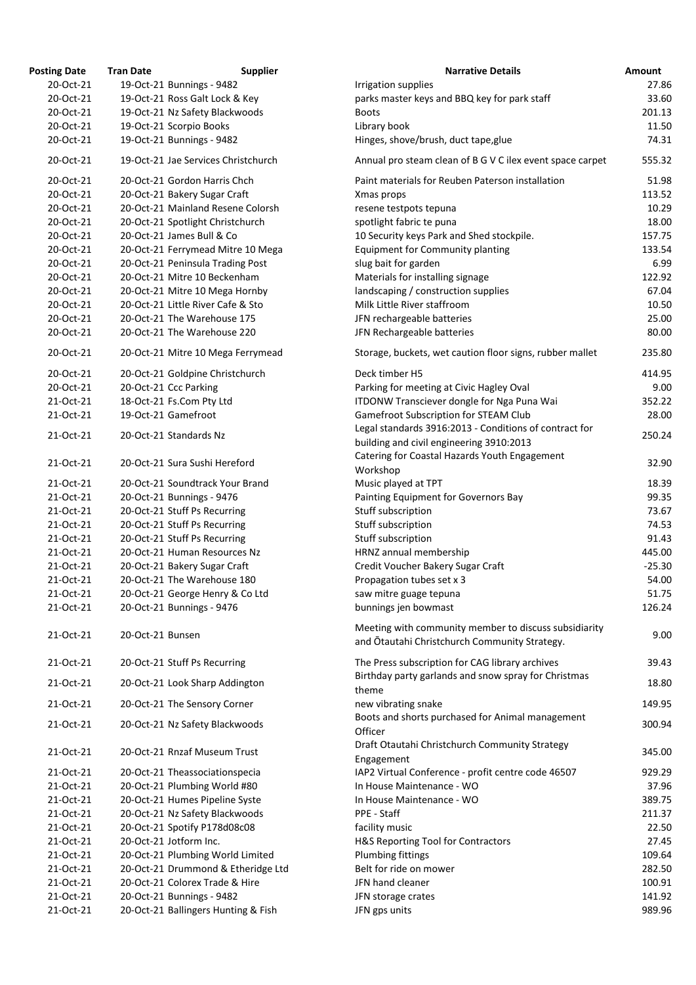| <b>Posting Date</b>    | <b>Tran Date</b>             | <b>Supplier</b>                                                  | <b>Narrative Details</b>                                                                       |
|------------------------|------------------------------|------------------------------------------------------------------|------------------------------------------------------------------------------------------------|
| 20-Oct-21              | 19-Oct-21 Bunnings - 9482    |                                                                  | Irrigation supplies                                                                            |
| 20-Oct-21              |                              | 19-Oct-21 Ross Galt Lock & Key                                   | parks master keys and BBQ key for park staff                                                   |
| 20-Oct-21              |                              | 19-Oct-21 Nz Safety Blackwoods                                   | <b>Boots</b>                                                                                   |
| 20-Oct-21              | 19-Oct-21 Scorpio Books      |                                                                  | Library book                                                                                   |
| 20-Oct-21              | 19-Oct-21 Bunnings - 9482    |                                                                  | Hinges, shove/brush, duct tape, glue                                                           |
| 20-Oct-21              |                              | 19-Oct-21 Jae Services Christchurch                              | Annual pro steam clean of B G V C ilex event space car                                         |
| 20-Oct-21              |                              | 20-Oct-21 Gordon Harris Chch                                     | Paint materials for Reuben Paterson installation                                               |
| 20-Oct-21              |                              | 20-Oct-21 Bakery Sugar Craft                                     | Xmas props                                                                                     |
| 20-Oct-21              |                              | 20-Oct-21 Mainland Resene Colorsh                                | resene testpots tepuna                                                                         |
| 20-Oct-21              |                              | 20-Oct-21 Spotlight Christchurch                                 | spotlight fabric te puna                                                                       |
| 20-Oct-21              | 20-Oct-21 James Bull & Co    |                                                                  | 10 Security keys Park and Shed stockpile.                                                      |
| 20-Oct-21              |                              | 20-Oct-21 Ferrymead Mitre 10 Mega                                | <b>Equipment for Community planting</b>                                                        |
| 20-Oct-21              |                              | 20-Oct-21 Peninsula Trading Post                                 | slug bait for garden                                                                           |
| 20-Oct-21              |                              | 20-Oct-21 Mitre 10 Beckenham                                     | Materials for installing signage                                                               |
| 20-Oct-21              |                              | 20-Oct-21 Mitre 10 Mega Hornby                                   | landscaping / construction supplies                                                            |
| 20-Oct-21              |                              | 20-Oct-21 Little River Cafe & Sto<br>20-Oct-21 The Warehouse 175 | Milk Little River staffroom                                                                    |
| 20-Oct-21<br>20-Oct-21 |                              | 20-Oct-21 The Warehouse 220                                      | JFN rechargeable batteries<br>JFN Rechargeable batteries                                       |
|                        |                              |                                                                  |                                                                                                |
| 20-Oct-21              |                              | 20-Oct-21 Mitre 10 Mega Ferrymead                                | Storage, buckets, wet caution floor signs, rubber malle                                        |
| 20-Oct-21              |                              | 20-Oct-21 Goldpine Christchurch                                  | Deck timber H5                                                                                 |
| 20-Oct-21              | 20-Oct-21 Ccc Parking        |                                                                  | Parking for meeting at Civic Hagley Oval                                                       |
| 21-Oct-21              | 18-Oct-21 Fs.Com Pty Ltd     |                                                                  | ITDONW Transciever dongle for Nga Puna Wai                                                     |
| 21-Oct-21              | 19-Oct-21 Gamefroot          |                                                                  | Gamefroot Subscription for STEAM Club<br>Legal standards 3916:2013 - Conditions of contract fo |
| 21-Oct-21              | 20-Oct-21 Standards Nz       |                                                                  | building and civil engineering 3910:2013                                                       |
| 21-Oct-21              |                              | 20-Oct-21 Sura Sushi Hereford                                    | Catering for Coastal Hazards Youth Engagement<br>Workshop                                      |
| 21-Oct-21              |                              | 20-Oct-21 Soundtrack Your Brand                                  | Music played at TPT                                                                            |
| 21-Oct-21              | 20-Oct-21 Bunnings - 9476    |                                                                  | Painting Equipment for Governors Bay                                                           |
| 21-Oct-21              | 20-Oct-21 Stuff Ps Recurring |                                                                  | Stuff subscription                                                                             |
| 21-Oct-21              | 20-Oct-21 Stuff Ps Recurring |                                                                  | Stuff subscription                                                                             |
| 21-Oct-21              | 20-Oct-21 Stuff Ps Recurring |                                                                  | Stuff subscription                                                                             |
| 21-Oct-21              |                              | 20-Oct-21 Human Resources Nz                                     | HRNZ annual membership                                                                         |
| 21-Oct-21              |                              | 20-Oct-21 Bakery Sugar Craft                                     | Credit Voucher Bakery Sugar Craft                                                              |
| 21-Oct-21<br>21-Oct-21 |                              | 20-Oct-21 The Warehouse 180                                      | Propagation tubes set x 3                                                                      |
| 21-Oct-21              | 20-Oct-21 Bunnings - 9476    | 20-Oct-21 George Henry & Co Ltd                                  | saw mitre guage tepuna<br>bunnings jen bowmast                                                 |
|                        |                              |                                                                  | Meeting with community member to discuss subsidial                                             |
| 21-Oct-21              | 20-Oct-21 Bunsen             |                                                                  | and Ōtautahi Christchurch Community Strategy.                                                  |
| 21-Oct-21              | 20-Oct-21 Stuff Ps Recurring |                                                                  | The Press subscription for CAG library archives                                                |
| 21-Oct-21              |                              | 20-Oct-21 Look Sharp Addington                                   | Birthday party garlands and snow spray for Christmas<br>theme                                  |
| 21-Oct-21              |                              | 20-Oct-21 The Sensory Corner                                     | new vibrating snake                                                                            |
| 21-Oct-21              |                              | 20-Oct-21 Nz Safety Blackwoods                                   | Boots and shorts purchased for Animal management<br>Officer                                    |
| 21-Oct-21              |                              | 20-Oct-21 Rnzaf Museum Trust                                     | Draft Otautahi Christchurch Community Strategy<br>Engagement                                   |
| 21-Oct-21              |                              | 20-Oct-21 Theassociationspecia                                   | IAP2 Virtual Conference - profit centre code 46507                                             |
| 21-Oct-21              |                              | 20-Oct-21 Plumbing World #80                                     | In House Maintenance - WO                                                                      |
| 21-Oct-21              |                              | 20-Oct-21 Humes Pipeline Syste                                   | In House Maintenance - WO                                                                      |
| 21-Oct-21              |                              | 20-Oct-21 Nz Safety Blackwoods                                   | PPE - Staff                                                                                    |
| 21-Oct-21              |                              | 20-Oct-21 Spotify P178d08c08                                     | facility music                                                                                 |
| 21-Oct-21              | 20-Oct-21 Jotform Inc.       |                                                                  | H&S Reporting Tool for Contractors                                                             |
| 21-Oct-21              |                              | 20-Oct-21 Plumbing World Limited                                 | Plumbing fittings                                                                              |
| 21-Oct-21              |                              | 20-Oct-21 Drummond & Etheridge Ltd                               | Belt for ride on mower                                                                         |
| 21-Oct-21              |                              | 20-Oct-21 Colorex Trade & Hire                                   | JFN hand cleaner                                                                               |
| 21-Oct-21              | 20-Oct-21 Bunnings - 9482    |                                                                  | JFN storage crates                                                                             |
| 21-Oct-21              |                              | 20-Oct-21 Ballingers Hunting & Fish                              | JFN gps units                                                                                  |

| ing Date: | Tran Date        | Supplier                            | <b>Narrative Details</b>                                                                           | Amount   |
|-----------|------------------|-------------------------------------|----------------------------------------------------------------------------------------------------|----------|
| 20-Oct-21 |                  | 19-Oct-21 Bunnings - 9482           | Irrigation supplies                                                                                | 27.86    |
| 20-Oct-21 |                  | 19-Oct-21 Ross Galt Lock & Key      | parks master keys and BBQ key for park staff                                                       | 33.60    |
| 20-Oct-21 |                  | 19-Oct-21 Nz Safety Blackwoods      | <b>Boots</b>                                                                                       | 201.13   |
| 20-Oct-21 |                  | 19-Oct-21 Scorpio Books             | Library book                                                                                       | 11.50    |
| 20-Oct-21 |                  | 19-Oct-21 Bunnings - 9482           | Hinges, shove/brush, duct tape, glue                                                               | 74.31    |
| 20-Oct-21 |                  | 19-Oct-21 Jae Services Christchurch | Annual pro steam clean of B G V C ilex event space carpet                                          | 555.32   |
| 20-Oct-21 |                  | 20-Oct-21 Gordon Harris Chch        | Paint materials for Reuben Paterson installation                                                   | 51.98    |
| 20-Oct-21 |                  | 20-Oct-21 Bakery Sugar Craft        | Xmas props                                                                                         | 113.52   |
| 20-Oct-21 |                  | 20-Oct-21 Mainland Resene Colorsh   | resene testpots tepuna                                                                             | 10.29    |
| 20-Oct-21 |                  | 20-Oct-21 Spotlight Christchurch    | spotlight fabric te puna                                                                           | 18.00    |
| 20-Oct-21 |                  | 20-Oct-21 James Bull & Co           | 10 Security keys Park and Shed stockpile.                                                          | 157.75   |
| 20-Oct-21 |                  | 20-Oct-21 Ferrymead Mitre 10 Mega   | <b>Equipment for Community planting</b>                                                            | 133.54   |
| 20-Oct-21 |                  | 20-Oct-21 Peninsula Trading Post    | slug bait for garden                                                                               | 6.99     |
| 20-Oct-21 |                  | 20-Oct-21 Mitre 10 Beckenham        | Materials for installing signage                                                                   | 122.92   |
| 20-Oct-21 |                  | 20-Oct-21 Mitre 10 Mega Hornby      | landscaping / construction supplies                                                                | 67.04    |
| 20-Oct-21 |                  | 20-Oct-21 Little River Cafe & Sto   | Milk Little River staffroom                                                                        | 10.50    |
| 20-Oct-21 |                  | 20-Oct-21 The Warehouse 175         | JFN rechargeable batteries                                                                         | 25.00    |
| 20-Oct-21 |                  | 20-Oct-21 The Warehouse 220         | JFN Rechargeable batteries                                                                         | 80.00    |
| 20-Oct-21 |                  | 20-Oct-21 Mitre 10 Mega Ferrymead   | Storage, buckets, wet caution floor signs, rubber mallet                                           | 235.80   |
| 20-Oct-21 |                  | 20-Oct-21 Goldpine Christchurch     | Deck timber H5                                                                                     | 414.95   |
| 20-Oct-21 |                  | 20-Oct-21 Ccc Parking               | Parking for meeting at Civic Hagley Oval                                                           | 9.00     |
| 21-Oct-21 |                  | 18-Oct-21 Fs.Com Pty Ltd            | ITDONW Transciever dongle for Nga Puna Wai                                                         | 352.22   |
| 21-Oct-21 |                  | 19-Oct-21 Gamefroot                 | Gamefroot Subscription for STEAM Club                                                              | 28.00    |
| 21-Oct-21 |                  | 20-Oct-21 Standards Nz              | Legal standards 3916:2013 - Conditions of contract for<br>building and civil engineering 3910:2013 | 250.24   |
| 21-Oct-21 |                  | 20-Oct-21 Sura Sushi Hereford       | Catering for Coastal Hazards Youth Engagement<br>Workshop                                          | 32.90    |
| 21-Oct-21 |                  | 20-Oct-21 Soundtrack Your Brand     | Music played at TPT                                                                                | 18.39    |
| 21-Oct-21 |                  | 20-Oct-21 Bunnings - 9476           | Painting Equipment for Governors Bay                                                               | 99.35    |
| 21-Oct-21 |                  | 20-Oct-21 Stuff Ps Recurring        | Stuff subscription                                                                                 | 73.67    |
| 21-Oct-21 |                  | 20-Oct-21 Stuff Ps Recurring        | Stuff subscription                                                                                 | 74.53    |
| 21-Oct-21 |                  | 20-Oct-21 Stuff Ps Recurring        | Stuff subscription                                                                                 | 91.43    |
| 21-Oct-21 |                  | 20-Oct-21 Human Resources Nz        | HRNZ annual membership                                                                             | 445.00   |
| 21-Oct-21 |                  | 20-Oct-21 Bakery Sugar Craft        | Credit Voucher Bakery Sugar Craft                                                                  | $-25.30$ |
| 21-Oct-21 |                  | 20-Oct-21 The Warehouse 180         | Propagation tubes set x 3                                                                          | 54.00    |
| 21-Oct-21 |                  | 20-Oct-21 George Henry & Co Ltd     | saw mitre guage tepuna                                                                             | 51.75    |
| 21-Oct-21 |                  | 20-Oct-21 Bunnings - 9476           | bunnings jen bowmast                                                                               | 126.24   |
| 21-Oct-21 | 20-Oct-21 Bunsen |                                     | Meeting with community member to discuss subsidiarity                                              | 9.00     |
| 21-Oct-21 |                  | 20-Oct-21 Stuff Ps Recurring        | and Otautahi Christchurch Community Strategy.<br>The Press subscription for CAG library archives   | 39.43    |
|           |                  |                                     | Birthday party garlands and snow spray for Christmas                                               |          |
| 21-Oct-21 |                  | 20-Oct-21 Look Sharp Addington      | theme                                                                                              | 18.80    |
| 21-Oct-21 |                  | 20-Oct-21 The Sensory Corner        | new vibrating snake<br>Boots and shorts purchased for Animal management                            | 149.95   |
| 21-Oct-21 |                  | 20-Oct-21 Nz Safety Blackwoods      | Officer<br>Draft Otautahi Christchurch Community Strategy                                          | 300.94   |
| 21-Oct-21 |                  | 20-Oct-21 Rnzaf Museum Trust        | Engagement                                                                                         | 345.00   |
| 21-Oct-21 |                  | 20-Oct-21 Theassociationspecia      | IAP2 Virtual Conference - profit centre code 46507                                                 | 929.29   |
| 21-Oct-21 |                  | 20-Oct-21 Plumbing World #80        | In House Maintenance - WO                                                                          | 37.96    |
| 21-Oct-21 |                  | 20-Oct-21 Humes Pipeline Syste      | In House Maintenance - WO                                                                          | 389.75   |
| 21-Oct-21 |                  | 20-Oct-21 Nz Safety Blackwoods      | PPE - Staff                                                                                        | 211.37   |
| 21-Oct-21 |                  | 20-Oct-21 Spotify P178d08c08        | facility music                                                                                     | 22.50    |
| 21-Oct-21 |                  | 20-Oct-21 Jotform Inc.              | H&S Reporting Tool for Contractors                                                                 | 27.45    |
| 21-Oct-21 |                  | 20-Oct-21 Plumbing World Limited    | Plumbing fittings                                                                                  | 109.64   |
| 21-Oct-21 |                  | 20-Oct-21 Drummond & Etheridge Ltd  | Belt for ride on mower                                                                             | 282.50   |
| 21-Oct-21 |                  | 20-Oct-21 Colorex Trade & Hire      | JFN hand cleaner                                                                                   | 100.91   |
| 21-Oct-21 |                  | 20-Oct-21 Bunnings - 9482           | JFN storage crates                                                                                 | 141.92   |
| 21-Oct-21 |                  | 20-Oct-21 Ballingers Hunting & Fish | JFN gps units                                                                                      | 989.96   |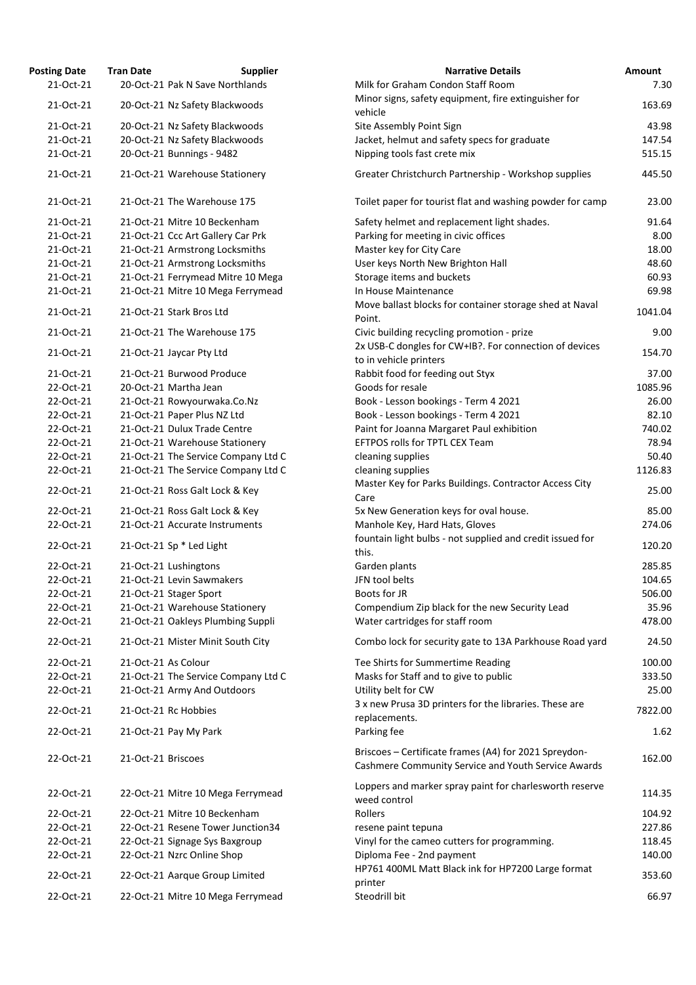| <b>Osting Date</b> | <b>Tran Date</b>    | <b>Supplier</b>                     | <b>Narrative Details</b>                                                                                   |
|--------------------|---------------------|-------------------------------------|------------------------------------------------------------------------------------------------------------|
| 21-Oct-21          |                     | 20-Oct-21 Pak N Save Northlands     | Milk for Graham Condon Staff Room                                                                          |
| 21-Oct-21          |                     | 20-Oct-21 Nz Safety Blackwoods      | Minor signs, safety equipment, fire extinguisher for                                                       |
|                    |                     |                                     | vehicle                                                                                                    |
| 21-Oct-21          |                     | 20-Oct-21 Nz Safety Blackwoods      | Site Assembly Point Sign                                                                                   |
| 21-Oct-21          |                     | 20-Oct-21 Nz Safety Blackwoods      | Jacket, helmut and safety specs for graduate                                                               |
| 21-Oct-21          |                     | 20-Oct-21 Bunnings - 9482           | Nipping tools fast crete mix                                                                               |
| 21-Oct-21          |                     | 21-Oct-21 Warehouse Stationery      | Greater Christchurch Partnership - Workshop supplies                                                       |
| 21-Oct-21          |                     | 21-Oct-21 The Warehouse 175         | Toilet paper for tourist flat and washing powder for ca                                                    |
| 21-Oct-21          |                     | 21-Oct-21 Mitre 10 Beckenham        | Safety helmet and replacement light shades.                                                                |
| 21-Oct-21          |                     | 21-Oct-21 Ccc Art Gallery Car Prk   | Parking for meeting in civic offices                                                                       |
| 21-Oct-21          |                     | 21-Oct-21 Armstrong Locksmiths      | Master key for City Care                                                                                   |
| 21-Oct-21          |                     | 21-Oct-21 Armstrong Locksmiths      | User keys North New Brighton Hall                                                                          |
| 21-Oct-21          |                     | 21-Oct-21 Ferrymead Mitre 10 Mega   | Storage items and buckets                                                                                  |
| 21-Oct-21          |                     | 21-Oct-21 Mitre 10 Mega Ferrymead   | In House Maintenance                                                                                       |
| 21-Oct-21          |                     | 21-Oct-21 Stark Bros Ltd            | Move ballast blocks for container storage shed at Nava<br>Point.                                           |
| 21-Oct-21          |                     | 21-Oct-21 The Warehouse 175         | Civic building recycling promotion - prize<br>2x USB-C dongles for CW+IB?. For connection of device        |
| 21-Oct-21          |                     | 21-Oct-21 Jaycar Pty Ltd            | to in vehicle printers                                                                                     |
| 21-Oct-21          |                     | 21-Oct-21 Burwood Produce           | Rabbit food for feeding out Styx                                                                           |
| 22-Oct-21          |                     | 20-Oct-21 Martha Jean               | Goods for resale                                                                                           |
| 22-Oct-21          |                     | 21-Oct-21 Rowyourwaka.Co.Nz         | Book - Lesson bookings - Term 4 2021                                                                       |
| 22-Oct-21          |                     | 21-Oct-21 Paper Plus NZ Ltd         | Book - Lesson bookings - Term 4 2021                                                                       |
| 22-Oct-21          |                     | 21-Oct-21 Dulux Trade Centre        | Paint for Joanna Margaret Paul exhibition                                                                  |
| 22-Oct-21          |                     | 21-Oct-21 Warehouse Stationery      | EFTPOS rolls for TPTL CEX Team                                                                             |
| 22-Oct-21          |                     | 21-Oct-21 The Service Company Ltd C | cleaning supplies                                                                                          |
| 22-Oct-21          |                     | 21-Oct-21 The Service Company Ltd C | cleaning supplies                                                                                          |
|                    |                     |                                     | Master Key for Parks Buildings. Contractor Access City                                                     |
| 22-Oct-21          |                     | 21-Oct-21 Ross Galt Lock & Key      | Care                                                                                                       |
| 22-Oct-21          |                     | 21-Oct-21 Ross Galt Lock & Key      | 5x New Generation keys for oval house.                                                                     |
| 22-Oct-21          |                     | 21-Oct-21 Accurate Instruments      | Manhole Key, Hard Hats, Gloves                                                                             |
|                    |                     |                                     | fountain light bulbs - not supplied and credit issued for                                                  |
| 22-Oct-21          |                     | 21-Oct-21 Sp * Led Light            | this.                                                                                                      |
| 22-Oct-21          |                     | 21-Oct-21 Lushingtons               | Garden plants                                                                                              |
| 22-Oct-21          |                     | 21-Oct-21 Levin Sawmakers           | JFN tool belts                                                                                             |
| 22-Oct-21          |                     | 21-Oct-21 Stager Sport              | Boots for JR                                                                                               |
| 22-Oct-21          |                     | 21-Oct-21 Warehouse Stationery      | Compendium Zip black for the new Security Lead                                                             |
| 22-Oct-21          |                     | 21-Oct-21 Oakleys Plumbing Suppli   | Water cartridges for staff room                                                                            |
| 22-Oct-21          |                     | 21-Oct-21 Mister Minit South City   | Combo lock for security gate to 13A Parkhouse Road y                                                       |
| 22-Oct-21          | 21-Oct-21 As Colour |                                     | Tee Shirts for Summertime Reading                                                                          |
| 22-Oct-21          |                     | 21-Oct-21 The Service Company Ltd C | Masks for Staff and to give to public                                                                      |
| 22-Oct-21          |                     | 21-Oct-21 Army And Outdoors         | Utility belt for CW                                                                                        |
| 22-Oct-21          |                     | 21-Oct-21 Rc Hobbies                | 3 x new Prusa 3D printers for the libraries. These are                                                     |
| 22-Oct-21          |                     | 21-Oct-21 Pay My Park               | replacements.<br>Parking fee                                                                               |
| 22-Oct-21          | 21-Oct-21 Briscoes  |                                     | Briscoes - Certificate frames (A4) for 2021 Spreydon-<br>Cashmere Community Service and Youth Service Awar |
| 22-Oct-21          |                     | 22-Oct-21 Mitre 10 Mega Ferrymead   | Loppers and marker spray paint for charlesworth reser<br>weed control                                      |
| 22-Oct-21          |                     | 22-Oct-21 Mitre 10 Beckenham        | Rollers                                                                                                    |
| 22-Oct-21          |                     | 22-Oct-21 Resene Tower Junction34   | resene paint tepuna                                                                                        |
| 22-Oct-21          |                     | 22-Oct-21 Signage Sys Baxgroup      | Vinyl for the cameo cutters for programming.                                                               |
| 22-Oct-21          |                     | 22-Oct-21 Nzrc Online Shop          | Diploma Fee - 2nd payment                                                                                  |
| 22-Oct-21          |                     | 22-Oct-21 Aarque Group Limited      | HP761 400ML Matt Black ink for HP7200 Large format<br>printer                                              |
| 22-Oct-21          |                     | 22-Oct-21 Mitre 10 Mega Ferrymead   | Steodrill bit                                                                                              |
|                    |                     |                                     |                                                                                                            |

| <b>Posting Date</b> | <b>Tran Date</b>    | <b>Supplier</b>                     | <b>Narrative Details</b>                                  | <b>Amount</b> |
|---------------------|---------------------|-------------------------------------|-----------------------------------------------------------|---------------|
| 21-Oct-21           |                     | 20-Oct-21 Pak N Save Northlands     | Milk for Graham Condon Staff Room                         | 7.30          |
|                     |                     |                                     | Minor signs, safety equipment, fire extinguisher for      |               |
| 21-Oct-21           |                     | 20-Oct-21 Nz Safety Blackwoods      | vehicle                                                   | 163.69        |
| 21-Oct-21           |                     | 20-Oct-21 Nz Safety Blackwoods      | Site Assembly Point Sign                                  | 43.98         |
| 21-Oct-21           |                     | 20-Oct-21 Nz Safety Blackwoods      | Jacket, helmut and safety specs for graduate              | 147.54        |
| 21-Oct-21           |                     | 20-Oct-21 Bunnings - 9482           | Nipping tools fast crete mix                              | 515.15        |
|                     |                     |                                     |                                                           |               |
| 21-Oct-21           |                     | 21-Oct-21 Warehouse Stationery      | Greater Christchurch Partnership - Workshop supplies      | 445.50        |
|                     |                     |                                     |                                                           |               |
| 21-Oct-21           |                     | 21-Oct-21 The Warehouse 175         | Toilet paper for tourist flat and washing powder for camp | 23.00         |
| 21-Oct-21           |                     | 21-Oct-21 Mitre 10 Beckenham        | Safety helmet and replacement light shades.               | 91.64         |
| 21-Oct-21           |                     | 21-Oct-21 Ccc Art Gallery Car Prk   | Parking for meeting in civic offices                      | 8.00          |
| 21-Oct-21           |                     | 21-Oct-21 Armstrong Locksmiths      | Master key for City Care                                  | 18.00         |
| 21-Oct-21           |                     | 21-Oct-21 Armstrong Locksmiths      | User keys North New Brighton Hall                         | 48.60         |
| 21-Oct-21           |                     | 21-Oct-21 Ferrymead Mitre 10 Mega   | Storage items and buckets                                 | 60.93         |
| 21-Oct-21           |                     | 21-Oct-21 Mitre 10 Mega Ferrymead   | In House Maintenance                                      | 69.98         |
|                     |                     |                                     | Move ballast blocks for container storage shed at Naval   |               |
| 21-Oct-21           |                     | 21-Oct-21 Stark Bros Ltd            | Point.                                                    | 1041.04       |
|                     |                     | 21-Oct-21 The Warehouse 175         |                                                           | 9.00          |
| 21-Oct-21           |                     |                                     | Civic building recycling promotion - prize                |               |
| 21-Oct-21           |                     | 21-Oct-21 Jaycar Pty Ltd            | 2x USB-C dongles for CW+IB?. For connection of devices    | 154.70        |
|                     |                     |                                     | to in vehicle printers                                    |               |
| 21-Oct-21           |                     | 21-Oct-21 Burwood Produce           | Rabbit food for feeding out Styx                          | 37.00         |
| 22-Oct-21           |                     | 20-Oct-21 Martha Jean               | Goods for resale                                          | 1085.96       |
| 22-Oct-21           |                     | 21-Oct-21 Rowyourwaka.Co.Nz         | Book - Lesson bookings - Term 4 2021                      | 26.00         |
| 22-Oct-21           |                     | 21-Oct-21 Paper Plus NZ Ltd         | Book - Lesson bookings - Term 4 2021                      | 82.10         |
| 22-Oct-21           |                     | 21-Oct-21 Dulux Trade Centre        | Paint for Joanna Margaret Paul exhibition                 | 740.02        |
| 22-Oct-21           |                     | 21-Oct-21 Warehouse Stationery      | EFTPOS rolls for TPTL CEX Team                            | 78.94         |
| 22-Oct-21           |                     | 21-Oct-21 The Service Company Ltd C | cleaning supplies                                         | 50.40         |
| 22-Oct-21           |                     | 21-Oct-21 The Service Company Ltd C | cleaning supplies                                         | 1126.83       |
|                     |                     |                                     | Master Key for Parks Buildings. Contractor Access City    |               |
| 22-Oct-21           |                     | 21-Oct-21 Ross Galt Lock & Key      | Care                                                      | 25.00         |
|                     |                     |                                     |                                                           |               |
| 22-Oct-21           |                     | 21-Oct-21 Ross Galt Lock & Key      | 5x New Generation keys for oval house.                    | 85.00         |
| 22-Oct-21           |                     | 21-Oct-21 Accurate Instruments      | Manhole Key, Hard Hats, Gloves                            | 274.06        |
| 22-Oct-21           |                     | 21-Oct-21 Sp * Led Light            | fountain light bulbs - not supplied and credit issued for | 120.20        |
|                     |                     |                                     | this.                                                     |               |
| 22-Oct-21           |                     | 21-Oct-21 Lushingtons               | Garden plants                                             | 285.85        |
| 22-Oct-21           |                     | 21-Oct-21 Levin Sawmakers           | JFN tool belts                                            | 104.65        |
| 22-Oct-21           |                     | 21-Oct-21 Stager Sport              | Boots for JR                                              | 506.00        |
| 22-Oct-21           |                     | 21-Oct-21 Warehouse Stationery      | Compendium Zip black for the new Security Lead            | 35.96         |
| 22-Oct-21           |                     | 21-Oct-21 Oakleys Plumbing Suppli   | Water cartridges for staff room                           | 478.00        |
| 22-Oct-21           |                     | 21-Oct-21 Mister Minit South City   |                                                           |               |
|                     |                     |                                     | Combo lock for security gate to 13A Parkhouse Road yard   | 24.50         |
| 22-Oct-21           | 21-Oct-21 As Colour |                                     | Tee Shirts for Summertime Reading                         | 100.00        |
| 22-Oct-21           |                     | 21-Oct-21 The Service Company Ltd C | Masks for Staff and to give to public                     | 333.50        |
| 22-Oct-21           |                     | 21-Oct-21 Army And Outdoors         | Utility belt for CW                                       | 25.00         |
|                     |                     |                                     | 3 x new Prusa 3D printers for the libraries. These are    |               |
| 22-Oct-21           |                     | 21-Oct-21 Rc Hobbies                | replacements.                                             | 7822.00       |
| 22-Oct-21           |                     | 21-Oct-21 Pay My Park               | Parking fee                                               | 1.62          |
|                     |                     |                                     |                                                           |               |
| 22-Oct-21           | 21-Oct-21 Briscoes  |                                     | Briscoes - Certificate frames (A4) for 2021 Spreydon-     | 162.00        |
|                     |                     |                                     | Cashmere Community Service and Youth Service Awards       |               |
|                     |                     |                                     | Loppers and marker spray paint for charlesworth reserve   |               |
| 22-Oct-21           |                     | 22-Oct-21 Mitre 10 Mega Ferrymead   | weed control                                              | 114.35        |
| 22-Oct-21           |                     | 22-Oct-21 Mitre 10 Beckenham        | Rollers                                                   | 104.92        |
| 22-Oct-21           |                     | 22-Oct-21 Resene Tower Junction34   | resene paint tepuna                                       | 227.86        |
| 22-Oct-21           |                     | 22-Oct-21 Signage Sys Baxgroup      | Vinyl for the cameo cutters for programming.              | 118.45        |
| 22-Oct-21           |                     | 22-Oct-21 Nzrc Online Shop          | Diploma Fee - 2nd payment                                 | 140.00        |
|                     |                     |                                     | HP761 400ML Matt Black ink for HP7200 Large format        |               |
| 22-Oct-21           |                     | 22-Oct-21 Aarque Group Limited      |                                                           | 353.60        |
|                     |                     |                                     | printer                                                   |               |
| 22-Oct-21           |                     | 22-Oct-21 Mitre 10 Mega Ferrymead   | Steodrill bit                                             | 66.97         |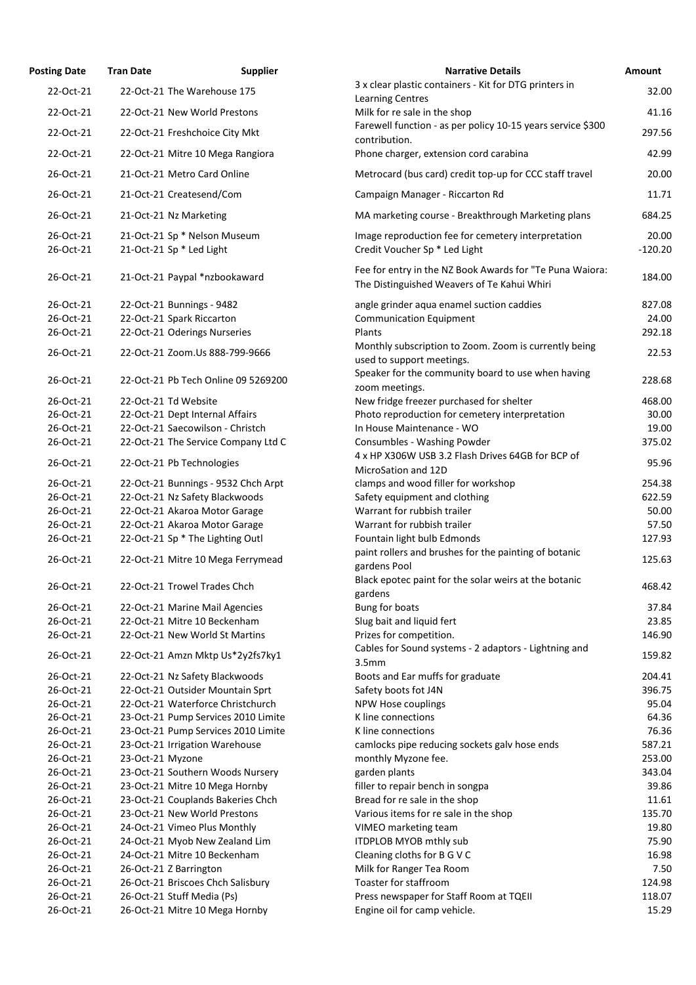| <b>Posting Date</b>    | <b>Tran Date</b>     | <b>Supplier</b>                                                 | <b>Narrative Details</b>                                                                                | Amount      |
|------------------------|----------------------|-----------------------------------------------------------------|---------------------------------------------------------------------------------------------------------|-------------|
| 22-Oct-21              |                      | 22-Oct-21 The Warehouse 175                                     | 3 x clear plastic containers - Kit for DTG printers in                                                  | 32.         |
| 22-Oct-21              |                      | 22-Oct-21 New World Prestons                                    | <b>Learning Centres</b><br>Milk for re sale in the shop                                                 | 41.         |
| 22-Oct-21              |                      | 22-Oct-21 Freshchoice City Mkt                                  | Farewell function - as per policy 10-15 years service \$300                                             | 297.        |
| 22-Oct-21              |                      | 22-Oct-21 Mitre 10 Mega Rangiora                                | contribution.<br>Phone charger, extension cord carabina                                                 | 42.         |
| 26-Oct-21              |                      | 21-Oct-21 Metro Card Online                                     | Metrocard (bus card) credit top-up for CCC staff travel                                                 | 20.         |
| 26-Oct-21              |                      | 21-Oct-21 Createsend/Com                                        | Campaign Manager - Riccarton Rd                                                                         | 11.         |
| 26-Oct-21              |                      |                                                                 | MA marketing course - Breakthrough Marketing plans                                                      | 684.        |
| 26-Oct-21              |                      | 21-Oct-21 Nz Marketing                                          |                                                                                                         | 20.         |
| 26-Oct-21              |                      | 21-Oct-21 Sp * Nelson Museum<br>21-Oct-21 Sp * Led Light        | Image reproduction fee for cemetery interpretation<br>Credit Voucher Sp * Led Light                     | $-120.$     |
| 26-Oct-21              |                      | 21-Oct-21 Paypal *nzbookaward                                   | Fee for entry in the NZ Book Awards for "Te Puna Waiora:<br>The Distinguished Weavers of Te Kahui Whiri | 184.        |
| 26-Oct-21              |                      | 22-Oct-21 Bunnings - 9482                                       | angle grinder aqua enamel suction caddies                                                               | 827.        |
| 26-Oct-21              |                      | 22-Oct-21 Spark Riccarton                                       | <b>Communication Equipment</b>                                                                          | 24.         |
| 26-Oct-21              |                      | 22-Oct-21 Oderings Nurseries                                    | Plants                                                                                                  | 292.        |
| 26-Oct-21              |                      | 22-Oct-21 Zoom.Us 888-799-9666                                  | Monthly subscription to Zoom. Zoom is currently being                                                   | 22.         |
| 26-Oct-21              |                      | 22-Oct-21 Pb Tech Online 09 5269200                             | used to support meetings.<br>Speaker for the community board to use when having<br>zoom meetings.       | 228.        |
| 26-Oct-21              | 22-Oct-21 Td Website |                                                                 | New fridge freezer purchased for shelter                                                                | 468.        |
| 26-Oct-21              |                      | 22-Oct-21 Dept Internal Affairs                                 | Photo reproduction for cemetery interpretation                                                          | 30.         |
| 26-Oct-21              |                      | 22-Oct-21 Saecowilson - Christch                                | In House Maintenance - WO                                                                               | 19.         |
| 26-Oct-21              |                      | 22-Oct-21 The Service Company Ltd C                             | Consumbles - Washing Powder                                                                             | 375.        |
| 26-Oct-21              |                      | 22-Oct-21 Pb Technologies                                       | 4 x HP X306W USB 3.2 Flash Drives 64GB for BCP of                                                       | 95.         |
|                        |                      |                                                                 | MicroSation and 12D                                                                                     |             |
| 26-Oct-21<br>26-Oct-21 |                      | 22-Oct-21 Bunnings - 9532 Chch Arpt                             | clamps and wood filler for workshop                                                                     | 254.        |
| 26-Oct-21              |                      | 22-Oct-21 Nz Safety Blackwoods<br>22-Oct-21 Akaroa Motor Garage | Safety equipment and clothing<br>Warrant for rubbish trailer                                            | 622.<br>50. |
| 26-Oct-21              |                      | 22-Oct-21 Akaroa Motor Garage                                   | Warrant for rubbish trailer                                                                             | 57.         |
| 26-Oct-21              |                      | 22-Oct-21 Sp * The Lighting Outl                                | Fountain light bulb Edmonds                                                                             | 127.        |
|                        |                      |                                                                 | paint rollers and brushes for the painting of botanic                                                   |             |
| 26-Oct-21              |                      | 22-Oct-21 Mitre 10 Mega Ferrymead                               | gardens Pool                                                                                            | 125.        |
| 26-Oct-21              |                      | 22-Oct-21 Trowel Trades Chch                                    | Black epotec paint for the solar weirs at the botanic<br>gardens                                        | 468.        |
| 26-Oct-21              |                      | 22-Oct-21 Marine Mail Agencies                                  | Bung for boats                                                                                          | 37.         |
| 26-Oct-21              |                      | 22-Oct-21 Mitre 10 Beckenham                                    | Slug bait and liquid fert                                                                               | 23.         |
| 26-Oct-21              |                      | 22-Oct-21 New World St Martins                                  | Prizes for competition.                                                                                 | 146.        |
| 26-Oct-21              |                      | 22-Oct-21 Amzn Mktp Us*2y2fs7ky1                                | Cables for Sound systems - 2 adaptors - Lightning and<br>3.5 <sub>mm</sub>                              | 159.        |
| 26-Oct-21              |                      | 22-Oct-21 Nz Safety Blackwoods                                  | Boots and Ear muffs for graduate                                                                        | 204.        |
| 26-Oct-21              |                      | 22-Oct-21 Outsider Mountain Sprt                                | Safety boots fot J4N                                                                                    | 396.        |
| 26-Oct-21              |                      | 22-Oct-21 Waterforce Christchurch                               | NPW Hose couplings                                                                                      | 95.         |
| 26-Oct-21              |                      | 23-Oct-21 Pump Services 2010 Limite                             | K line connections                                                                                      | 64.         |
| 26-Oct-21              |                      | 23-Oct-21 Pump Services 2010 Limite                             | K line connections                                                                                      | 76.         |
| 26-Oct-21              |                      | 23-Oct-21 Irrigation Warehouse                                  | camlocks pipe reducing sockets galv hose ends                                                           | 587.        |
| 26-Oct-21              | 23-Oct-21 Myzone     |                                                                 | monthly Myzone fee.                                                                                     | 253.        |
| 26-Oct-21              |                      | 23-Oct-21 Southern Woods Nursery                                | garden plants                                                                                           | 343.        |
| 26-Oct-21              |                      | 23-Oct-21 Mitre 10 Mega Hornby                                  | filler to repair bench in songpa                                                                        | 39.         |
| 26-Oct-21              |                      | 23-Oct-21 Couplands Bakeries Chch                               | Bread for re sale in the shop                                                                           | 11.         |
| 26-Oct-21              |                      | 23-Oct-21 New World Prestons                                    | Various items for re sale in the shop                                                                   | 135.        |
| 26-Oct-21              |                      | 24-Oct-21 Vimeo Plus Monthly                                    | VIMEO marketing team                                                                                    | 19.         |
| 26-Oct-21              |                      | 24-Oct-21 Myob New Zealand Lim                                  | ITDPLOB MYOB mthly sub                                                                                  | 75.         |
| 26-Oct-21              |                      | 24-Oct-21 Mitre 10 Beckenham                                    | Cleaning cloths for B G V C                                                                             | 16.         |
| 26-Oct-21              |                      | 26-Oct-21 Z Barrington                                          | Milk for Ranger Tea Room                                                                                | 7.          |
| 26-Oct-21              |                      | 26-Oct-21 Briscoes Chch Salisbury                               | Toaster for staffroom                                                                                   | 124.        |
| 26-Oct-21              |                      | 26-Oct-21 Stuff Media (Ps)                                      | Press newspaper for Staff Room at TQEII                                                                 | 118.        |
| 26-Oct-21              |                      | 26-Oct-21 Mitre 10 Mega Hornby                                  | Engine oil for camp vehicle.                                                                            | 15.         |

| ing Date               | <b>Tran Date</b>       | <b>Supplier</b>                                          | <b>Narrative Details</b>                                                                                | Amount             |
|------------------------|------------------------|----------------------------------------------------------|---------------------------------------------------------------------------------------------------------|--------------------|
| 22-Oct-21              |                        | 22-Oct-21 The Warehouse 175                              | 3 x clear plastic containers - Kit for DTG printers in<br><b>Learning Centres</b>                       | 32.00              |
| 22-Oct-21              |                        | 22-Oct-21 New World Prestons                             | Milk for re sale in the shop                                                                            | 41.16              |
| 22-Oct-21              |                        | 22-Oct-21 Freshchoice City Mkt                           | Farewell function - as per policy 10-15 years service \$300<br>contribution.                            | 297.56             |
| 22-Oct-21              |                        | 22-Oct-21 Mitre 10 Mega Rangiora                         | Phone charger, extension cord carabina                                                                  | 42.99              |
| 26-Oct-21              |                        | 21-Oct-21 Metro Card Online                              | Metrocard (bus card) credit top-up for CCC staff travel                                                 | 20.00              |
| 26-Oct-21              |                        | 21-Oct-21 Createsend/Com                                 | Campaign Manager - Riccarton Rd                                                                         | 11.71              |
| 26-Oct-21              |                        | 21-Oct-21 Nz Marketing                                   | MA marketing course - Breakthrough Marketing plans                                                      | 684.25             |
| 26-Oct-21<br>26-Oct-21 |                        | 21-Oct-21 Sp * Nelson Museum<br>21-Oct-21 Sp * Led Light | Image reproduction fee for cemetery interpretation<br>Credit Voucher Sp * Led Light                     | 20.00<br>$-120.20$ |
| 26-Oct-21              |                        | 21-Oct-21 Paypal *nzbookaward                            | Fee for entry in the NZ Book Awards for "Te Puna Waiora:<br>The Distinguished Weavers of Te Kahui Whiri | 184.00             |
| 26-Oct-21              |                        | 22-Oct-21 Bunnings - 9482                                | angle grinder aqua enamel suction caddies                                                               | 827.08             |
| 26-Oct-21              |                        | 22-Oct-21 Spark Riccarton                                | <b>Communication Equipment</b>                                                                          | 24.00              |
| 26-Oct-21              |                        | 22-Oct-21 Oderings Nurseries                             | Plants                                                                                                  | 292.18             |
| 26-Oct-21              |                        | 22-Oct-21 Zoom.Us 888-799-9666                           | Monthly subscription to Zoom. Zoom is currently being<br>used to support meetings.                      | 22.53              |
| 26-Oct-21              |                        | 22-Oct-21 Pb Tech Online 09 5269200                      | Speaker for the community board to use when having<br>zoom meetings.                                    | 228.68             |
| 26-Oct-21              | 22-Oct-21 Td Website   |                                                          | New fridge freezer purchased for shelter                                                                | 468.00             |
| 26-Oct-21              |                        | 22-Oct-21 Dept Internal Affairs                          | Photo reproduction for cemetery interpretation                                                          | 30.00              |
| 26-Oct-21              |                        | 22-Oct-21 Saecowilson - Christch                         | In House Maintenance - WO                                                                               | 19.00              |
| 26-Oct-21              |                        | 22-Oct-21 The Service Company Ltd C                      | Consumbles - Washing Powder                                                                             | 375.02             |
| 26-Oct-21              |                        | 22-Oct-21 Pb Technologies                                | 4 x HP X306W USB 3.2 Flash Drives 64GB for BCP of<br>MicroSation and 12D                                | 95.96              |
| 26-Oct-21              |                        | 22-Oct-21 Bunnings - 9532 Chch Arpt                      | clamps and wood filler for workshop                                                                     | 254.38             |
| 26-Oct-21              |                        | 22-Oct-21 Nz Safety Blackwoods                           | Safety equipment and clothing                                                                           | 622.59             |
| 26-Oct-21              |                        | 22-Oct-21 Akaroa Motor Garage                            | Warrant for rubbish trailer                                                                             | 50.00              |
| 26-Oct-21              |                        | 22-Oct-21 Akaroa Motor Garage                            | Warrant for rubbish trailer                                                                             | 57.50              |
| 26-Oct-21              |                        | 22-Oct-21 Sp * The Lighting Outl                         | Fountain light bulb Edmonds                                                                             | 127.93             |
| 26-Oct-21              |                        | 22-Oct-21 Mitre 10 Mega Ferrymead                        | paint rollers and brushes for the painting of botanic<br>gardens Pool                                   | 125.63             |
| 26-Oct-21              |                        | 22-Oct-21 Trowel Trades Chch                             | Black epotec paint for the solar weirs at the botanic<br>gardens                                        | 468.42             |
| 26-Oct-21              |                        | 22-Oct-21 Marine Mail Agencies                           | Bung for boats                                                                                          | 37.84              |
| 26-Oct-21              |                        | 22-Oct-21 Mitre 10 Beckenham                             | Slug bait and liquid fert                                                                               | 23.85              |
| 26-Oct-21              |                        | 22-Oct-21 New World St Martins                           | Prizes for competition.                                                                                 | 146.90             |
| 26-Oct-21              |                        | 22-Oct-21 Amzn Mktp Us*2y2fs7ky1                         | Cables for Sound systems - 2 adaptors - Lightning and<br>3.5mm                                          | 159.82             |
| 26-Oct-21              |                        | 22-Oct-21 Nz Safety Blackwoods                           | Boots and Ear muffs for graduate                                                                        | 204.41             |
| 26-Oct-21              |                        | 22-Oct-21 Outsider Mountain Sprt                         | Safety boots fot J4N                                                                                    | 396.75             |
| 26-Oct-21              |                        | 22-Oct-21 Waterforce Christchurch                        | NPW Hose couplings                                                                                      | 95.04              |
| 26-Oct-21              |                        | 23-Oct-21 Pump Services 2010 Limite                      | K line connections                                                                                      | 64.36              |
| 26-Oct-21              |                        | 23-Oct-21 Pump Services 2010 Limite                      | K line connections                                                                                      | 76.36              |
| 26-Oct-21              |                        | 23-Oct-21 Irrigation Warehouse                           | camlocks pipe reducing sockets galv hose ends                                                           | 587.21             |
| 26-Oct-21              | 23-Oct-21 Myzone       |                                                          | monthly Myzone fee.                                                                                     | 253.00             |
| 26-Oct-21              |                        | 23-Oct-21 Southern Woods Nursery                         | garden plants                                                                                           | 343.04             |
| 26-Oct-21              |                        | 23-Oct-21 Mitre 10 Mega Hornby                           | filler to repair bench in songpa                                                                        | 39.86              |
| 26-Oct-21              |                        | 23-Oct-21 Couplands Bakeries Chch                        | Bread for re sale in the shop                                                                           | 11.61              |
| 26-Oct-21              |                        | 23-Oct-21 New World Prestons                             | Various items for re sale in the shop                                                                   | 135.70             |
| 26-Oct-21              |                        | 24-Oct-21 Vimeo Plus Monthly                             | VIMEO marketing team                                                                                    | 19.80              |
| 26-Oct-21              |                        | 24-Oct-21 Myob New Zealand Lim                           | ITDPLOB MYOB mthly sub                                                                                  | 75.90              |
| 26-Oct-21              |                        | 24-Oct-21 Mitre 10 Beckenham                             | Cleaning cloths for B G V C                                                                             | 16.98              |
| 26-Oct-21              | 26-Oct-21 Z Barrington |                                                          | Milk for Ranger Tea Room                                                                                | 7.50               |
| 26-Oct-21              |                        | 26-Oct-21 Briscoes Chch Salisbury                        | Toaster for staffroom                                                                                   | 124.98             |
| 26-Oct-21              |                        | 26-Oct-21 Stuff Media (Ps)                               | Press newspaper for Staff Room at TQEII                                                                 | 118.07             |
| 26-Oct-21              |                        | 26-Oct-21 Mitre 10 Mega Hornby                           | Engine oil for camp vehicle.                                                                            | 15.29              |